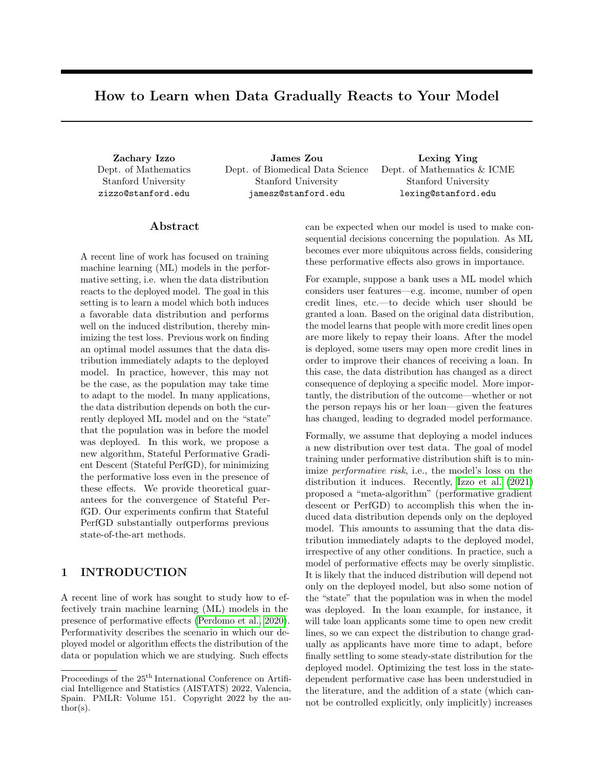# How to Learn when Data Gradually Reacts to Your Model

Dept. of Mathematics Stanford University zizzo@stanford.edu

Zachary Izzo James Zou Lexing Ying Dept. of Biomedical Data Science Stanford University jamesz@stanford.edu

Dept. of Mathematics & ICME Stanford University lexing@stanford.edu

## Abstract

A recent line of work has focused on training machine learning (ML) models in the performative setting, i.e. when the data distribution reacts to the deployed model. The goal in this setting is to learn a model which both induces a favorable data distribution and performs well on the induced distribution, thereby minimizing the test loss. Previous work on finding an optimal model assumes that the data distribution immediately adapts to the deployed model. In practice, however, this may not be the case, as the population may take time to adapt to the model. In many applications, the data distribution depends on both the currently deployed ML model and on the "state" that the population was in before the model was deployed. In this work, we propose a new algorithm, Stateful Performative Gradient Descent (Stateful PerfGD), for minimizing the performative loss even in the presence of these effects. We provide theoretical guarantees for the convergence of Stateful PerfGD. Our experiments confirm that Stateful PerfGD substantially outperforms previous state-of-the-art methods.

## 1 INTRODUCTION

A recent line of work has sought to study how to effectively train machine learning (ML) models in the presence of performative effects [\(Perdomo et al., 2020\)](#page-9-0). Performativity describes the scenario in which our deployed model or algorithm effects the distribution of the data or population which we are studying. Such effects can be expected when our model is used to make consequential decisions concerning the population. As ML becomes ever more ubiquitous across fields, considering these performative effects also grows in importance.

For example, suppose a bank uses a ML model which considers user features—e.g. income, number of open credit lines, etc.—to decide which user should be granted a loan. Based on the original data distribution, the model learns that people with more credit lines open are more likely to repay their loans. After the model is deployed, some users may open more credit lines in order to improve their chances of receiving a loan. In this case, the data distribution has changed as a direct consequence of deploying a specific model. More importantly, the distribution of the outcome—whether or not the person repays his or her loan—given the features has changed, leading to degraded model performance.

Formally, we assume that deploying a model induces a new distribution over test data. The goal of model training under performative distribution shift is to minimize performative risk, i.e., the model's loss on the distribution it induces. Recently, [Izzo et al.](#page-9-1) [\(2021\)](#page-9-1) proposed a "meta-algorithm" (performative gradient descent or PerfGD) to accomplish this when the induced data distribution depends only on the deployed model. This amounts to assuming that the data distribution immediately adapts to the deployed model, irrespective of any other conditions. In practice, such a model of performative effects may be overly simplistic. It is likely that the induced distribution will depend not only on the deployed model, but also some notion of the "state" that the population was in when the model was deployed. In the loan example, for instance, it will take loan applicants some time to open new credit lines, so we can expect the distribution to change gradually as applicants have more time to adapt, before finally settling to some steady-state distribution for the deployed model. Optimizing the test loss in the statedependent performative case has been understudied in the literature, and the addition of a state (which cannot be controlled explicitly, only implicitly) increases

Proceedings of the  $25<sup>th</sup>$  International Conference on Artificial Intelligence and Statistics (AISTATS) 2022, Valencia, Spain. PMLR: Volume 151. Copyright 2022 by the au- $\text{thor}(s)$ .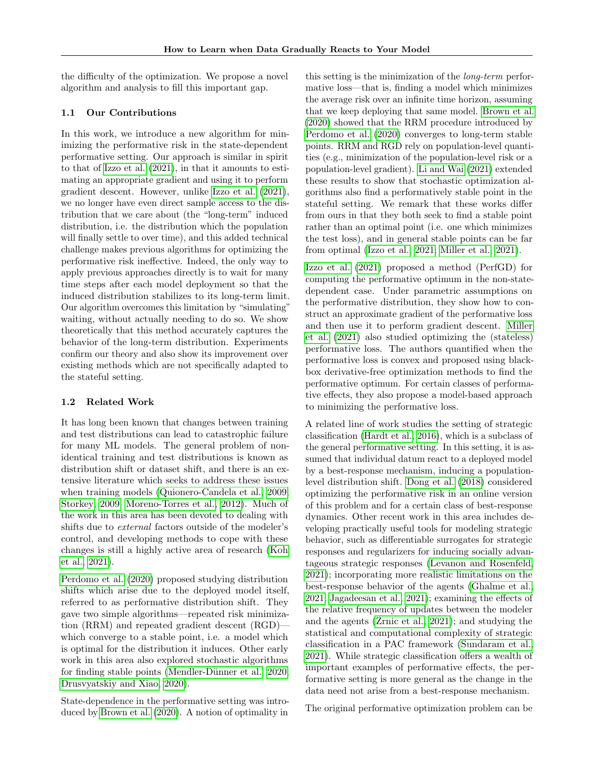the difficulty of the optimization. We propose a novel algorithm and analysis to fill this important gap.

### 1.1 Our Contributions

In this work, we introduce a new algorithm for minimizing the performative risk in the state-dependent performative setting. Our approach is similar in spirit to that of [Izzo et al.](#page-9-1) [\(2021\)](#page-9-1), in that it amounts to estimating an appropriate gradient and using it to perform gradient descent. However, unlike [Izzo et al.](#page-9-1) [\(2021\)](#page-9-1), we no longer have even direct sample access to the distribution that we care about (the "long-term" induced distribution, i.e. the distribution which the population will finally settle to over time), and this added technical challenge makes previous algorithms for optimizing the performative risk ineffective. Indeed, the only way to apply previous approaches directly is to wait for many time steps after each model deployment so that the induced distribution stabilizes to its long-term limit. Our algorithm overcomes this limitation by "simulating" waiting, without actually needing to do so. We show theoretically that this method accurately captures the behavior of the long-term distribution. Experiments confirm our theory and also show its improvement over existing methods which are not specifically adapted to the stateful setting.

### 1.2 Related Work

It has long been known that changes between training and test distributions can lead to catastrophic failure for many ML models. The general problem of nonidentical training and test distributions is known as distribution shift or dataset shift, and there is an extensive literature which seeks to address these issues when training models [\(Quionero-Candela et al., 2009;](#page-9-2) [Storkey, 2009;](#page-9-3) [Moreno-Torres et al., 2012\)](#page-9-4). Much of the work in this area has been devoted to dealing with shifts due to external factors outside of the modeler's control, and developing methods to cope with these changes is still a highly active area of research [\(Koh](#page-9-5) [et al., 2021\)](#page-9-5).

[Perdomo et al.](#page-9-0) [\(2020\)](#page-9-0) proposed studying distribution shifts which arise due to the deployed model itself, referred to as performative distribution shift. They gave two simple algorithms—repeated risk minimization (RRM) and repeated gradient descent (RGD) which converge to a stable point, i.e. a model which is optimal for the distribution it induces. Other early work in this area also explored stochastic algorithms for finding stable points (Mendler-Dünner et al., 2020; [Drusvyatskiy and Xiao, 2020\)](#page-8-0).

State-dependence in the performative setting was introduced by [Brown et al.](#page-8-1) [\(2020\)](#page-8-1). A notion of optimality in this setting is the minimization of the long-term performative loss—that is, finding a model which minimizes the average risk over an infinite time horizon, assuming that we keep deploying that same model. [Brown et al.](#page-8-1) [\(2020\)](#page-8-1) showed that the RRM procedure introduced by [Perdomo et al.](#page-9-0) [\(2020\)](#page-9-0) converges to long-term stable points. RRM and RGD rely on population-level quantities (e.g., minimization of the population-level risk or a population-level gradient). [Li and Wai](#page-9-7) [\(2021\)](#page-9-7) extended these results to show that stochastic optimization algorithms also find a performatively stable point in the stateful setting. We remark that these works differ from ours in that they both seek to find a stable point rather than an optimal point (i.e. one which minimizes the test loss), and in general stable points can be far from optimal [\(Izzo et al., 2021;](#page-9-1) [Miller et al., 2021\)](#page-9-8).

[Izzo et al.](#page-9-1) [\(2021\)](#page-9-1) proposed a method (PerfGD) for computing the performative optimum in the non-statedependent case. Under parametric assumptions on the performative distribution, they show how to construct an approximate gradient of the performative loss and then use it to perform gradient descent. [Miller](#page-9-8) [et al.](#page-9-8) [\(2021\)](#page-9-8) also studied optimizing the (stateless) performative loss. The authors quantified when the performative loss is convex and proposed using blackbox derivative-free optimization methods to find the performative optimum. For certain classes of performative effects, they also propose a model-based approach to minimizing the performative loss.

A related line of work studies the setting of strategic classification [\(Hardt et al., 2016\)](#page-8-2), which is a subclass of the general performative setting. In this setting, it is assumed that individual datum react to a deployed model by a best-response mechanism, inducing a populationlevel distribution shift. [Dong et al.](#page-8-3) [\(2018\)](#page-8-3) considered optimizing the performative risk in an online version of this problem and for a certain class of best-response dynamics. Other recent work in this area includes developing practically useful tools for modeling strategic behavior, such as differentiable surrogates for strategic responses and regularizers for inducing socially advantageous strategic responses [\(Levanon and Rosenfeld,](#page-9-9) [2021\)](#page-9-9); incorporating more realistic limitations on the best-response behavior of the agents [\(Ghalme et al.,](#page-8-4) [2021;](#page-8-4) [Jagadeesan et al., 2021\)](#page-9-10); examining the effects of the relative frequency of updates between the modeler and the agents [\(Zrnic et al., 2021\)](#page-9-11); and studying the statistical and computational complexity of strategic classification in a PAC framework [\(Sundaram et al.,](#page-9-12) [2021\)](#page-9-12). While strategic classification offers a wealth of important examples of performative effects, the performative setting is more general as the change in the data need not arise from a best-response mechanism.

The original performative optimization problem can be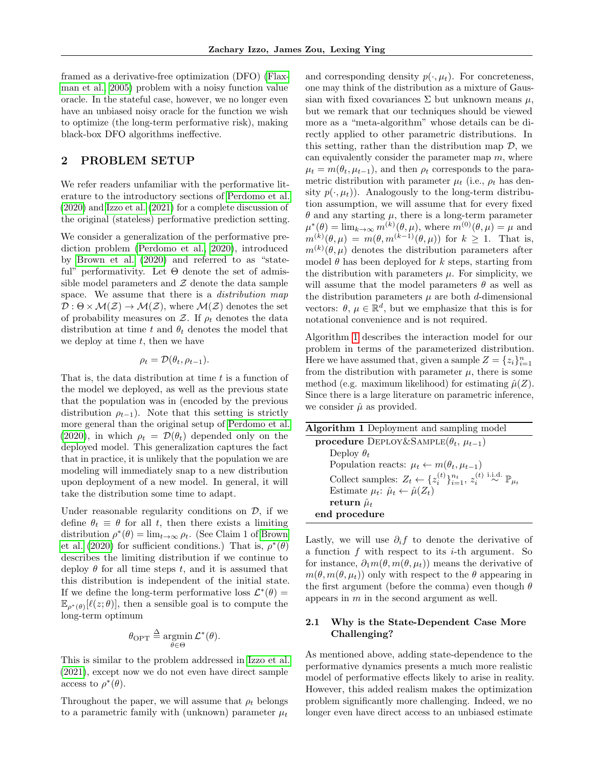framed as a derivative-free optimization (DFO) [\(Flax](#page-8-5)[man et al., 2005\)](#page-8-5) problem with a noisy function value oracle. In the stateful case, however, we no longer even have an unbiased noisy oracle for the function we wish to optimize (the long-term performative risk), making black-box DFO algorithms ineffective.

## <span id="page-2-1"></span>2 PROBLEM SETUP

We refer readers unfamiliar with the performative literature to the introductory sections of [Perdomo et al.](#page-9-0) [\(2020\)](#page-9-0) and [Izzo et al.](#page-9-1) [\(2021\)](#page-9-1) for a complete discussion of the original (stateless) performative prediction setting.

We consider a generalization of the performative prediction problem [\(Perdomo et al., 2020\)](#page-9-0), introduced by [Brown et al.](#page-8-1) [\(2020\)](#page-8-1) and referred to as "stateful" performativity. Let Θ denote the set of admissible model parameters and  $\mathcal Z$  denote the data sample space. We assume that there is a *distribution map*  $\mathcal{D}: \Theta \times \mathcal{M}(\mathcal{Z}) \to \mathcal{M}(\mathcal{Z})$ , where  $\mathcal{M}(\mathcal{Z})$  denotes the set of probability measures on Z. If  $\rho_t$  denotes the data distribution at time t and  $\theta_t$  denotes the model that we deploy at time  $t$ , then we have

$$
\rho_t = \mathcal{D}(\theta_t, \rho_{t-1}).
$$

That is, the data distribution at time  $t$  is a function of the model we deployed, as well as the previous state that the population was in (encoded by the previous distribution  $\rho_{t-1}$ ). Note that this setting is strictly more general than the original setup of [Perdomo et al.](#page-9-0) [\(2020\)](#page-9-0), in which  $\rho_t = \mathcal{D}(\theta_t)$  depended only on the deployed model. This generalization captures the fact that in practice, it is unlikely that the population we are modeling will immediately snap to a new distribution upon deployment of a new model. In general, it will take the distribution some time to adapt.

Under reasonable regularity conditions on  $\mathcal{D}$ , if we define  $\theta_t \equiv \theta$  for all t, then there exists a limiting distribution  $\rho^*(\theta) = \lim_{t \to \infty} \rho_t$ . (See Claim 1 of [Brown](#page-8-1) [et al.](#page-8-1) [\(2020\)](#page-8-1) for sufficient conditions.) That is,  $\rho^*(\theta)$ describes the limiting distribution if we continue to deploy  $\theta$  for all time steps t, and it is assumed that this distribution is independent of the initial state. If we define the long-term performative loss  $\mathcal{L}^*(\theta) =$  $\mathbb{E}_{\rho^*(\theta)}[\ell(z;\theta)],$  then a sensible goal is to compute the long-term optimum

$$
\theta_{\text{OPT}} \stackrel{\Delta}{=} \operatorname*{argmin}_{\theta \in \Theta} \mathcal{L}^*(\theta).
$$

This is similar to the problem addressed in [Izzo et al.](#page-9-1) [\(2021\)](#page-9-1), except now we do not even have direct sample access to  $\rho^*(\theta)$ .

Throughout the paper, we will assume that  $\rho_t$  belongs to a parametric family with (unknown) parameter  $\mu_t$ 

and corresponding density  $p(\cdot, \mu_t)$ . For concreteness, one may think of the distribution as a mixture of Gaussian with fixed covariances  $\Sigma$  but unknown means  $\mu$ , but we remark that our techniques should be viewed more as a "meta-algorithm" whose details can be directly applied to other parametric distributions. In this setting, rather than the distribution map  $\mathcal{D}$ , we can equivalently consider the parameter map  $m$ , where  $\mu_t = m(\theta_t, \mu_{t-1}),$  and then  $\rho_t$  corresponds to the parametric distribution with parameter  $\mu_t$  (i.e.,  $\rho_t$  has density  $p(\cdot, \mu_t)$ . Analogously to the long-term distribution assumption, we will assume that for every fixed  $\theta$  and any starting  $\mu$ , there is a long-term parameter  $\mu^*(\theta) = \lim_{k \to \infty} m^{(k)}(\theta, \mu)$ , where  $m^{(0)}(\theta, \mu) = \mu$  and  $m^{(k)}(\theta,\mu) = m(\theta,m^{(k-1)}(\theta,\mu))$  for  $k \geq 1$ . That is,  $m^{(k)}(\theta,\mu)$  denotes the distribution parameters after model  $\theta$  has been deployed for k steps, starting from the distribution with parameters  $\mu$ . For simplicity, we will assume that the model parameters  $\theta$  as well as the distribution parameters  $\mu$  are both d-dimensional vectors:  $\theta, \mu \in \mathbb{R}^d$ , but we emphasize that this is for notational convenience and is not required.

Algorithm [1](#page-2-0) describes the interaction model for our problem in terms of the parameterized distribution. Here we have assumed that, given a sample  $Z = \{z_i\}_{i=1}^n$ from the distribution with parameter  $\mu$ , there is some method (e.g. maximum likelihood) for estimating  $\hat{\mu}(Z)$ . Since there is a large literature on parametric inference, we consider  $\hat{\mu}$  as provided.

<span id="page-2-0"></span>

| Algorithm 1 Deployment and sampling model                                                                                |
|--------------------------------------------------------------------------------------------------------------------------|
| <b>procedure</b> DEPLOY&SAMPLE( $\theta_t$ , $\mu_{t-1}$ )                                                               |
| Deploy $\theta_t$                                                                                                        |
| Population reacts: $\mu_t \leftarrow m(\theta_t, \mu_{t-1})$                                                             |
| Collect samples: $Z_t \leftarrow \{z_i^{(t)}\}_{i=1}^{n_t}, z_i^{(t)} \stackrel{\text{i.i.d.}}{\sim} \mathbb{P}_{\mu_t}$ |
| Estimate $\mu_t$ : $\hat{\mu}_t \leftarrow \hat{\mu}(Z_t)$                                                               |
| return $\hat{\mu}_t$                                                                                                     |
| end procedure                                                                                                            |

Lastly, we will use  $\partial_i f$  to denote the derivative of a function  $f$  with respect to its  $i$ -th argument. So for instance,  $\partial_1 m(\theta, m(\theta, \mu_t))$  means the derivative of  $m(\theta, m(\theta, \mu_t))$  only with respect to the  $\theta$  appearing in the first argument (before the comma) even though  $\theta$ appears in  $m$  in the second argument as well.

## 2.1 Why is the State-Dependent Case More Challenging?

As mentioned above, adding state-dependence to the performative dynamics presents a much more realistic model of performative effects likely to arise in reality. However, this added realism makes the optimization problem significantly more challenging. Indeed, we no longer even have direct access to an unbiased estimate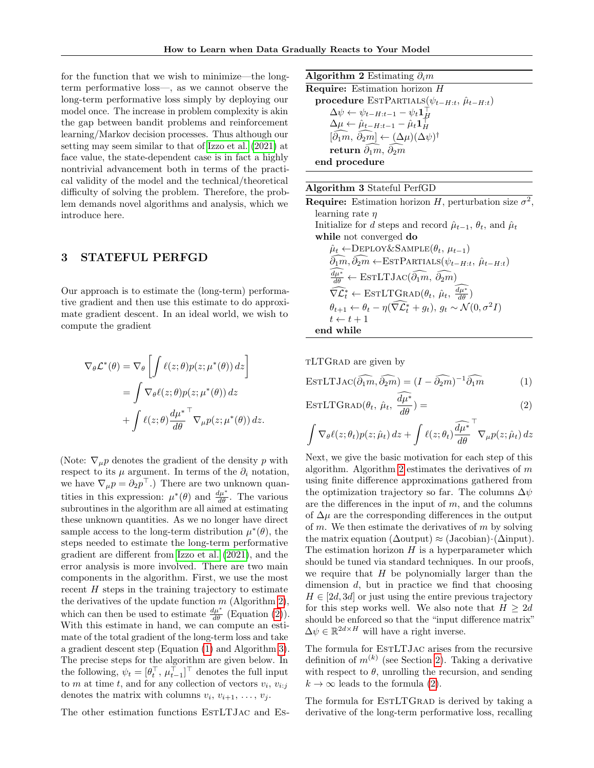for the function that we wish to minimize—the longterm performative loss—, as we cannot observe the long-term performative loss simply by deploying our model once. The increase in problem complexity is akin the gap between bandit problems and reinforcement learning/Markov decision processes. Thus although our setting may seem similar to that of [Izzo et al.](#page-9-1) [\(2021\)](#page-9-1) at face value, the state-dependent case is in fact a highly nontrivial advancement both in terms of the practical validity of the model and the technical/theoretical difficulty of solving the problem. Therefore, the problem demands novel algorithms and analysis, which we introduce here.

## 3 STATEFUL PERFGD

Our approach is to estimate the (long-term) performative gradient and then use this estimate to do approximate gradient descent. In an ideal world, we wish to compute the gradient

$$
\nabla_{\theta} \mathcal{L}^*(\theta) = \nabla_{\theta} \left[ \int \ell(z; \theta) p(z; \mu^*(\theta)) dz \right]
$$
  
= 
$$
\int \nabla_{\theta} \ell(z; \theta) p(z; \mu^*(\theta)) dz
$$
  
+ 
$$
\int \ell(z; \theta) \frac{d\mu^*}{d\theta} \nabla_{\mu} p(z; \mu^*(\theta)) dz.
$$

(Note:  $\nabla_{\mu} p$  denotes the gradient of the density p with respect to its  $\mu$  argument. In terms of the  $\partial_i$  notation, we have  $\nabla_{\mu} p = \partial_2 p^{\top}$ .) There are two unknown quantities in this expression:  $\mu^*(\theta)$  and  $\frac{d\mu^*}{d\theta}$ . The various subroutines in the algorithm are all aimed at estimating these unknown quantities. As we no longer have direct sample access to the long-term distribution  $\mu^*(\theta)$ , the steps needed to estimate the long-term performative gradient are different from [Izzo et al.](#page-9-1) [\(2021\)](#page-9-1), and the error analysis is more involved. There are two main components in the algorithm. First, we use the most recent  $H$  steps in the training trajectory to estimate the derivatives of the update function  $m$  (Algorithm [2\)](#page-3-0), which can then be used to estimate  $\frac{d\mu^*}{d\theta}$  (Equation [\(2\)](#page-3-1)). With this estimate in hand, we can compute an estimate of the total gradient of the long-term loss and take a gradient descent step (Equation [\(1\)](#page-3-2) and Algorithm [3\)](#page-3-3). The precise steps for the algorithm are given below. In the following,  $\psi_t = [\theta_t^\top, \mu_{t-1}^\top]^\top$  denotes the full input to m at time t, and for any collection of vectors  $v_i, v_{i:j}$ denotes the matrix with columns  $v_i, v_{i+1}, \ldots, v_j$ .

The other estimation functions ESTLTJAC and ES-

Algorithm 2 Estimating  $\partial_i m$ 

<span id="page-3-0"></span>Require: Estimation horizon H procedure ESTPARTIALS( $\psi_{t-H:t}, \hat{\mu}_{t-H:t}$ )  $\Delta \psi \leftarrow \psi_{t-H:t-1} - \psi_t \mathbf{1}_{\underline{H}}^{\top}$  $\Delta \mu \leftarrow \hat{\mu}_{t-H:t-1} - \hat{\mu}_t \mathbf{1}_H^\top$  $[\widehat{\partial_1 m}, \ \widehat{\partial_2 m}] \leftarrow (\Delta \mu) (\Delta \psi)^{\dagger}$ return  $\bar{\partial}_1\hat{m}$ ,  $\bar{\partial}_2\hat{m}$ end procedure

### Algorithm 3 Stateful PerfGD

<span id="page-3-3"></span>**Require:** Estimation horizon H, perturbation size  $\sigma^2$ , learning rate  $\eta$ Initialize for d steps and record  $\hat{\mu}_{t-1}, \theta_t$ , and  $\hat{\mu}_t$ while not converged do  $\hat{\mu}_t \leftarrow$ DEPLOY&SAMPLE $(\theta_t, \mu_{t-1})$  $\widehat{\partial_1 m}, \widehat{\partial_2 m} \leftarrow \text{ESTPARTLS}(\psi_{t-H:t}, \hat{\mu}_{t-H:t})$  $\frac{d\mu^*}{d\theta} \leftarrow \text{ESTLTJac}(\widehat{\partial_1 m}, \widehat{\partial_2 m})$  $\widehat{\nabla \mathcal{L}_t^*} \leftarrow \text{ESTLTGRAD}(\theta_t, \hat{\mu}_t, \frac{d\mu^*}{d\theta})$  $\theta_{t+1} \leftarrow \theta_t - \eta(\widehat{\nabla} \widehat{\mathcal{L}_t^*} + g_t), g_t \sim \mathcal{N}(0, \sigma^2 I)$  $t \leftarrow t + 1$ end while

tLTGrad are given by

<span id="page-3-2"></span>
$$
\text{EstLTJac}(\widehat{\partial_1 m}, \widehat{\partial_2 m}) = (I - \widehat{\partial_2 m})^{-1} \widehat{\partial_1 m} \tag{1}
$$

$$
\text{ESTLTGraph}(\theta_t, \hat{\mu}_t, \frac{d\mu^*}{d\theta}) = \tag{2}
$$

<span id="page-3-1"></span>
$$
\int \nabla_{\theta} \ell(z; \theta_t) p(z; \hat{\mu}_t) dz + \int \ell(z; \theta_t) \widehat{\frac{d\mu^*}{d\theta}}^{\top} \nabla_{\mu} p(z; \hat{\mu}_t) dz
$$

Next, we give the basic motivation for each step of this algorithm. Algorithm [2](#page-3-0) estimates the derivatives of  $m$ using finite difference approximations gathered from the optimization trajectory so far. The columns  $\Delta \psi$ are the differences in the input of  $m$ , and the columns of  $\Delta\mu$  are the corresponding differences in the output of m. We then estimate the derivatives of m by solving the matrix equation ( $\Delta$ output) ≈ (Jacobian) $\cdot$ ( $\Delta$ input). The estimation horizon  $H$  is a hyperparameter which should be tuned via standard techniques. In our proofs, we require that  $H$  be polynomially larger than the dimension d, but in practice we find that choosing  $H \in [2d, 3d]$  or just using the entire previous trajectory for this step works well. We also note that  $H \geq 2d$ should be enforced so that the "input difference matrix"  $\Delta \psi \in \mathbb{R}^{2d \times H}$  will have a right inverse.

The formula for EstLTJac arises from the recursive definition of  $m^{(k)}$  (see Section [2\)](#page-2-1). Taking a derivative with respect to  $\theta$ , unrolling the recursion, and sending  $k \to \infty$  leads to the formula [\(2\)](#page-3-1).

The formula for ESTLTGRAD is derived by taking a derivative of the long-term performative loss, recalling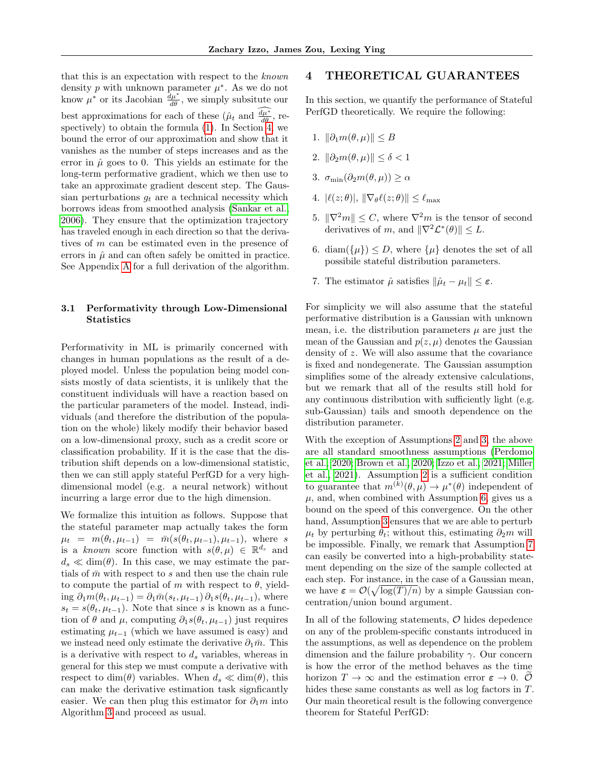that this is an expectation with respect to the known density  $p$  with unknown parameter  $\mu^*$ . As we do not know  $\mu^*$  or its Jacobian  $\frac{\partial \mu^*}{\partial \theta}$ , we simply subsitute our best approximations for each of these  $(\hat{\mu}_t \text{ and } \frac{d\mu^*}{d\theta})$ , respectively) to obtain the formula  $(1)$ . In Section [4,](#page-4-0) we bound the error of our approximation and show that it vanishes as the number of steps increases and as the error in  $\hat{\mu}$  goes to 0. This yields an estimate for the long-term performative gradient, which we then use to take an approximate gradient descent step. The Gaussian perturbations  $q_t$  are a technical necessity which borrows ideas from smoothed analysis [\(Sankar et al.,](#page-9-13) [2006\)](#page-9-13). They ensure that the optimization trajectory has traveled enough in each direction so that the derivatives of m can be estimated even in the presence of errors in  $\hat{\mu}$  and can often safely be omitted in practice. See Appendix [A](#page-10-0) for a full derivation of the algorithm.

## <span id="page-4-5"></span>3.1 Performativity through Low-Dimensional **Statistics**

Performativity in ML is primarily concerned with changes in human populations as the result of a deployed model. Unless the population being model consists mostly of data scientists, it is unlikely that the constituent individuals will have a reaction based on the particular parameters of the model. Instead, individuals (and therefore the distribution of the population on the whole) likely modify their behavior based on a low-dimensional proxy, such as a credit score or classification probability. If it is the case that the distribution shift depends on a low-dimensional statistic, then we can still apply stateful PerfGD for a very highdimensional model (e.g. a neural network) without incurring a large error due to the high dimension.

We formalize this intuition as follows. Suppose that the stateful parameter map actually takes the form  $\mu_t = m(\theta_t, \mu_{t-1}) = \bar{m}(s(\theta_t, \mu_{t-1}), \mu_{t-1}),$  where s is a known score function with  $s(\theta, \mu) \in \mathbb{R}^{d_s}$  and  $d_s \ll \dim(\theta)$ . In this case, we may estimate the partials of  $\bar{m}$  with respect to s and then use the chain rule to compute the partial of m with respect to  $\theta$ , yielding  $\partial_1 m(\theta_t, \mu_{t-1}) = \partial_1 \bar{m}(s_t, \mu_{t-1}) \partial_1 s(\theta_t, \mu_{t-1}),$  where  $s_t = s(\theta_t, \mu_{t-1})$ . Note that since s is known as a function of  $\theta$  and  $\mu$ , computing  $\partial_1 s(\theta_t, \mu_{t-1})$  just requires estimating  $\mu_{t-1}$  (which we have assumed is easy) and we instead need only estimate the derivative  $\partial_1 \bar{m}$ . This is a derivative with respect to  $d_s$  variables, whereas in general for this step we must compute a derivative with respect to dim( $\theta$ ) variables. When  $d_s \ll \dim(\theta)$ , this can make the derivative estimation task signficantly easier. We can then plug this estimator for  $\partial_1 m$  into Algorithm [3](#page-3-3) and proceed as usual.

## <span id="page-4-0"></span>4 THEORETICAL GUARANTEES

In this section, we quantify the performance of Stateful PerfGD theoretically. We require the following:

- <span id="page-4-6"></span>1.  $\|\partial_1 m(\theta,\mu)\| \leq B$
- <span id="page-4-1"></span>2.  $\|\partial_2m(\theta,\mu)\| \leq \delta \leq 1$
- <span id="page-4-2"></span>3.  $\sigma_{\min}(\partial_2 m(\theta,\mu)) \geq \alpha$
- <span id="page-4-8"></span>4.  $|\ell(z; \theta)|, \|\nabla_{\theta} \ell(z; \theta)\| \leq \ell_{\max}$
- <span id="page-4-7"></span>5.  $\|\nabla^2m\| \leq C$ , where  $\nabla^2m$  is the tensor of second derivatives of m, and  $\|\nabla^2 \mathcal{L}^*(\theta)\| \leq L$ .
- <span id="page-4-3"></span>6. diam( $\{\mu\}$ )  $\leq D$ , where  $\{\mu\}$  denotes the set of all possibile stateful distribution parameters.
- <span id="page-4-4"></span>7. The estimator  $\hat{\mu}$  satisfies  $\|\hat{\mu}_t - \mu_t\| \leq \varepsilon$ .

For simplicity we will also assume that the stateful performative distribution is a Gaussian with unknown mean, i.e. the distribution parameters  $\mu$  are just the mean of the Gaussian and  $p(z, \mu)$  denotes the Gaussian density of z. We will also assume that the covariance is fixed and nondegenerate. The Gaussian assumption simplifies some of the already extensive calculations, but we remark that all of the results still hold for any continuous distribution with sufficiently light (e.g. sub-Gaussian) tails and smooth dependence on the distribution parameter.

With the exception of Assumptions [2](#page-4-1) and [3,](#page-4-2) the above are all standard smoothness assumptions [\(Perdomo](#page-9-0) [et al., 2020;](#page-9-0) [Brown et al., 2020;](#page-8-1) [Izzo et al., 2021;](#page-9-1) [Miller](#page-9-8) [et al., 2021\)](#page-9-8). Assumption [2](#page-4-1) is a sufficient condition to guarantee that  $m^{(k)}(\theta,\mu) \to \mu^*(\theta)$  independent of  $\mu$ , and, when combined with Assumption [6,](#page-4-3) gives us a bound on the speed of this convergence. On the other hand, Assumption [3](#page-4-2) ensures that we are able to perturb  $\mu_t$  by perturbing  $\theta_t$ ; without this, estimating  $\partial_2m$  will be impossible. Finally, we remark that Assumption [7](#page-4-4) can easily be converted into a high-probability statement depending on the size of the sample collected at each step. For instance, in the case of a Gaussian mean, we have  $\varepsilon = \mathcal{O}(\sqrt{\log(T)/n})$  by a simple Gaussian concentration/union bound argument.

In all of the following statements,  $\mathcal O$  hides depedence on any of the problem-specific constants introduced in the assumptions, as well as dependence on the problem dimension and the failure probability  $\gamma$ . Our concern is how the error of the method behaves as the time horizon  $T \to \infty$  and the estimation error  $\varepsilon \to 0$ .  $\mathcal{O}$ hides these same constants as well as log factors in T. Our main theoretical result is the following convergence theorem for Stateful PerfGD: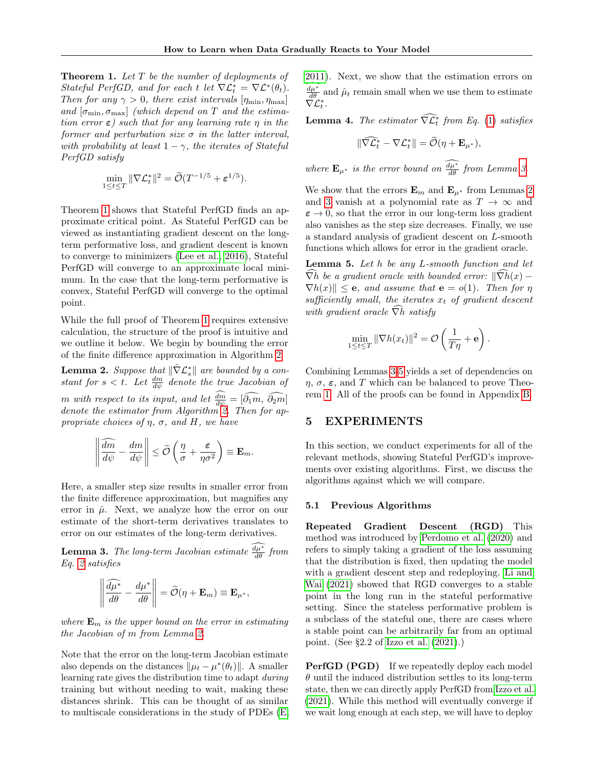<span id="page-5-0"></span>**Theorem 1.** Let  $T$  be the number of deployments of Stateful PerfGD, and for each t let  $\nabla \mathcal{L}_t^* = \nabla \mathcal{L}^*(\theta_t)$ . Then for any  $\gamma > 0$ , there exist intervals  $[\eta_{\min}, \eta_{\max}]$ and  $[\sigma_{\min}, \sigma_{\max}]$  (which depend on T and the estimation error  $\varepsilon$ ) such that for any learning rate  $\eta$  in the former and perturbation size  $\sigma$  in the latter interval, with probability at least  $1 - \gamma$ , the iterates of Stateful PerfGD satisfy

$$
\min_{1 \leq t \leq T} \|\nabla \mathcal{L}_t^*\|^2 = \widetilde{\mathcal{O}}(T^{-1/5} + \varepsilon^{1/5}).
$$

Theorem [1](#page-5-0) shows that Stateful PerfGD finds an approximate critical point. As Stateful PerfGD can be viewed as instantiating gradient descent on the longterm performative loss, and gradient descent is known to converge to minimizers [\(Lee et al., 2016\)](#page-9-14), Stateful PerfGD will converge to an approximate local minimum. In the case that the long-term performative is convex, Stateful PerfGD will converge to the optimal point.

While the full proof of Theorem [1](#page-5-0) requires extensive calculation, the structure of the proof is intuitive and we outline it below. We begin by bounding the error of the finite difference approximation in Algorithm [2.](#page-3-0)

<span id="page-5-1"></span>**Lemma 2.** Suppose that  $\|\hat{\nabla}\mathcal{L}_s^*\|$  are bounded by a constant for  $s < t$ . Let  $\frac{dm}{d\psi}$  denote the true Jacobian of m with respect to its input, and let  $\frac{dm}{d\psi} = [\hat{\partial}_1 \hat{m}, \hat{\partial}_2 \hat{m}]$ <br>denote the estimator from Algorithm [2.](#page-3-0) Then for appropriate choices of  $\eta$ ,  $\sigma$ , and H, we have

$$
\left\|\frac{\widehat{dm}}{d\psi}-\frac{dm}{d\psi}\right\|\leq \widetilde{\mathcal{O}}\left(\frac{\eta}{\sigma}+\frac{\varepsilon}{\eta\sigma^2}\right)\equiv \mathbf{E}_m.
$$

Here, a smaller step size results in smaller error from the finite difference approximation, but magnifies any error in  $\hat{\mu}$ . Next, we analyze how the error on our estimate of the short-term derivatives translates to error on our estimates of the long-term derivatives.

<span id="page-5-2"></span>**Lemma 3.** The long-term Jacobian estimate  $\frac{d\mu^*}{d\theta}$  from Eq. [2](#page-3-1) satisfies

$$
\left\|\frac{\widehat{d\mu^*}}{d\theta} - \frac{d\mu^*}{d\theta}\right\| = \widetilde{\mathcal{O}}(\eta + \mathbf{E}_m) \equiv \mathbf{E}_{\mu^*},
$$

where  $\mathbf{E}_m$  is the upper bound on the error in estimating the Jacobian of m from Lemma [2.](#page-5-1)

Note that the error on the long-term Jacobian estimate also depends on the distances  $\|\mu_t - \mu^*(\theta_t)\|$ . A smaller learning rate gives the distribution time to adapt during training but without needing to wait, making these distances shrink. This can be thought of as similar to multiscale considerations in the study of PDEs [\(E,](#page-8-6) [2011\)](#page-8-6). Next, we show that the estimation errors on  $\frac{d\mu^*}{d\theta}$  and  $\hat{\mu}_t$  remain small when we use them to estimate  $\breve{\nabla}\mathcal{L}^*_t.$ 

<span id="page-5-4"></span>**Lemma 4.** The estimator  $\widehat{\nabla} \widetilde{\mathcal{L}}_t^*$  from Eq. [\(1\)](#page-3-2) satisfies

$$
\|\widehat{\nabla \mathcal{L}_t^*} - \nabla \mathcal{L}_t^*\| = \widetilde{\mathcal{O}}(\eta + \mathbf{E}_{\mu^*}),
$$

where  $\mathbf{E}_{\mu^*}$  is the error bound on  $\frac{d\mu^*}{d\theta}$  from Lemma [3.](#page-5-2)

We show that the errors  $\mathbf{E}_m$  and  $\mathbf{E}_{\mu^*}$  from Lemmas [2](#page-5-1) and [3](#page-5-2) vanish at a polynomial rate as  $T \to \infty$  and  $\varepsilon \to 0$ , so that the error in our long-term loss gradient also vanishes as the step size decreases. Finally, we use a standard analysis of gradient descent on L-smooth functions which allows for error in the gradient oracle.

<span id="page-5-3"></span>Lemma 5. Let h be any L-smooth function and let  $\overline{\nabla}h$  be a gradient oracle with bounded error:  $\|\overline{\nabla}h(x) \nabla h(x)$   $\leq$  e, and assume that  $e = o(1)$ . Then for  $\eta$ sufficiently small, the iterates  $x_t$  of gradient descent with gradient oracle  $\widehat{\nabla}h$  satisfy

$$
\min_{1 \leq t \leq T} \|\nabla h(x_t)\|^2 = \mathcal{O}\left(\frac{1}{T\eta} + \mathbf{e}\right).
$$

Combining Lemmas [3-](#page-5-2)[5](#page-5-3) yields a set of dependencies on  $\eta$ ,  $\sigma$ ,  $\varepsilon$ , and T which can be balanced to prove Theorem [1.](#page-5-0) All of the proofs can be found in Appendix [B.](#page-10-1)

## 5 EXPERIMENTS

In this section, we conduct experiments for all of the relevant methods, showing Stateful PerfGD's improvements over existing algorithms. First, we discuss the algorithms against which we will compare.

### 5.1 Previous Algorithms

Repeated Gradient Descent (RGD) This method was introduced by [Perdomo et al.](#page-9-0) [\(2020\)](#page-9-0) and refers to simply taking a gradient of the loss assuming that the distribution is fixed, then updating the model with a gradient descent step and redeploying. [Li and](#page-9-7) [Wai](#page-9-7) [\(2021\)](#page-9-7) showed that RGD converges to a stable point in the long run in the stateful performative setting. Since the stateless performative problem is a subclass of the stateful one, there are cases where a stable point can be arbitrarily far from an optimal point. (See §2.2 of [Izzo et al.](#page-9-1) [\(2021\)](#page-9-1).)

**PerfGD (PGD)** If we repeatedly deploy each model  $\theta$  until the induced distribution settles to its long-term state, then we can directly apply PerfGD from [Izzo et al.](#page-9-1) [\(2021\)](#page-9-1). While this method will eventually converge if we wait long enough at each step, we will have to deploy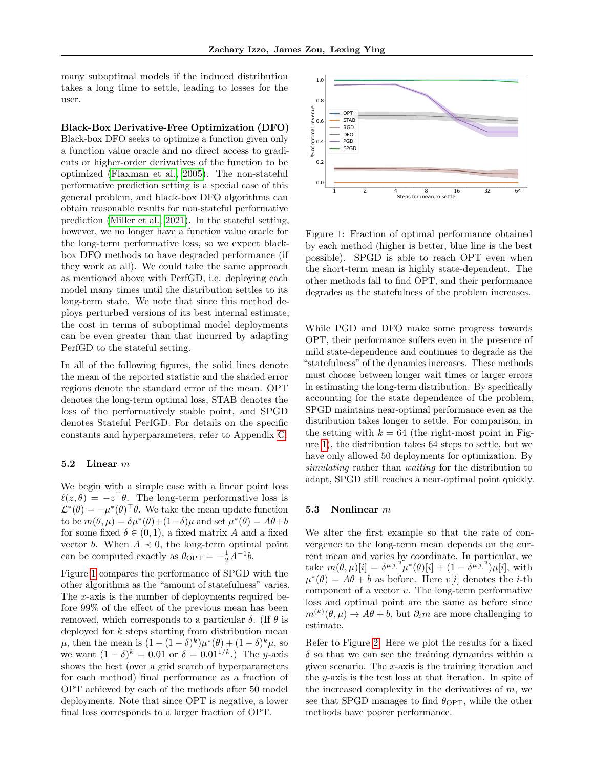many suboptimal models if the induced distribution takes a long time to settle, leading to losses for the user.

### Black-Box Derivative-Free Optimization (DFO)

Black-box DFO seeks to optimize a function given only a function value oracle and no direct access to gradients or higher-order derivatives of the function to be optimized [\(Flaxman et al., 2005\)](#page-8-5). The non-stateful performative prediction setting is a special case of this general problem, and black-box DFO algorithms can obtain reasonable results for non-stateful performative prediction [\(Miller et al., 2021\)](#page-9-8). In the stateful setting, however, we no longer have a function value oracle for the long-term performative loss, so we expect blackbox DFO methods to have degraded performance (if they work at all). We could take the same approach as mentioned above with PerfGD, i.e. deploying each model many times until the distribution settles to its long-term state. We note that since this method deploys perturbed versions of its best internal estimate, the cost in terms of suboptimal model deployments can be even greater than that incurred by adapting PerfGD to the stateful setting. general problem, and black-hot Distribution can be the set of the problem of the set of the set of  $\sim$  10  $\mu$  is a state of the set of  $\sim$  10  $\mu$  is a larger in the set of the set of  $\sim$  12 4 8 16 82 64 8 16 16 8 16

In all of the following figures, the solid lines denote the mean of the reported statistic and the shaded error regions denote the standard error of the mean. OPT denotes the long-term optimal loss, STAB denotes the loss of the performatively stable point, and SPGD denotes Stateful PerfGD. For details on the specific constants and hyperparameters, refer to Appendix [C.](#page-34-0)

### <span id="page-6-1"></span>5.2 Linear  $m$

We begin with a simple case with a linear point loss  $\ell(z,\theta) = -z^{\top}\theta$ . The long-term performative loss is  $\mathcal{L}^*(\theta) = -\mu^*(\theta)^\top \theta$ . We take the mean update function to be  $m(\theta, \mu) = \delta \mu^*(\theta) + (1 - \delta)\mu$  and set  $\mu^*(\theta) = A\theta + b$ for some fixed  $\delta \in (0,1)$ , a fixed matrix A and a fixed vector b. When  $A \prec 0$ , the long-term optimal point can be computed exactly as  $\theta_{\text{OPT}} = -\frac{1}{2}A^{-1}b$ .

Figure [1](#page-6-0) compares the performance of SPGD with the other algorithms as the "amount of statefulness" varies. The  $x$ -axis is the number of deployments required before 99% of the effect of the previous mean has been removed, which corresponds to a particular  $\delta$ . (If  $\theta$  is deployed for  $k$  steps starting from distribution mean  $\mu$ , then the mean is  $(1 - (1 - \delta)^k)\mu^*(\theta) + (1 - \delta)^k\mu$ , so we want  $(1 - \delta)^k = 0.01$  or  $\delta = 0.01^{1/k}$ .) The y-axis shows the best (over a grid search of hyperparameters for each method) final performance as a fraction of OPT achieved by each of the methods after 50 model deployments. Note that since OPT is negative, a lower



<span id="page-6-0"></span>Figure 1: Fraction of optimal performance obtained by each method (higher is better, blue line is the best possible). SPGD is able to reach OPT even when the short-term mean is highly state-dependent. The other methods fail to find OPT, and their performance degrades as the statefulness of the problem increases.

While PGD and DFO make some progress towards OPT, their performance suffers even in the presence of mild state-dependence and continues to degrade as the "statefulness" of the dynamics increases. These methods must choose between longer wait times or larger errors in estimating the long-term distribution. By specifically accounting for the state dependence of the problem, SPGD maintains near-optimal performance even as the distribution takes longer to settle. For comparison, in the setting with  $k = 64$  (the right-most point in Figure [1\)](#page-6-0), the distribution takes 64 steps to settle, but we have only allowed 50 deployments for optimization. By simulating rather than waiting for the distribution to adapt, SPGD still reaches a near-optimal point quickly.

### <span id="page-6-2"></span>5.3 Nonlinear m

We alter the first example so that the rate of convergence to the long-term mean depends on the current mean and varies by coordinate. In particular, we take  $m(\theta, \mu)[i] = \delta^{\mu[i]^2} \mu^*(\theta)[i] + (1 - \delta^{\mu[i]^2})\mu[i],$  with  $\mu^*(\theta) = A\theta + b$  as before. Here  $v[i]$  denotes the *i*-th component of a vector v. The long-term performative loss and optimal point are the same as before since  $m^{(k)}(\theta,\mu) \to A\theta + b$ , but  $\partial_i m$  are more challenging to estimate.

Refer to Figure [2.](#page-7-0) Here we plot the results for a fixed  $\delta$  so that we can see the training dynamics within a given scenario. The  $x$ -axis is the training iteration and the y-axis is the test loss at that iteration. In spite of the increased complexity in the derivatives of  $m$ , we see that SPGD manages to find  $\theta_{\text{OPT}}$ , while the other methods have poorer performance.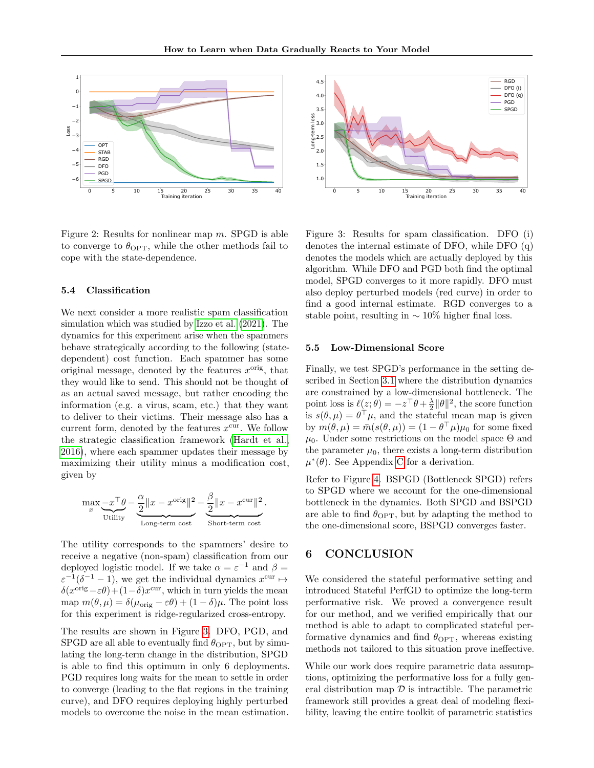

Figure 2: Results for nonlinear map  $m$ . SPGD is able to converge to  $\theta_{\text{OPT}}$ , while the other methods fail to cope with the state-dependence.

### <span id="page-7-2"></span>5.4 Classification

<span id="page-7-0"></span>We next consider a more realistic spam classification simulation which was studied by [Izzo et al.](#page-9-1) [\(2021\)](#page-9-1). The dynamics for this experiment arise when the spammers behave strategically according to the following (statedependent) cost function. Each spammer has some original message, denoted by the features  $x^{\text{orig}}$ , that they would like to send. This should not be thought of as an actual saved message, but rather encoding the information (e.g. a virus, scam, etc.) that they want to deliver to their victims. Their message also has a current form, denoted by the features  $x^{\text{cur}}$ . We follow the strategic classification framework [\(Hardt et al.,](#page-8-2) [2016\)](#page-8-2), where each spammer updates their message by maximizing their utility minus a modification cost, given by Figure 2. The signal model of the non-<br>signal model of the noise in the mean estimation. DFO to overcome the noise in the mean estimation of the mean estimation of the noise in the mean estimation. The mean estimation of

$$
\max_{x} \underbrace{-x^\top \theta}_{\text{Utility}} - \underbrace{\frac{\alpha}{2} \|x - x^{\text{orig}}\|^2}_{\text{Long-term cost}} - \underbrace{\frac{\beta}{2} \|x - x^{\text{cur}}\|^2}_{\text{Short-term cost}}.
$$

The utility corresponds to the spammers' desire to receive a negative (non-spam) classification from our deployed logistic model. If we take  $\alpha = \varepsilon^{-1}$  and  $\beta =$  $\varepsilon^{-1}(\delta^{-1} - 1)$ , we get the individual dynamics  $x^{\text{cur}} \mapsto$  $\delta(x^{\text{orig}} - \varepsilon \theta) + (1 - \delta)x^{\text{cur}}$ , which in turn yields the mean map  $m(\theta, \mu) = \delta(\mu_{\text{orig}} - \varepsilon \theta) + (1 - \delta)\mu$ . The point loss for this experiment is ridge-regularized cross-entropy.

The results are shown in Figure [3.](#page-7-1) DFO, PGD, and SPGD are all able to eventually find  $\theta_{\text{OPT}}$ , but by simulating the long-term change in the distribution, SPGD is able to find this optimum in only 6 deployments. PGD requires long waits for the mean to settle in order to converge (leading to the flat regions in the training curve), and DFO requires deploying highly perturbed



<span id="page-7-1"></span>Figure 3: Results for spam classification. DFO (i) denotes the internal estimate of DFO, while DFO (q) denotes the models which are actually deployed by this algorithm. While DFO and PGD both find the optimal model, SPGD converges to it more rapidly. DFO must also deploy perturbed models (red curve) in order to find a good internal estimate. RGD converges to a stable point, resulting in  $\sim 10\%$  higher final loss.

### 5.5 Low-Dimensional Score

Finally, we test SPGD's performance in the setting described in Section [3.1](#page-4-5) where the distribution dynamics are constrained by a low-dimensional bottleneck. The point loss is  $\ell(z; \theta) = -z^\top \theta + \frac{\lambda}{2} ||\theta||^2$ , the score function is  $s(\theta, \mu) = \theta^{\top} \mu$ , and the stateful mean map is given by  $m(\theta, \mu) = \bar{m}(s(\theta, \mu)) = (1 - \theta^{\top} \mu)\mu_0$  for some fixed  $\mu_0$ . Under some restrictions on the model space  $\Theta$  and the parameter  $\mu_0$ , there exists a long-term distribution  $\mu^*(\theta)$ . See Appendix [C](#page-34-0) for a derivation.

Refer to Figure [4.](#page-8-7) BSPGD (Bottleneck SPGD) refers to SPGD where we account for the one-dimensional bottleneck in the dynamics. Both SPGD and BSPGD are able to find  $\theta_{\text{OPT}}$ , but by adapting the method to the one-dimensional score, BSPGD converges faster.

## 6 CONCLUSION

We considered the stateful performative setting and introduced Stateful PerfGD to optimize the long-term performative risk. We proved a convergence result for our method, and we verified empirically that our method is able to adapt to complicated stateful performative dynamics and find  $\theta_{\text{OPT}}$ , whereas existing methods not tailored to this situation prove ineffective.

While our work does require parametric data assumptions, optimizing the performative loss for a fully general distribution map  $\mathcal D$  is intractible. The parametric framework still provides a great deal of modeling flexibility, leaving the entire toolkit of parametric statistics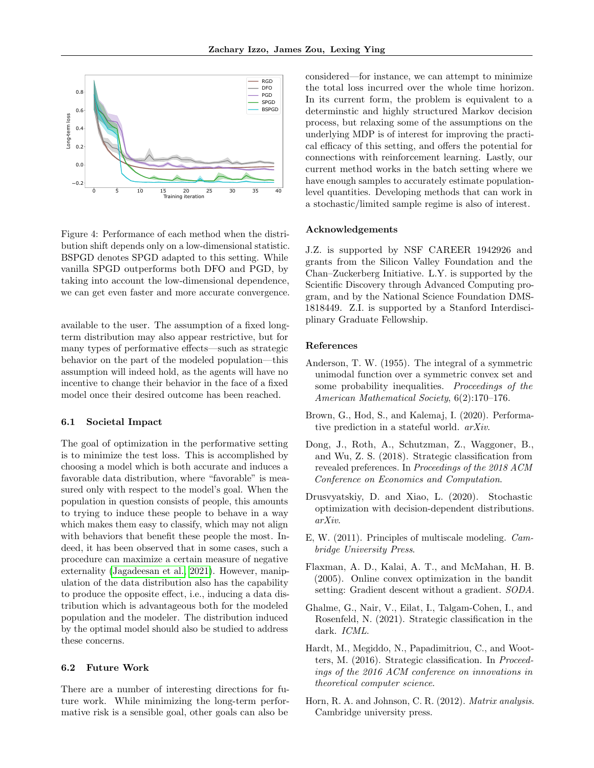

<span id="page-8-7"></span>Figure 4: Performance of each method when the distribution shift depends only on a low-dimensional statistic. BSPGD denotes SPGD adapted to this setting. While vanilla SPGD outperforms both DFO and PGD, by taking into account the low-dimensional dependence, we can get even faster and more accurate convergence.

available to the user. The assumption of a fixed longterm distribution may also appear restrictive, but for many types of performative effects—such as strategic behavior on the part of the modeled population—this assumption will indeed hold, as the agents will have no incentive to change their behavior in the face of a fixed model once their desired outcome has been reached.

### 6.1 Societal Impact

The goal of optimization in the performative setting is to minimize the test loss. This is accomplished by choosing a model which is both accurate and induces a favorable data distribution, where "favorable" is measured only with respect to the model's goal. When the population in question consists of people, this amounts to trying to induce these people to behave in a way which makes them easy to classify, which may not align with behaviors that benefit these people the most. Indeed, it has been observed that in some cases, such a procedure can maximize a certain measure of negative externality [\(Jagadeesan et al., 2021\)](#page-9-10). However, manipulation of the data distribution also has the capability to produce the opposite effect, i.e., inducing a data distribution which is advantageous both for the modeled population and the modeler. The distribution induced by the optimal model should also be studied to address these concerns.

### 6.2 Future Work

There are a number of interesting directions for future work. While minimizing the long-term performative risk is a sensible goal, other goals can also be considered—for instance, we can attempt to minimize the total loss incurred over the whole time horizon. In its current form, the problem is equivalent to a determinstic and highly structured Markov decision process, but relaxing some of the assumptions on the underlying MDP is of interest for improving the practical efficacy of this setting, and offers the potential for connections with reinforcement learning. Lastly, our current method works in the batch setting where we have enough samples to accurately estimate populationlevel quantities. Developing methods that can work in a stochastic/limited sample regime is also of interest.

#### Acknowledgements

J.Z. is supported by NSF CAREER 1942926 and grants from the Silicon Valley Foundation and the Chan–Zuckerberg Initiative. L.Y. is supported by the Scientific Discovery through Advanced Computing program, and by the National Science Foundation DMS-1818449. Z.I. is supported by a Stanford Interdisciplinary Graduate Fellowship.

### References

- <span id="page-8-8"></span>Anderson, T. W. (1955). The integral of a symmetric unimodal function over a symmetric convex set and some probability inequalities. Proceedings of the American Mathematical Society, 6(2):170–176.
- <span id="page-8-1"></span>Brown, G., Hod, S., and Kalemaj, I. (2020). Performative prediction in a stateful world. arXiv.
- <span id="page-8-3"></span>Dong, J., Roth, A., Schutzman, Z., Waggoner, B., and Wu, Z. S. (2018). Strategic classification from revealed preferences. In Proceedings of the 2018 ACM Conference on Economics and Computation.
- <span id="page-8-0"></span>Drusvyatskiy, D. and Xiao, L. (2020). Stochastic optimization with decision-dependent distributions. arXiv.
- <span id="page-8-6"></span>E, W. (2011). Principles of multiscale modeling. Cambridge University Press.
- <span id="page-8-5"></span>Flaxman, A. D., Kalai, A. T., and McMahan, H. B. (2005). Online convex optimization in the bandit setting: Gradient descent without a gradient. SODA.
- <span id="page-8-4"></span>Ghalme, G., Nair, V., Eilat, I., Talgam-Cohen, I., and Rosenfeld, N. (2021). Strategic classification in the dark. ICML.
- <span id="page-8-2"></span>Hardt, M., Megiddo, N., Papadimitriou, C., and Wootters, M. (2016). Strategic classification. In Proceedings of the 2016 ACM conference on innovations in theoretical computer science.
- <span id="page-8-9"></span>Horn, R. A. and Johnson, C. R. (2012). Matrix analysis. Cambridge university press.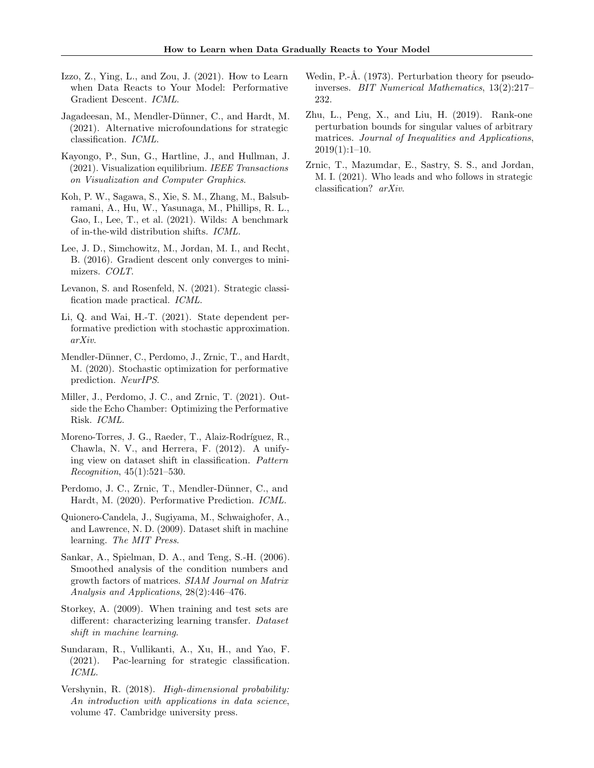- <span id="page-9-1"></span>Izzo,  $Z<sub>1</sub>$ , Ying, L., and Zou, J.  $(2021)$ . How to Learn when Data Reacts to Your Model: Performative Gradient Descent. ICML.
- <span id="page-9-10"></span>Jagadeesan, M., Mendler-Dünner, C., and Hardt, M. (2021). Alternative microfoundations for strategic classification. ICML.
- Kayongo, P., Sun, G., Hartline, J., and Hullman, J. (2021). Visualization equilibrium. IEEE Transactions on Visualization and Computer Graphics.
- <span id="page-9-5"></span>Koh, P. W., Sagawa, S., Xie, S. M., Zhang, M., Balsubramani, A., Hu, W., Yasunaga, M., Phillips, R. L., Gao, I., Lee, T., et al. (2021). Wilds: A benchmark of in-the-wild distribution shifts. ICML.
- <span id="page-9-14"></span>Lee, J. D., Simchowitz, M., Jordan, M. I., and Recht, B. (2016). Gradient descent only converges to minimizers. COLT.
- <span id="page-9-9"></span>Levanon, S. and Rosenfeld, N. (2021). Strategic classification made practical. ICML.
- <span id="page-9-7"></span>Li, Q. and Wai, H.-T. (2021). State dependent performative prediction with stochastic approximation. arXiv.
- <span id="page-9-6"></span>Mendler-Dünner, C., Perdomo, J., Zrnic, T., and Hardt, M. (2020). Stochastic optimization for performative prediction. NeurIPS.
- <span id="page-9-8"></span>Miller, J., Perdomo, J. C., and Zrnic, T. (2021). Outside the Echo Chamber: Optimizing the Performative Risk. ICML.
- <span id="page-9-4"></span>Moreno-Torres, J. G., Raeder, T., Alaiz-Rodríguez, R., Chawla, N. V., and Herrera, F. (2012). A unifying view on dataset shift in classification. Pattern Recognition, 45(1):521–530.
- <span id="page-9-0"></span>Perdomo, J. C., Zrnic, T., Mendler-Dünner, C., and Hardt, M. (2020). Performative Prediction. ICML.
- <span id="page-9-2"></span>Quionero-Candela, J., Sugiyama, M., Schwaighofer, A., and Lawrence, N. D. (2009). Dataset shift in machine learning. The MIT Press.
- <span id="page-9-13"></span>Sankar, A., Spielman, D. A., and Teng, S.-H. (2006). Smoothed analysis of the condition numbers and growth factors of matrices. SIAM Journal on Matrix Analysis and Applications, 28(2):446–476.
- <span id="page-9-3"></span>Storkey, A. (2009). When training and test sets are different: characterizing learning transfer. Dataset shift in machine learning.
- <span id="page-9-12"></span>Sundaram, R., Vullikanti, A., Xu, H., and Yao, F. (2021). Pac-learning for strategic classification. ICML.
- <span id="page-9-15"></span>Vershynin, R. (2018). High-dimensional probability: An introduction with applications in data science, volume 47. Cambridge university press.
- <span id="page-9-16"></span>Wedin, P.-Å. (1973). Perturbation theory for pseudoinverses. BIT Numerical Mathematics, 13(2):217– 232.
- <span id="page-9-17"></span>Zhu, L., Peng, X., and Liu, H. (2019). Rank-one perturbation bounds for singular values of arbitrary matrices. Journal of Inequalities and Applications,  $2019(1):1-10.$
- <span id="page-9-11"></span>Zrnic, T., Mazumdar, E., Sastry, S. S., and Jordan, M. I. (2021). Who leads and who follows in strategic classification? arXiv.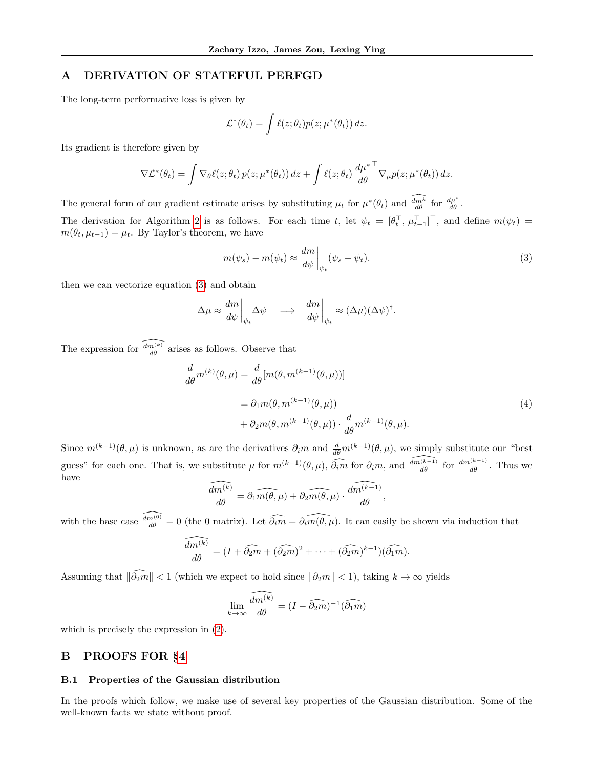## <span id="page-10-0"></span>A DERIVATION OF STATEFUL PERFGD

The long-term performative loss is given by

$$
\mathcal{L}^*(\theta_t) = \int \ell(z; \theta_t) p(z; \mu^*(\theta_t)) dz.
$$

Its gradient is therefore given by

$$
\nabla \mathcal{L}^*(\theta_t) = \int \nabla_{\theta} \ell(z; \theta_t) \, p(z; \mu^*(\theta_t)) \, dz + \int \ell(z; \theta_t) \, \frac{d\mu^*}{d\theta}^\top \nabla_{\mu} p(z; \mu^*(\theta_t)) \, dz.
$$

The general form of our gradient estimate arises by substituting  $\mu_t$  for  $\mu^*(\theta_t)$  and  $\frac{dm^k}{d\theta}$  for  $\frac{d\mu^*}{d\theta}$ .

The derivation for Algorithm [2](#page-3-0) is as follows. For each time t, let  $\psi_t = [\theta_t^\top, \mu_{t-1}^\top]^\top$ , and define  $m(\psi_t) =$  $m(\theta_t, \mu_{t-1}) = \mu_t$ . By Taylor's theorem, we have

<span id="page-10-2"></span>
$$
m(\psi_s) - m(\psi_t) \approx \frac{dm}{d\psi} \bigg|_{\psi_t} (\psi_s - \psi_t). \tag{3}
$$

then we can vectorize equation [\(3\)](#page-10-2) and obtain

$$
\Delta \mu \approx \frac{dm}{d\psi}\Big|_{\psi_t} \Delta \psi \quad \Longrightarrow \quad \frac{dm}{d\psi}\Big|_{\psi_t} \approx (\Delta \mu)(\Delta \psi)^{\dagger}.
$$

The expression for  $\widehat{\frac{d m(k)}{d \theta}}$  arises as follows. Observe that

$$
\frac{d}{d\theta}m^{(k)}(\theta,\mu) = \frac{d}{d\theta}[m(\theta,m^{(k-1)}(\theta,\mu))]
$$
  
=  $\partial_1 m(\theta,m^{(k-1)}(\theta,\mu))$   
+  $\partial_2 m(\theta,m^{(k-1)}(\theta,\mu)) \cdot \frac{d}{d\theta}m^{(k-1)}(\theta,\mu).$  (4)

Since  $m^{(k-1)}(\theta,\mu)$  is unknown, as are the derivatives  $\partial_i m$  and  $\frac{d}{d\theta}m^{(k-1)}(\theta,\mu)$ , we simply substitute our "best" guess" for each one. That is, we substitute  $\mu$  for  $m^{(k-1)}(\theta, \mu)$ ,  $\widehat{\partial_i m}$  for  $\partial_i m$ , and  $\widehat{\frac{dm^{(k-1)}}{d\theta}}$  for  $\frac{dm^{(k-1)}}{d\theta}$ . Thus we have

$$
\widehat{\frac{dm^{(k)}}{d\theta}} = \partial_1 \widehat{m(\theta,\mu)} + \widehat{\partial_2 m(\theta,\mu)} \cdot \widehat{\frac{dm^{(k-1)}}{d\theta}},
$$

with the base case  $\widehat{\frac{dm^{(0)}}{d\theta}} = 0$  (the 0 matrix). Let  $\widehat{\partial_i m} = \widehat{\partial_i m(\theta, \mu)}$ . It can easily be shown via induction that

$$
\widehat{\frac{dm^{(k)}}{d\theta}} = (I + \widehat{\partial_2 m} + (\widehat{\partial_2 m})^2 + \cdots + (\widehat{\partial_2 m})^{k-1})(\widehat{\partial_1 m}).
$$

Assuming that  $\|\widehat{\partial_2m}\| < 1$  (which we expect to hold since  $\|\partial_2m\| < 1$ ), taking  $k \to \infty$  yields

$$
\lim_{k \to \infty} \frac{\widehat{dm^{(k)}}}{d\theta} = (I - \widehat{\partial_2 m})^{-1}(\widehat{\partial_1 m})
$$

which is precisely the expression in [\(2\)](#page-3-1).

## <span id="page-10-1"></span>B PROOFS FOR §[4](#page-4-0)

### B.1 Properties of the Gaussian distribution

In the proofs which follow, we make use of several key properties of the Gaussian distribution. Some of the well-known facts we state without proof.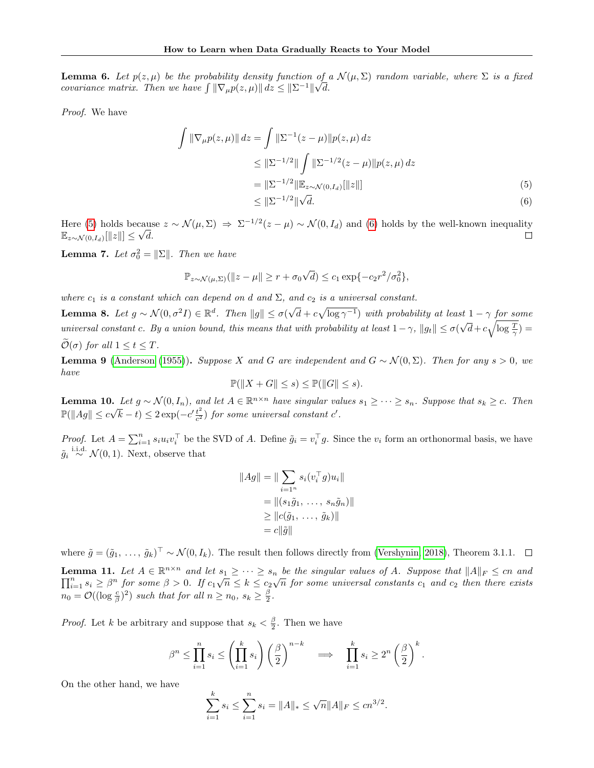<span id="page-11-2"></span>**Lemma 6.** Let  $p(z, \mu)$  be the probability density function of a  $\mathcal{N}(\mu, \Sigma)$  random variable, where  $\Sigma$  is a fixed covariance matrix. Then we have  $\int \|\nabla_{\mu}p(z,\mu)\| dz \leq \|\Sigma^{-1}\|\sqrt{d}$ .

Proof. We have

<span id="page-11-0"></span>
$$
\int \|\nabla_{\mu}p(z,\mu)\| dz = \int \|\Sigma^{-1}(z-\mu)\|p(z,\mu) dz
$$
  
\n
$$
\leq \|\Sigma^{-1/2}\| \int \|\Sigma^{-1/2}(z-\mu)\|p(z,\mu) dz
$$
  
\n
$$
= \|\Sigma^{-1/2}\| \mathbb{E}_{z \sim \mathcal{N}(0,I_d)}[\|z\|]
$$
  
\n
$$
\leq \|\Sigma^{-1/2}\| \sqrt{d}.
$$
 (6)

Here [\(5\)](#page-11-0) holds because  $z \sim \mathcal{N}(\mu, \Sigma) \Rightarrow \Sigma^{-1/2}(z - \mu) \sim \mathcal{N}(0, I_d)$  and [\(6\)](#page-11-1) holds by the well-known inequality  $\mathbb{E}_{z \sim \mathcal{N}(0, I_d)}[\Vert z \Vert] \leq \sqrt{d}.$  $\Box$ 

<span id="page-11-7"></span>**Lemma 7.** Let  $\sigma_0^2 = ||\Sigma||$ . Then we have

<span id="page-11-1"></span>
$$
\mathbb{P}_{z \sim \mathcal{N}(\mu, \Sigma)}(||z - \mu|| \ge r + \sigma_0 \sqrt{d}) \le c_1 \exp\{-c_2 r^2/\sigma_0^2\},\
$$

where  $c_1$  is a constant which can depend on d and  $\Sigma$ , and  $c_2$  is a universal constant. √

<span id="page-11-3"></span>**Lemma 8.** Let  $g \sim \mathcal{N}(0, \sigma^2 I) \in \mathbb{R}^d$ . Then  $||g|| \leq \sigma(\sigma)$  $\overline{d} + c\sqrt{\log \gamma^{-1}}$ ) with probability at least  $1 - \gamma$  for some universal constant c. By a union bound, this means that with probability at least  $1-\gamma$ ,  $||g_t|| \le \sigma$ √  $\overline{d} + c\sqrt{\log \frac{T}{\gamma}} =$  $\mathcal{O}(\sigma)$  for all  $1 \leq t \leq T$ .

<span id="page-11-4"></span>**Lemma 9** [\(Anderson](#page-8-8) [\(1955\)](#page-8-8)). Suppose X and G are independent and  $G \sim \mathcal{N}(0, \Sigma)$ . Then for any s > 0, we have

$$
\mathbb{P}(\|X + G\| \le s) \le \mathbb{P}(\|G\| \le s).
$$

<span id="page-11-6"></span>**Lemma 10.** Let  $g \sim \mathcal{N}(0, I_n)$ , and let  $A \in \mathbb{R}^{n \times n}$  have singular values  $s_1 \geq \cdots \geq s_n$ . Suppose that  $s_k \geq c$ . Then  $\text{Permna Io.} \ \mathbb{P}(\|Ag\| \leq c\sqrt{2})$  $(\overline{k} - t) \leq 2 \exp(-c' \frac{t^2}{c^2})$  $\frac{t^2}{c^2}$ ) for some universal constant c'.

*Proof.* Let  $A = \sum_{i=1}^{n} s_i u_i v_i^{\top}$  be the SVD of A. Define  $\tilde{g}_i = v_i^{\top} g$ . Since the  $v_i$  form an orthonormal basis, we have  $\tilde{g}_i \stackrel{\text{i.i.d.}}{\sim} \mathcal{N}(0, 1)$ . Next, observe that

$$
||Ag|| = || \sum_{i=1^n} s_i(v_i^\top g) u_i ||
$$
  
= 
$$
|| (s_1 \tilde{g}_1, \dots, s_n \tilde{g}_n) ||
$$
  

$$
\geq ||c(\tilde{g}_1, \dots, \tilde{g}_k) ||
$$
  
= 
$$
c||\tilde{g}||
$$

where  $\tilde{g} = (\tilde{g}_1, \ldots, \tilde{g}_k)^T \sim \mathcal{N}(0, I_k)$ . The result then follows directly from [\(Vershynin, 2018\)](#page-9-15), Theorem 3.1.1.

<span id="page-11-5"></span>**Lemma 11.** Let  $A \in \mathbb{R}^{n \times n}$  and let  $s_1 \geq \cdots \geq s_n$  be the singular values of A. Suppose that  $||A||_F \leq cn$  and  $\prod_{i=1}^n s_i \geq \beta^n$  for some  $\beta > 0$ . If  $c_1\sqrt{n} \leq k \leq c_2\sqrt{n}$  for some universal constants  $c_1$  and  $c_2$  then there exists  $n_0 = \mathcal{O}((\log \frac{c}{\beta})^2)$  such that for all  $n \ge n_0, s_k \ge \frac{\beta}{2}$ .

*Proof.* Let k be arbitrary and suppose that  $s_k < \frac{\beta}{2}$ . Then we have

$$
\beta^n \le \prod_{i=1}^n s_i \le \left(\prod_{i=1}^k s_i\right) \left(\frac{\beta}{2}\right)^{n-k} \quad \Longrightarrow \quad \prod_{i=1}^k s_i \ge 2^n \left(\frac{\beta}{2}\right)^k.
$$

On the other hand, we have

$$
\sum_{i=1}^{k} s_i \le \sum_{i=1}^{n} s_i = ||A||_* \le \sqrt{n} ||A||_F \le cn^{3/2}.
$$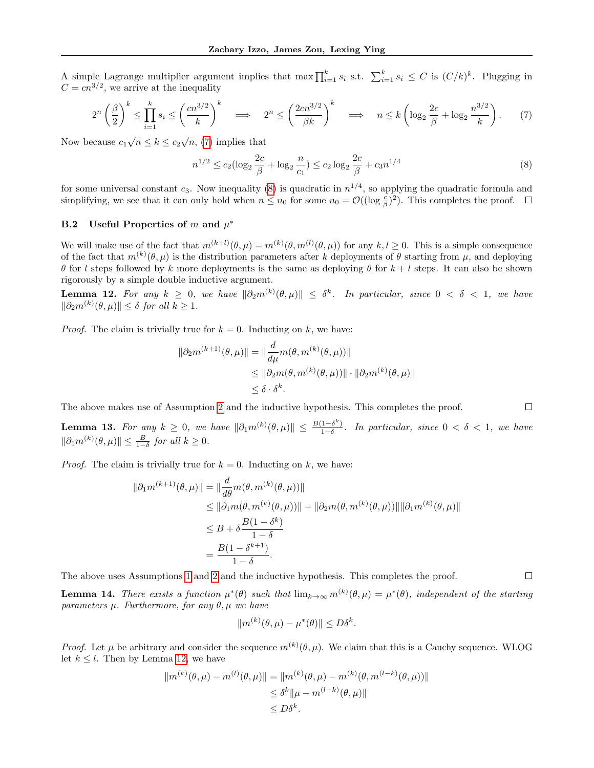A simple Lagrange multiplier argument implies that max  $\prod_{i=1}^{k} s_i$  s.t.  $\sum_{i=1}^{k} s_i \leq C$  is  $(C/k)^k$ . Plugging in  $C = c n^{3/2}$ , we arrive at the inequality

<span id="page-12-0"></span>
$$
2^{n}\left(\frac{\beta}{2}\right)^{k} \leq \prod_{i=1}^{k} s_{i} \leq \left(\frac{cn^{3/2}}{k}\right)^{k} \implies 2^{n} \leq \left(\frac{2cn^{3/2}}{\beta k}\right)^{k} \implies n \leq k\left(\log_{2}\frac{2c}{\beta} + \log_{2}\frac{n^{3/2}}{k}\right). \tag{7}
$$

Now because  $c_1\sqrt{n} \le k \le c_2\sqrt{n}$ , [\(7\)](#page-12-0) implies that

<span id="page-12-1"></span>
$$
n^{1/2} \le c_2 (\log_2 \frac{2c}{\beta} + \log_2 \frac{n}{c_1}) \le c_2 \log_2 \frac{2c}{\beta} + c_3 n^{1/4}
$$
 (8)

 $\Box$ 

 $\Box$ 

for some universal constant  $c_3$ . Now inequality [\(8\)](#page-12-1) is quadratic in  $n^{1/4}$ , so applying the quadratic formula and simplifying, we see that it can only hold when  $n \leq n_0$  for some  $n_0 = \mathcal{O}((\log \frac{c}{\beta})^2)$ . This completes the proof.

## **B.2** Useful Properties of m and  $\mu^*$

We will make use of the fact that  $m^{(k+l)}(\theta,\mu) = m^{(k)}(\theta,m^{(l)}(\theta,\mu))$  for any  $k,l\geq 0$ . This is a simple consequence of the fact that  $m^{(k)}(\theta,\mu)$  is the distribution parameters after k deployments of  $\theta$  starting from  $\mu$ , and deploying θ for l steps followed by k more deployments is the same as deploying θ for  $k + l$  steps. It can also be shown rigorously by a simple double inductive argument.

<span id="page-12-2"></span>**Lemma 12.** For any  $k \geq 0$ , we have  $\|\partial_2 m^{(k)}(\theta,\mu)\| \leq \delta^k$ . In particular, since  $0 < \delta < 1$ , we have  $\|\partial_2 m^{(k)}(\theta,\mu)\| \leq \delta$  for all  $k \geq 1$ .

*Proof.* The claim is trivially true for  $k = 0$ . Inducting on k, we have:

$$
\|\partial_2 m^{(k+1)}(\theta,\mu)\| = \|\frac{d}{d\mu} m(\theta,m^{(k)}(\theta,\mu))\|
$$
  
\n
$$
\leq \|\partial_2 m(\theta,m^{(k)}(\theta,\mu))\| \cdot \|\partial_2 m^{(k)}(\theta,\mu)\|
$$
  
\n
$$
\leq \delta \cdot \delta^k.
$$

The above makes use of Assumption [2](#page-4-1) and the inductive hypothesis. This completes the proof.

<span id="page-12-3"></span>**Lemma 13.** For any  $k \geq 0$ , we have  $\|\partial_1 m^{(k)}(\theta,\mu)\| \leq \frac{B(1-\delta^k)}{1-\delta}$  $\frac{1-\delta}{1-\delta}$ . In particular, since  $0 < \delta < 1$ , we have  $\|\partial_1 m^{(k)}(\theta,\mu)\| \leq \frac{B}{1-\delta}$  for all  $k \geq 0$ .

*Proof.* The claim is trivially true for  $k = 0$ . Inducting on k, we have:

$$
\|\partial_1 m^{(k+1)}(\theta,\mu)\| = \|\frac{d}{d\theta} m(\theta, m^{(k)}(\theta,\mu))\|
$$
  
\n
$$
\leq \|\partial_1 m(\theta, m^{(k)}(\theta,\mu))\| + \|\partial_2 m(\theta, m^{(k)}(\theta,\mu))\| \|\partial_1 m^{(k)}(\theta,\mu)\|
$$
  
\n
$$
\leq B + \delta \frac{B(1 - \delta^k)}{1 - \delta}
$$
  
\n
$$
= \frac{B(1 - \delta^{k+1})}{1 - \delta}.
$$

The above uses Assumptions [1](#page-4-6) and [2](#page-4-1) and the inductive hypothesis. This completes the proof.

<span id="page-12-4"></span>**Lemma 14.** There exists a function  $\mu^*(\theta)$  such that  $\lim_{k\to\infty} m^{(k)}(\theta,\mu) = \mu^*(\theta)$ , independent of the starting parameters  $\mu$ . Furthermore, for any  $\theta$ ,  $\mu$  we have

$$
||m^{(k)}(\theta,\mu) - \mu^*(\theta)|| \le D\delta^k.
$$

*Proof.* Let  $\mu$  be arbitrary and consider the sequence  $m^{(k)}(\theta, \mu)$ . We claim that this is a Cauchy sequence. WLOG let  $k \leq l$ . Then by Lemma [12,](#page-12-2) we have

$$
||m^{(k)}(\theta,\mu) - m^{(l)}(\theta,\mu)|| = ||m^{(k)}(\theta,\mu) - m^{(k)}(\theta,m^{(l-k)}(\theta,\mu))||
$$
  

$$
\leq \delta^k ||\mu - m^{(l-k)}(\theta,\mu)||
$$
  

$$
\leq D\delta^k.
$$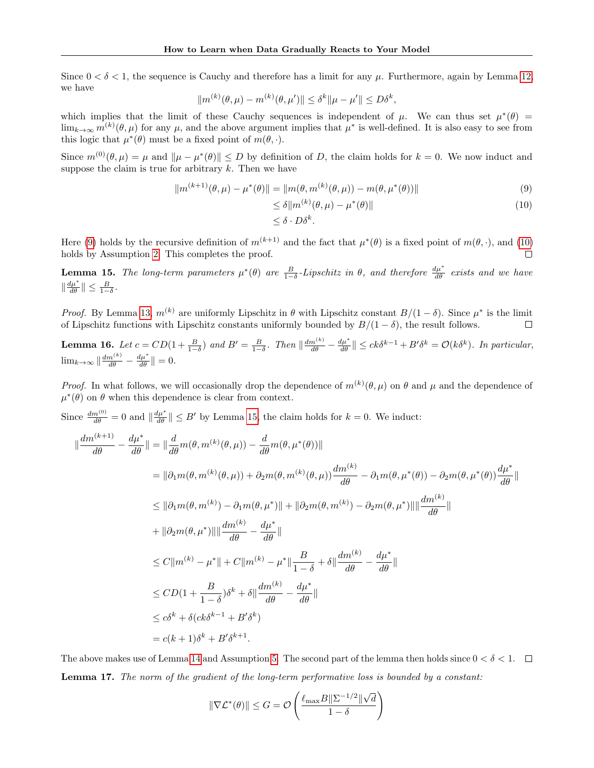Since  $0 < \delta < 1$ , the sequence is Cauchy and therefore has a limit for any  $\mu$ . Furthermore, again by Lemma [12,](#page-12-2) we have

$$
||m^{(k)}(\theta,\mu) - m^{(k)}(\theta,\mu')|| \leq \delta^k ||\mu - \mu'|| \leq D\delta^k,
$$

which implies that the limit of these Cauchy sequences is independent of  $\mu$ . We can thus set  $\mu^*(\theta)$  $\lim_{k\to\infty} m^{(k)}(\theta,\mu)$  for any  $\mu$ , and the above argument implies that  $\mu^*$  is well-defined. It is also easy to see from this logic that  $\mu^*(\theta)$  must be a fixed point of  $m(\theta, \cdot)$ .

Since  $m^{(0)}(\theta,\mu) = \mu$  and  $\|\mu - \mu^*(\theta)\| \leq D$  by definition of D, the claim holds for  $k = 0$ . We now induct and suppose the claim is true for arbitrary  $k$ . Then we have

$$
||m^{(k+1)}(\theta,\mu) - \mu^*(\theta)|| = ||m(\theta,m^{(k)}(\theta,\mu)) - m(\theta,\mu^*(\theta))||
$$
\n(9)

$$
\leq \delta \|m^{(k)}(\theta, \mu) - \mu^*(\theta)\|
$$
  

$$
\leq \delta \cdot D\delta^k.
$$
 (10)

<span id="page-13-1"></span><span id="page-13-0"></span> $\Box$ 

Here [\(9\)](#page-13-0) holds by the recursive definition of  $m^{(k+1)}$  and the fact that  $\mu^*(\theta)$  is a fixed point of  $m(\theta, \cdot)$ , and [\(10\)](#page-13-1)

<span id="page-13-2"></span>holds by Assumption [2.](#page-4-1) This completes the proof. **Lemma 15.** The long-term parameters  $\mu^*(\theta)$  are  $\frac{B}{1-\delta}$ -Lipschitz in  $\theta$ , and therefore  $\frac{d\mu^*}{d\theta}$  exists and we have

 $\|\frac{d\mu^*}{d\theta}\| \leq \frac{B}{1-\delta}.$ *Proof.* By Lemma [13,](#page-12-3)  $m^{(k)}$  are uniformly Lipschitz in  $\theta$  with Lipschitz constant  $B/(1-\delta)$ . Since  $\mu^*$  is the limit

of Lipschitz functions with Lipschitz constants uniformly bounded by  $B/(1-\delta)$ , the result follows.  $\Box$ 

<span id="page-13-4"></span>**Lemma 16.** Let  $c = CD(1 + \frac{B}{1-\delta})$  and  $B' = \frac{B}{1-\delta}$ . Then  $\left\|\frac{dm^{(k)}}{d\theta} - \frac{d\mu^*}{d\theta}\right\| \le ck\delta^{k-1} + B'\delta^k = O(k\delta^k)$ . In particular,  $\lim_{k\to\infty} \left\| \frac{dm^{(k)}}{d\theta} - \frac{d\mu^*}{d\theta} \right\| = 0.$ 

*Proof.* In what follows, we will occasionally drop the dependence of  $m^{(k)}(\theta,\mu)$  on  $\theta$  and  $\mu$  and the dependence of  $\mu^*(\theta)$  on  $\theta$  when this dependence is clear from context.

Since  $\frac{dm^{(0)}}{d\theta} = 0$  and  $\left\| \frac{d\mu^*}{d\theta} \right\| \leq B'$  by Lemma [15,](#page-13-2) the claim holds for  $k = 0$ . We induct:

$$
\|\frac{dm^{(k+1)}}{d\theta} - \frac{d\mu^*}{d\theta}\| = \|\frac{d}{d\theta}m(\theta, m^{(k)}(\theta, \mu)) - \frac{d}{d\theta}m(\theta, \mu^*(\theta))\|
$$
  
\n
$$
= \|\partial_1 m(\theta, m^{(k)}(\theta, \mu)) + \partial_2 m(\theta, m^{(k)}(\theta, \mu))\frac{dm^{(k)}}{d\theta} - \partial_1 m(\theta, \mu^*(\theta)) - \partial_2 m(\theta, \mu^*(\theta))\frac{d\mu^*}{d\theta}\|
$$
  
\n
$$
\leq \|\partial_1 m(\theta, m^{(k)}) - \partial_1 m(\theta, \mu^*)\| + \|\partial_2 m(\theta, m^{(k)}) - \partial_2 m(\theta, \mu^*)\| \frac{dm^{(k)}}{d\theta}\|
$$
  
\n
$$
+ \|\partial_2 m(\theta, \mu^*)\| \frac{dm^{(k)}}{d\theta} - \frac{d\mu^*}{d\theta}\|
$$
  
\n
$$
\leq C\|m^{(k)} - \mu^*\| + C\|m^{(k)} - \mu^*\| \frac{B}{1 - \delta} + \delta \|\frac{dm^{(k)}}{d\theta} - \frac{d\mu^*}{d\theta}\|
$$
  
\n
$$
\leq CD(1 + \frac{B}{1 - \delta})\delta^k + \delta \|\frac{dm^{(k)}}{d\theta} - \frac{d\mu^*}{d\theta}\|
$$
  
\n
$$
\leq c\delta^k + \delta(c\kappa\delta^{k-1} + B'\delta^k)
$$
  
\n
$$
= c(k+1)\delta^k + B'\delta^{k+1}.
$$

<span id="page-13-3"></span>The above makes use of Lemma [14](#page-12-4) and Assumption [5.](#page-4-7) The second part of the lemma then holds since  $0 < \delta < 1$ . Lemma 17. The norm of the gradient of the long-term performative loss is bounded by a constant:

$$
\|\nabla \mathcal{L}^*(\theta)\| \leq G = \mathcal{O}\left(\frac{\ell_{\max} B \|\Sigma^{-1/2}\| \sqrt{d}}{1-\delta}\right)
$$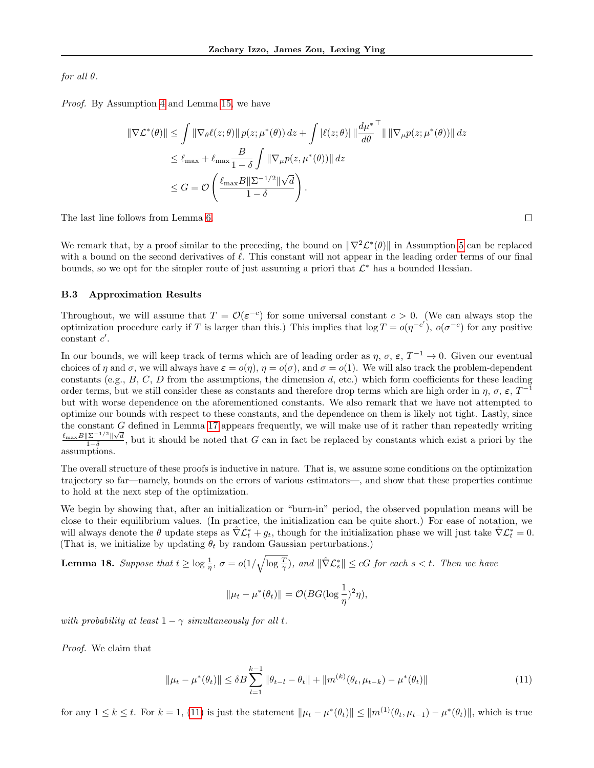for all  $\theta$ .

Proof. By Assumption [4](#page-4-8) and Lemma [15,](#page-13-2) we have

$$
\|\nabla \mathcal{L}^*(\theta)\| \leq \int \|\nabla_{\theta}\ell(z;\theta)\| p(z;\mu^*(\theta)) dz + \int |\ell(z;\theta)| \left\|\frac{d\mu^*}{d\theta}\right\| \|\nabla_{\mu}p(z;\mu^*(\theta))\| dz
$$
  

$$
\leq \ell_{\max} + \ell_{\max} \frac{B}{1-\delta} \int \|\nabla_{\mu}p(z;\mu^*(\theta))\| dz
$$
  

$$
\leq G = \mathcal{O}\left(\frac{\ell_{\max}B\|\Sigma^{-1/2}\|\sqrt{d}}{1-\delta}\right).
$$

The last line follows from Lemma [6.](#page-11-2)

We remark that, by a proof similar to the preceding, the bound on  $\|\nabla^2 \mathcal{L}^*(\theta)\|$  in Assumption [5](#page-4-7) can be replaced with a bound on the second derivatives of  $\ell$ . This constant will not appear in the leading order terms of our final bounds, so we opt for the simpler route of just assuming a priori that  $\mathcal{L}^*$  has a bounded Hessian.

### B.3 Approximation Results

Throughout, we will assume that  $T = \mathcal{O}(\varepsilon^{-c})$  for some universal constant  $c > 0$ . (We can always stop the optimization procedure early if T is larger than this.) This implies that  $\log T = o(\eta^{-c'})$ ,  $o(\sigma^{-c})$  for any positive  $constant$   $c'$ .

In our bounds, we will keep track of terms which are of leading order as  $\eta$ ,  $\sigma$ ,  $\varepsilon$ ,  $T^{-1} \to 0$ . Given our eventual choices of  $\eta$  and  $\sigma$ , we will always have  $\varepsilon = o(\eta)$ ,  $\eta = o(\sigma)$ , and  $\sigma = o(1)$ . We will also track the problem-dependent constants (e.g.,  $B, C, D$  from the assumptions, the dimension  $d$ , etc.) which form coefficients for these leading order terms, but we still consider these as constants and therefore drop terms which are high order in  $\eta$ ,  $\sigma$ ,  $\varepsilon$ ,  $T^{-1}$ but with worse dependence on the aforementioned constants. We also remark that we have not attempted to optimize our bounds with respect to these constants, and the dependence on them is likely not tight. Lastly, since the constant G defined in Lemma [17](#page-13-3) appears frequently, we will make use of it rather than repeatedly writing  $\ell_{\max} B \|\Sigma^{-1/2}\| \sqrt{d}$  $\frac{|\Sigma|^{-\gamma} - ||\sqrt{d}}{1-\delta}$ , but it should be noted that G can in fact be replaced by constants which exist a priori by the assumptions.

The overall structure of these proofs is inductive in nature. That is, we assume some conditions on the optimization trajectory so far—namely, bounds on the errors of various estimators—, and show that these properties continue to hold at the next step of the optimization.

We begin by showing that, after an initialization or "burn-in" period, the observed population means will be close to their equilibrium values. (In practice, the initialization can be quite short.) For ease of notation, we will always denote the  $\theta$  update steps as  $\hat{\nabla} \mathcal{L}_t^* + g_t$ , though for the initialization phase we will just take  $\hat{\nabla} \mathcal{L}_t^* = 0$ . (That is, we initialize by updating  $\theta_t$  by random Gaussian perturbations.)

<span id="page-14-1"></span>**Lemma 18.** Suppose that  $t \geq \log \frac{1}{\eta}$ ,  $\sigma = o(1/\sqrt{\log \frac{T}{\gamma}})$ , and  $\|\hat{\nabla} \mathcal{L}_s^*\| \leq cG$  for each  $s < t$ . Then we have

$$
\|\mu_t - \mu^*(\theta_t)\| = O(BG(\log \frac{1}{\eta})^2 \eta),
$$

with probability at least  $1 - \gamma$  simultaneously for all t.

Proof. We claim that

<span id="page-14-0"></span>
$$
\|\mu_t - \mu^*(\theta_t)\| \le \delta B \sum_{l=1}^{k-1} \|\theta_{t-l} - \theta_t\| + \|m^{(k)}(\theta_t, \mu_{t-k}) - \mu^*(\theta_t)\|
$$
\n(11)

for any  $1 \leq k \leq t$ . For  $k = 1$ , [\(11\)](#page-14-0) is just the statement  $\|\mu_t - \mu^*(\theta_t)\| \leq \|m^{(1)}(\theta_t, \mu_{t-1}) - \mu^*(\theta_t)\|$ , which is true

 $\Box$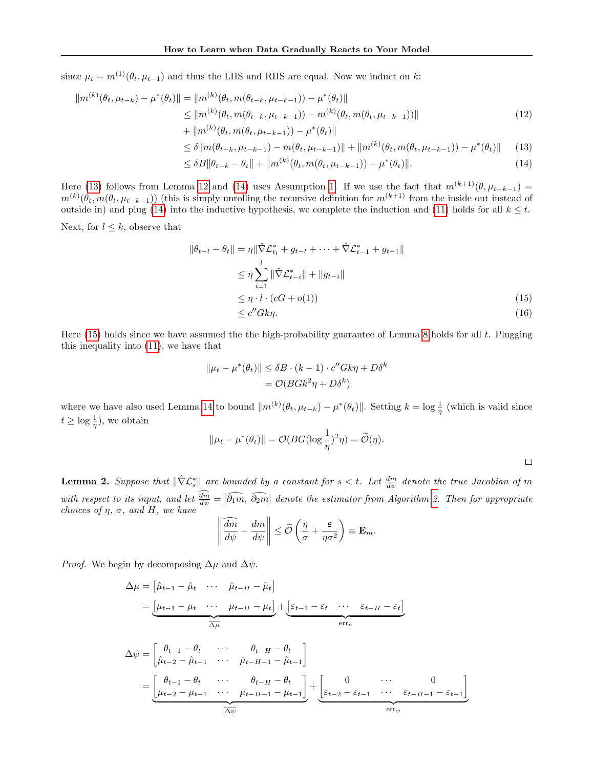since  $\mu_t = m^{(1)}(\theta_t, \mu_{t-1})$  and thus the LHS and RHS are equal. Now we induct on k:

$$
||m^{(k)}(\theta_t, \mu_{t-k}) - \mu^*(\theta_t)|| = ||m^{(k)}(\theta_t, m(\theta_{t-k}, \mu_{t-k-1})) - \mu^*(\theta_t)||
$$
  
\n
$$
\leq ||m^{(k)}(\theta_t, m(\theta_{t-k}, \mu_{t-k-1})) - m^{(k)}(\theta_t, m(\theta_t, \mu_{t-k-1}))||
$$
  
\n
$$
+ ||m^{(k)}(\theta_t, m(\theta_t, \mu_{t-k-1})) - \mu^*(\theta_t)||
$$
\n(12)

<span id="page-15-1"></span><span id="page-15-0"></span>
$$
\leq \delta \|m(\theta_{t-k}, \mu_{t-k-1}) - m(\theta_t, \mu_{t-k-1})\| + \|m^{(k)}(\theta_t, m(\theta_t, \mu_{t-k-1})) - \mu^*(\theta_t)\| \tag{13}
$$

$$
\leq \delta B \|\theta_{t-k} - \theta_t\| + \|m^{(k)}(\theta_t, m(\theta_t, \mu_{t-k-1})) - \mu^*(\theta_t)\|.
$$
\n(14)

Here [\(13\)](#page-15-0) follows from Lemma [12](#page-12-2) and [\(14\)](#page-15-1) uses Assumption [1.](#page-4-6) If we use the fact that  $m^{(k+1)}(\theta, \mu_{t-k-1}) =$  $m^{(k)}(\theta_t, m(\theta_t, \mu_{t-k-1}))$  (this is simply unrolling the recursive definition for  $m^{(k+1)}$  from the inside out instead of outside in) and plug [\(14\)](#page-15-1) into the inductive hypothesis, we complete the induction and [\(11\)](#page-14-0) holds for all  $k \leq t$ .

Next, for  $l \leq k$ , observe that

$$
\|\theta_{t-l} - \theta_t\| = \eta \|\hat{\nabla}\mathcal{L}_{t_l}^* + g_{t-l} + \dots + \hat{\nabla}\mathcal{L}_{t-1}^* + g_{t-1}\|
$$
  
\n
$$
\leq \eta \sum_{i=1}^l \|\hat{\nabla}\mathcal{L}_{t-i}^*\| + \|g_{t-i}\|
$$
  
\n
$$
\leq \eta \cdot l \cdot (cG + o(1))
$$
  
\n
$$
\leq c'' G k \eta.
$$
\n(15)

Here  $(15)$  holds since we have assumed the the high-probability guarantee of Lemma [8](#page-11-3) holds for all t. Plugging this inequality into [\(11\)](#page-14-0), we have that

<span id="page-15-3"></span><span id="page-15-2"></span>
$$
||\mu_t - \mu^*(\theta_t)|| \le \delta B \cdot (k-1) \cdot c'' G k \eta + D \delta^k
$$
  
=  $\mathcal{O}(B G k^2 \eta + D \delta^k)$ 

where we have also used Lemma [14](#page-12-4) to bound  $\|m^{(k)}(\theta_t, \mu_{t-k}) - \mu^*(\theta_t)\|$ . Setting  $k = \log \frac{1}{\eta}$  (which is valid since  $t \geq \log \frac{1}{\eta}$ , we obtain

$$
\|\mu_t - \mu^*(\theta_t)\| = \mathcal{O}(BG(\log \frac{1}{\eta})^2 \eta) = \widetilde{\mathcal{O}}(\eta).
$$

**Lemma 2.** Suppose that  $\|\hat{\nabla}\mathcal{L}_s^*\|$  are bounded by a constant for  $s < t$ . Let  $\frac{dm}{d\psi}$  denote the true Jacobian of m with respect to its input, and let  $\frac{dm}{d\psi} = [\overline{\partial_1 m}, \overline{\partial_2 m}]$  denote the estimator from Algorithm [2.](#page-3-0) Then for appropriate choices of  $\eta$ ,  $\sigma$ , and H, we have

$$
\left\|\frac{\widehat{dm}}{d\psi}-\frac{dm}{d\psi}\right\|\leq \widetilde{\mathcal{O}}\left(\frac{\eta}{\sigma}+\frac{\varepsilon}{\eta\sigma^2}\right)\equiv \mathbf{E}_m.
$$

*Proof.* We begin by decomposing  $\Delta \mu$  and  $\Delta \psi$ .

$$
\Delta \mu = \begin{bmatrix} \hat{\mu}_{t-1} - \hat{\mu}_t & \cdots & \hat{\mu}_{t-H} - \hat{\mu}_t \end{bmatrix}
$$
  
\n
$$
= \underbrace{\begin{bmatrix} \mu_{t-1} - \mu_t & \cdots & \mu_{t-H} - \mu_t \end{bmatrix}}_{\Delta \mu} + \underbrace{\begin{bmatrix} \varepsilon_{t-1} - \varepsilon_t & \cdots & \varepsilon_{t-H} - \varepsilon_t \end{bmatrix}}_{\text{err}_{\mu}}
$$
  
\n
$$
\Delta \psi = \begin{bmatrix} \theta_{t-1} - \theta_t & \cdots & \theta_{t-H} - \theta_t \\ \hat{\mu}_{t-2} - \hat{\mu}_{t-1} & \cdots & \hat{\mu}_{t-H-1} - \hat{\mu}_{t-1} \end{bmatrix}
$$
  
\n
$$
= \underbrace{\begin{bmatrix} \theta_{t-1} - \theta_t & \cdots & \theta_{t-H} - \theta_t \\ \mu_{t-2} - \mu_{t-1} & \cdots & \mu_{t-H-1} - \mu_{t-1} \end{bmatrix}}_{\Delta \psi} + \underbrace{\begin{bmatrix} 0 & \cdots & 0 \\ \varepsilon_{t-2} - \varepsilon_{t-1} & \cdots & \varepsilon_{t-H-1} - \varepsilon_{t-1} \end{bmatrix}}_{\text{err}_{\psi}}
$$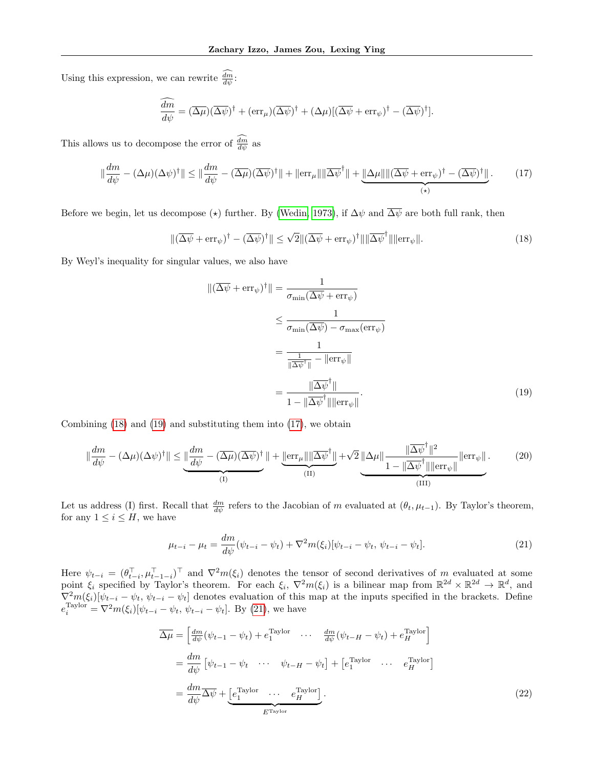Using this expression, we can rewrite  $\frac{dm}{d\psi}$ :

$$
\frac{\widehat{dm}}{d\psi} = (\overline{\Delta\mu})(\overline{\Delta\psi})^{\dagger} + (\text{err}_{\mu})(\overline{\Delta\psi})^{\dagger} + (\Delta\mu)[(\overline{\Delta\psi} + \text{err}_{\psi})^{\dagger} - (\overline{\Delta\psi})^{\dagger}].
$$

This allows us to decompose the error of  $\frac{dm}{d\psi}$  as

<span id="page-16-2"></span>
$$
\|\frac{dm}{d\psi} - (\Delta\mu)(\Delta\psi)^{\dagger}\| \le \|\frac{dm}{d\psi} - (\overline{\Delta\mu})(\overline{\Delta\psi})^{\dagger}\| + \|\text{err}_{\mu}\| \|\overline{\Delta\psi}^{\dagger}\| + \underbrace{\|\Delta\mu\| \|(\overline{\Delta\psi} + \text{err}_{\psi})^{\dagger} - (\overline{\Delta\psi})^{\dagger}\|}_{(*)}.
$$
 (17)

Before we begin, let us decompose ( $\star$ ) further. By [\(Wedin, 1973\)](#page-9-16), if  $\Delta \psi$  and  $\overline{\Delta \psi}$  are both full rank, then

<span id="page-16-0"></span>
$$
\|(\overline{\Delta\psi} + \text{err}_{\psi})^{\dagger} - (\overline{\Delta\psi})^{\dagger}\| \le \sqrt{2} \|(\overline{\Delta\psi} + \text{err}_{\psi})^{\dagger}\| \|\overline{\Delta\psi}^{\dagger}\| \|\text{err}_{\psi}\|.
$$
 (18)

By Weyl's inequality for singular values, we also have

<span id="page-16-1"></span>
$$
\|(\overline{\Delta\psi} + \text{err}_{\psi})^{\dagger}\| = \frac{1}{\sigma_{\min}(\overline{\Delta\psi} + \text{err}_{\psi})}
$$
  
\n
$$
\leq \frac{1}{\sigma_{\min}(\overline{\Delta\psi}) - \sigma_{\max}(\text{err}_{\psi})}
$$
  
\n
$$
= \frac{1}{\frac{1}{\|\overline{\Delta\psi}^{\dagger}\|} - \|\text{err}_{\psi}\|}
$$
  
\n
$$
= \frac{\|\overline{\Delta\psi}^{\dagger}\|}{1 - \|\overline{\Delta\psi}^{\dagger}\| \|\text{err}_{\psi}\|}.
$$
 (19)

Combining [\(18\)](#page-16-0) and [\(19\)](#page-16-1) and substituting them into [\(17\)](#page-16-2), we obtain

<span id="page-16-5"></span>
$$
\|\frac{dm}{d\psi} - (\Delta\mu)(\Delta\psi)^{\dagger}\| \le \underbrace{\|\frac{dm}{d\psi} - (\overline{\Delta\mu})(\overline{\Delta\psi})^{\dagger}}_{\text{(I)}}\| + \underbrace{\|\text{err}_{\mu}\| \|\overline{\Delta\psi}^{\dagger}\|}_{\text{(II)}} + \sqrt{2} \underbrace{\|\Delta\mu\| \frac{\|\overline{\Delta\psi}^{\dagger}\|^2}{1 - \|\overline{\Delta\psi}^{\dagger}\| \| \text{err}_{\psi} \|}}_{\text{(III)}}. \tag{20}
$$

Let us address (I) first. Recall that  $\frac{dm}{d\psi}$  refers to the Jacobian of m evaluated at  $(\theta_t, \mu_{t-1})$ . By Taylor's theorem, for any  $1 \leq i \leq H$ , we have

<span id="page-16-3"></span>
$$
\mu_{t-i} - \mu_t = \frac{dm}{d\psi}(\psi_{t-i} - \psi_t) + \nabla^2 m(\xi_i)[\psi_{t-i} - \psi_t, \psi_{t-i} - \psi_t].
$$
\n(21)

Here  $\psi_{t-i} = (\theta_{t-i}^\top, \mu_{t-1-i}^\top)^\top$  and  $\nabla^2 m(\xi_i)$  denotes the tensor of second derivatives of m evaluated at some point  $\xi_i$  specified by Taylor's theorem. For each  $\xi_i$ ,  $\nabla^2 m(\xi_i)$  is a bilinear map from  $\mathbb{R}^{2d} \times \mathbb{R}^{2d} \to \mathbb{R}^d$ , and  $\nabla^2 m(\xi_i)[\psi_{t-i} - \psi_t, \psi_{t-i} - \psi_t]$  denotes evaluation of this map at the inputs specified in the brackets. Define  $e_i^{\text{Taylor}} = \nabla^2 m(\xi_i) [\psi_{t-i} - \psi_t, \psi_{t-i} - \psi_t].$  By [\(21\)](#page-16-3), we have

<span id="page-16-4"></span>
$$
\overline{\Delta\mu} = \begin{bmatrix} \frac{dm}{d\psi}(\psi_{t-1} - \psi_t) + e_1^{\text{Taylor}} & \cdots & \frac{dm}{d\psi}(\psi_{t-H} - \psi_t) + e_H^{\text{Taylor}} \end{bmatrix}
$$

$$
= \frac{dm}{d\psi} \begin{bmatrix} \psi_{t-1} - \psi_t & \cdots & \psi_{t-H} - \psi_t \end{bmatrix} + \begin{bmatrix} e_1^{\text{Taylor}} & \cdots & e_H^{\text{Taylor}} \end{bmatrix}
$$

$$
= \frac{dm}{d\psi} \overline{\Delta\psi} + \underbrace{\begin{bmatrix} e_1^{\text{Taylor}} & \cdots & e_H^{\text{Taylor}} \end{bmatrix}}_{E^{\text{Taylor}}}. \tag{22}
$$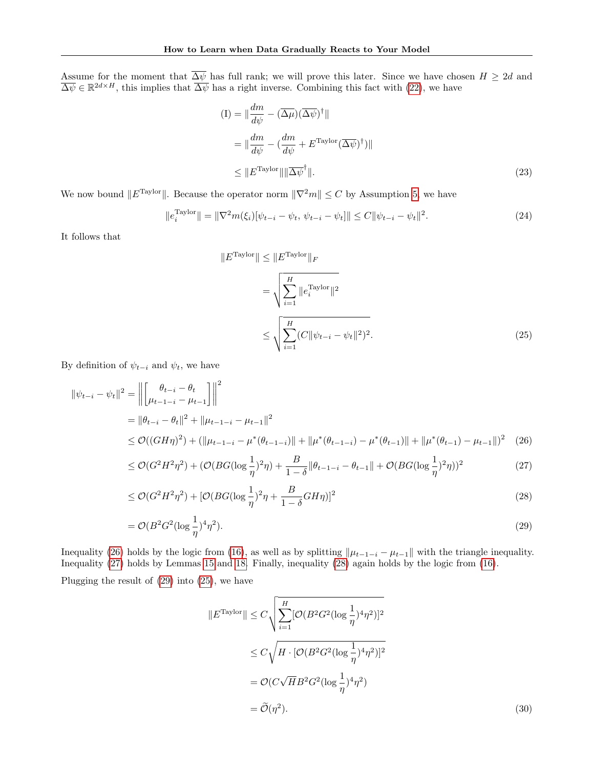Assume for the moment that  $\Delta \psi$  has full rank; we will prove this later. Since we have chosen  $H \geq 2d$  and  $\overline{\Delta\psi} \in \mathbb{R}^{2d \times H}$ , this implies that  $\overline{\Delta\psi}$  has a right inverse. Combining this fact with [\(22\)](#page-16-4), we have

<span id="page-17-5"></span>
$$
(I) = \|\frac{dm}{d\psi} - (\overline{\Delta\mu})(\overline{\Delta\psi})^{\dagger}\|
$$
  

$$
= \|\frac{dm}{d\psi} - (\frac{dm}{d\psi} + E^{\text{Taylor}}(\overline{\Delta\psi})^{\dagger})\|
$$
  

$$
\leq \|E^{\text{Taylor}}\| \|\overline{\Delta\psi}^{\dagger}\|.
$$
 (23)

We now bound  $||E^{Taylor}||$ . Because the operator norm  $||\nabla^2 m|| \leq C$  by Assumption [5,](#page-4-7) we have

$$
||e_i^{\text{Taylor}}|| = ||\nabla^2 m(\xi_i)[\psi_{t-i} - \psi_t, \psi_{t-i} - \psi_t]|| \le C ||\psi_{t-i} - \psi_t||^2.
$$
 (24)

It follows that

<span id="page-17-4"></span><span id="page-17-0"></span>
$$
||ETaylor|| \le ||ETaylor||F
$$
  
= 
$$
\sqrt{\sum_{i=1}^{H} ||e_i^{Taylor}||^2}
$$
  

$$
\le \sqrt{\sum_{i=1}^{H} (C||\psi_{t-i} - \psi_t||^2)^2}.
$$
 (25)

By definition of  $\psi_{t-i}$  and  $\psi_t$ , we have

$$
\|\psi_{t-i} - \psi_t\|^2 = \left\| \begin{bmatrix} \theta_{t-i} - \theta_t \\ \mu_{t-1-i} - \mu_{t-1} \end{bmatrix} \right\|^2
$$
  
=  $\|\theta_{t-i} - \theta_t\|^2 + \|\mu_{t-1-i} - \mu_{t-1}\|^2$   

$$
\leq \mathcal{O}((GH\eta)^2) + (\|\mu_{t-1-i} - \mu^*(\theta_{t-1-i})\| + \|\mu^*(\theta_{t-1-i}) - \mu^*(\theta_{t-1})\| + \|\mu^*(\theta_{t-1}) - \mu_{t-1}\|)^2
$$
 (26)

$$
\leq \mathcal{O}(G^2 H^2 \eta^2) + (\mathcal{O}(BG(\log \frac{1}{\eta})^2 \eta) + \frac{B}{1-\delta} \|\theta_{t-1-i} - \theta_{t-1}\| + \mathcal{O}(BG(\log \frac{1}{\eta})^2 \eta))^2 \tag{27}
$$

$$
\leq \mathcal{O}(G^2 H^2 \eta^2) + [\mathcal{O}(BG(\log \frac{1}{\eta})^2 \eta + \frac{B}{1 - \delta} G H \eta)]^2
$$
\n(28)

$$
= \mathcal{O}(B^2 G^2 (\log \frac{1}{\eta})^4 \eta^2). \tag{29}
$$

Inequality [\(26\)](#page-17-0) holds by the logic from [\(16\)](#page-15-3), as well as by splitting  $\|\mu_{t-1-i} - \mu_{t-1}\|$  with the triangle inequality. Inequality [\(27\)](#page-17-1) holds by Lemmas [15](#page-13-2) and [18.](#page-14-1) Finally, inequality [\(28\)](#page-17-2) again holds by the logic from [\(16\)](#page-15-3).

Plugging the result of [\(29\)](#page-17-3) into [\(25\)](#page-17-4), we have

<span id="page-17-6"></span> $\overline{\phantom{a}}$ 

<span id="page-17-3"></span><span id="page-17-2"></span><span id="page-17-1"></span>
$$
|E^{\text{Taylor}}| \leq C \sqrt{\sum_{i=1}^{H} [\mathcal{O}(B^2 G^2 (\log \frac{1}{\eta})^4 \eta^2)]^2}
$$
  
\n
$$
\leq C \sqrt{H \cdot [\mathcal{O}(B^2 G^2 (\log \frac{1}{\eta})^4 \eta^2)]^2}
$$
  
\n
$$
= \mathcal{O}(C \sqrt{H} B^2 G^2 (\log \frac{1}{\eta})^4 \eta^2)
$$
  
\n
$$
= \widetilde{\mathcal{O}}(\eta^2). \tag{30}
$$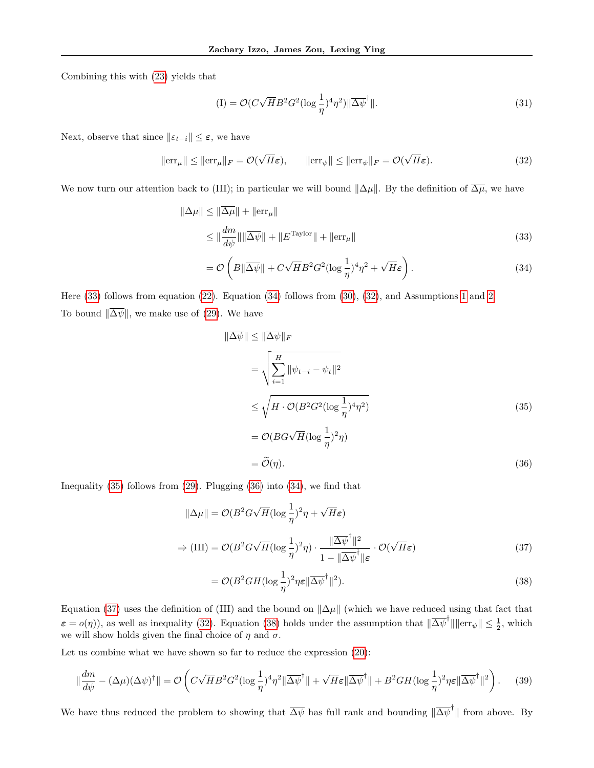Combining this with [\(23\)](#page-17-5) yields that

$$
\text{(I)} = \mathcal{O}(C\sqrt{H}B^2G^2(\log\frac{1}{\eta})^4\eta^2)\|\overline{\Delta\psi}^{\dagger}\|.\tag{31}
$$

Next, observe that since  $||\varepsilon_{t-i}|| \leq \varepsilon$ , we have

<span id="page-18-2"></span>
$$
\|\text{err}_{\mu}\| \le \|\text{err}_{\mu}\|_{F} = \mathcal{O}(\sqrt{H}\varepsilon), \qquad \|\text{err}_{\psi}\| \le \|\text{err}_{\psi}\|_{F} = \mathcal{O}(\sqrt{H}\varepsilon). \tag{32}
$$

We now turn our attention back to (III); in particular we will bound  $\|\Delta \mu\|$ . By the definition of  $\overline{\Delta \mu}$ , we have

$$
\|\Delta\mu\| \le \|\overline{\Delta\mu}\| + \|\text{err}_{\mu}\|
$$
  

$$
\le \|\frac{dm}{d\psi}\|\|\overline{\Delta\psi}\| + \|E^{\text{Taylor}}\| + \|\text{err}_{\mu}\|
$$
 (33)

$$
= \mathcal{O}\left(B\|\overline{\Delta\psi}\| + C\sqrt{H}B^2G^2(\log\frac{1}{\eta})^4\eta^2 + \sqrt{H}\varepsilon\right). \tag{34}
$$

Here [\(33\)](#page-18-0) follows from equation [\(22\)](#page-16-4). Equation [\(34\)](#page-18-1) follows from [\(30\)](#page-17-6), [\(32\)](#page-18-2), and Assumptions [1](#page-4-6) and [2.](#page-4-1) To bound  $\|\overline{\Delta \psi}\|$ , we make use of [\(29\)](#page-17-3). We have

<span id="page-18-4"></span><span id="page-18-3"></span><span id="page-18-1"></span><span id="page-18-0"></span>
$$
\|\overline{\Delta\psi}\| \le \|\overline{\Delta\psi}\|_F
$$
  
\n
$$
= \sqrt{\sum_{i=1}^H \|\psi_{t-i} - \psi_t\|^2}
$$
  
\n
$$
\le \sqrt{H \cdot \mathcal{O}(B^2 G^2 (\log \frac{1}{\eta})^4 \eta^2)}
$$
  
\n
$$
= \mathcal{O}(BG\sqrt{H} (\log \frac{1}{\eta})^2 \eta)
$$
  
\n
$$
= \widetilde{\mathcal{O}}(\eta).
$$
\n(36)

Inequality [\(35\)](#page-18-3) follows from [\(29\)](#page-17-3). Plugging [\(36\)](#page-18-4) into [\(34\)](#page-18-1), we find that

$$
\|\Delta\mu\| = \mathcal{O}(B^2 G \sqrt{H} (\log \frac{1}{\eta})^2 \eta + \sqrt{H}\varepsilon)
$$
  
\n
$$
\Rightarrow (\text{III}) = \mathcal{O}(B^2 G \sqrt{H} (\log \frac{1}{\eta})^2 \eta) \cdot \frac{\|\overline{\Delta\psi}^\dagger\|^2}{1 - \|\overline{\Delta\psi}^\dagger\| \varepsilon} \cdot \mathcal{O}(\sqrt{H}\varepsilon)
$$
\n(37)

<span id="page-18-6"></span><span id="page-18-5"></span>
$$
= \mathcal{O}(B^2GH(\log\frac{1}{\eta})^2\eta\epsilon\|\overline{\Delta\psi}^{\dagger}\|^2). \tag{38}
$$

Equation [\(37\)](#page-18-5) uses the definition of (III) and the bound on  $\|\Delta \mu\|$  (which we have reduced using that fact that  $\varepsilon = o(\eta)$ , as well as inequality [\(32\)](#page-18-2). Equation [\(38\)](#page-18-6) holds under the assumption that  $\|\overline{\Delta \psi}^{\dagger}\| \|\text{err}_{\psi}\| \leq \frac{1}{2}$ , which we will show holds given the final choice of  $\eta$  and  $\sigma$ .

Let us combine what we have shown so far to reduce the expression  $(20)$ :

<span id="page-18-7"></span>
$$
\|\frac{dm}{d\psi} - (\Delta\mu)(\Delta\psi)^{\dagger}\| = \mathcal{O}\left(C\sqrt{H}B^{2}G^{2}(\log\frac{1}{\eta})^{4}\eta^{2}\|\overline{\Delta\psi}^{\dagger}\| + \sqrt{H}\varepsilon\|\overline{\Delta\psi}^{\dagger}\| + B^{2}GH(\log\frac{1}{\eta})^{2}\eta\varepsilon\|\overline{\Delta\psi}^{\dagger}\|^{2}\right).
$$
 (39)

We have thus reduced the problem to showing that  $\overline{\Delta \psi}$  has full rank and bounding  $\|\overline{\Delta \psi}^{\dagger}\|$  from above. By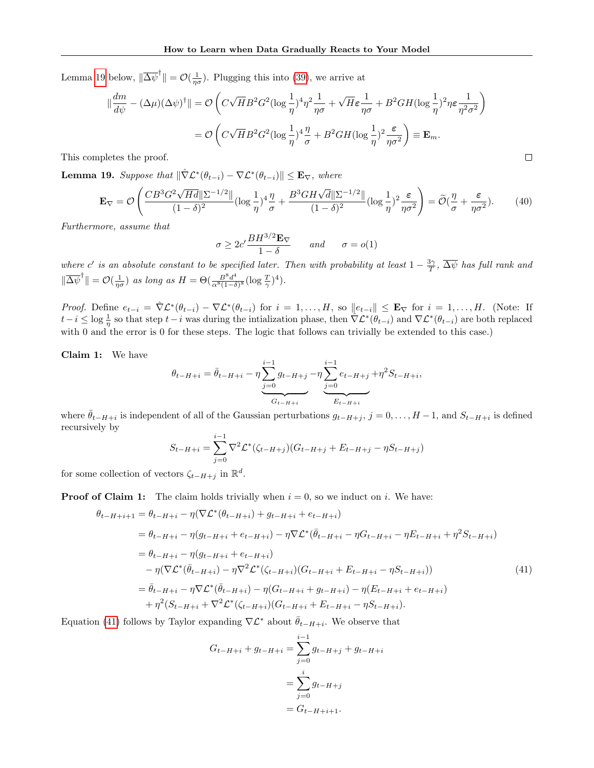Lemma [19](#page-19-0) below,  $\|\overline{\Delta \psi}^{\dagger}\| = \mathcal{O}(\frac{1}{\eta \sigma})$ . Plugging this into [\(39\)](#page-18-7), we arrive at

$$
\|\frac{dm}{d\psi} - (\Delta\mu)(\Delta\psi)^{\dagger}\| = \mathcal{O}\left(C\sqrt{H}B^2G^2(\log\frac{1}{\eta})^4\eta^2\frac{1}{\eta\sigma} + \sqrt{H}\varepsilon\frac{1}{\eta\sigma} + B^2GH(\log\frac{1}{\eta})^2\eta\varepsilon\frac{1}{\eta^2\sigma^2}\right)
$$
  
=  $\mathcal{O}\left(C\sqrt{H}B^2G^2(\log\frac{1}{\eta})^4\frac{\eta}{\sigma} + B^2GH(\log\frac{1}{\eta})^2\frac{\varepsilon}{\eta\sigma^2}\right) \equiv \mathbf{E}_m.$   
lletes the proof.

This completes the proof.

<span id="page-19-0"></span>**Lemma 19.** Suppose that  $\|\hat{\nabla} \mathcal{L}^*(\theta_{t-i}) - \nabla \mathcal{L}^*(\theta_{t-i})\| \leq \mathbf{E}_{\nabla}$ , where

<span id="page-19-2"></span>
$$
\mathbf{E}_{\nabla} = \mathcal{O}\left(\frac{CB^3 G^2 \sqrt{Hd} \|\Sigma^{-1/2}\|}{(1-\delta)^2} (\log \frac{1}{\eta})^4 \frac{\eta}{\sigma} + \frac{B^3 GH\sqrt{d} \|\Sigma^{-1/2}\|}{(1-\delta)^2} (\log \frac{1}{\eta})^2 \frac{\varepsilon}{\eta \sigma^2}\right) = \widetilde{\mathcal{O}}(\frac{\eta}{\sigma} + \frac{\varepsilon}{\eta \sigma^2}).\tag{40}
$$

Furthermore, assume that

$$
\sigma \ge 2c' \frac{BH^{3/2} \mathbf{E}_{\nabla}}{1 - \delta} \quad \text{and} \quad \sigma = o(1)
$$

where c' is an absolute constant to be specified later. Then with probability at least  $1-\frac{3\gamma}{T}$ ,  $\overline{\Delta\psi}$  has full rank and  $\|\overline{\Delta\psi}^{\dagger}\| = \mathcal{O}(\frac{1}{\eta\sigma})$  as long as  $H = \Theta(\frac{B^8d^4}{\alpha^8(1-\delta)^2})$  $\frac{B^8 d^4}{\alpha^8 (1-\delta)^8} (\log \frac{T}{\gamma})^4).$ 

*Proof.* Define  $e_{t-i} = \hat{\nabla} \mathcal{L}^*(\theta_{t-i}) - \nabla \mathcal{L}^*(\theta_{t-i})$  for  $i = 1, ..., H$ , so  $||e_{t-i}|| \leq \mathbf{E}_{\nabla}$  for  $i = 1, ..., H$ . (Note: If  $t-i \leq \log \frac{1}{\eta}$  so that step  $t-i$  was during the intialization phase, then  $\hat{\nabla} \mathcal{L}^*(\theta_{t-i})$  and  $\nabla \mathcal{L}^*(\theta_{t-i})$  are both replaced with 0 and the error is 0 for these steps. The logic that follows can trivially be extended to this case.)

Claim 1: We have

$$
\theta_{t-H+i} = \bar{\theta}_{t-H+i} - \eta \sum_{j=0}^{i-1} g_{t-H+j} - \eta \sum_{j=0}^{i-1} e_{t-H+j} + \eta^2 S_{t-H+i},
$$
\n
$$
G_{t-H+i} \sum_{k=L+1}^{i-1} g_{t-H+i} - \eta \sum_{j=0}^{i-1} g_{t-H+i} - \eta \sum_{j=0}^{i-1} g_{t-H+i} - \eta \sum_{j=0}^{i-1} g_{t-H+i} - \eta \sum_{j=0}^{i-1} g_{t-H+i} - \eta \sum_{j=0}^{i-1} g_{t-H+i} - \eta \sum_{j=0}^{i-1} g_{t-H+i} - \eta \sum_{j=0}^{i-1} g_{t-H+i} - \eta \sum_{j=0}^{i-1} g_{t-H+i} - \eta \sum_{j=0}^{i-1} g_{t-H+i} - \eta \sum_{j=0}^{i-1} g_{t-H+i} - \eta \sum_{j=0}^{i-1} g_{t-H+i} - \eta \sum_{j=0}^{i-1} g_{t-H+i} - \eta \sum_{j=0}^{i-1} g_{t-H+i} - \eta \sum_{j=0}^{i-1} g_{t-H+i} - \eta \sum_{j=0}^{i-1} g_{t-H+i} - \eta \sum_{j=0}^{i-1} g_{t-H+i} - \eta \sum_{j=0}^{i-1} g_{t-H+i} - \eta \sum_{j=0}^{i-1} g_{t-H+i} - \eta \sum_{j=0}^{i-1} g_{t-H+i} - \eta \sum_{j=0}^{i-1} g_{t-H+i} - \eta \sum_{j=0}^{i-1} g_{t-H+i} - \eta \sum_{j=0}^{i-1} g_{t-H+i} - \eta \sum_{j=0}^{i-1} g_{t-H+i} - \eta \sum_{j=0}^{i-1} g_{t-H+i} - \eta \sum_{j=0}^{i-1} g_{t-H+i} - \eta \sum_{j=0}^{i-1} g_{t,H+i} - \eta \sum_{j=0}^{i-1} g_{t,H+i} - \eta \sum_{j=0}^{i-1} g_{t,H+i} - \eta \sum_{j=0}^{i-1} g_{t,H+i} - \eta \sum_{j=0}^{i-1} g_{t,H+i} - \eta \sum_{j=0}^{i-1} g_{t,H+i} - \eta \
$$

where  $\bar{\theta}_{t-H+i}$  is independent of all of the Gaussian perturbations  $g_{t-H+j}$ ,  $j=0,\ldots,H-1$ , and  $S_{t-H+i}$  is defined recursively by

$$
S_{t-H+i} = \sum_{j=0}^{i-1} \nabla^2 \mathcal{L}^*(\zeta_{t-H+j})(G_{t-H+j} + E_{t-H+j} - \eta S_{t-H+j})
$$

for some collection of vectors  $\zeta_{t-H+j}$  in  $\mathbb{R}^d$ .

**Proof of Claim 1:** The claim holds trivially when  $i = 0$ , so we induct on i. We have:

$$
\theta_{t-H+i+1} = \theta_{t-H+i} - \eta(\nabla \mathcal{L}^*(\theta_{t-H+i}) + g_{t-H+i} + e_{t-H+i})
$$
\n
$$
= \theta_{t-H+i} - \eta(g_{t-H+i} + e_{t-H+i}) - \eta \nabla \mathcal{L}^*(\bar{\theta}_{t-H+i} - \eta G_{t-H+i} - \eta E_{t-H+i} + \eta^2 S_{t-H+i})
$$
\n
$$
= \theta_{t-H+i} - \eta(g_{t-H+i} + e_{t-H+i})
$$
\n
$$
- \eta(\nabla \mathcal{L}^*(\bar{\theta}_{t-H+i}) - \eta \nabla^2 \mathcal{L}^*(\zeta_{t-H+i})(G_{t-H+i} + E_{t-H+i} - \eta S_{t-H+i}))
$$
\n
$$
= \bar{\theta}_{t-H+i} - \eta \nabla \mathcal{L}^*(\bar{\theta}_{t-H+i}) - \eta(G_{t-H+i} + g_{t-H+i}) - \eta(E_{t-H+i} + e_{t-H+i})
$$
\n
$$
+ \eta^2(S_{t-H+i} + \nabla^2 \mathcal{L}^*(\zeta_{t-H+i})(G_{t-H+i} + E_{t-H+i} - \eta S_{t-H+i}).
$$
\n(41)

Equation [\(41\)](#page-19-1) follows by Taylor expanding  $\nabla \mathcal{L}^*$  about  $\bar{\theta}_{t-H+i}$ . We observe that

<span id="page-19-1"></span>
$$
G_{t-H+i} + g_{t-H+i} = \sum_{j=0}^{i-1} g_{t-H+j} + g_{t-H+i}
$$

$$
= \sum_{j=0}^{i} g_{t-H+j}
$$

$$
= G_{t-H+i+1}.
$$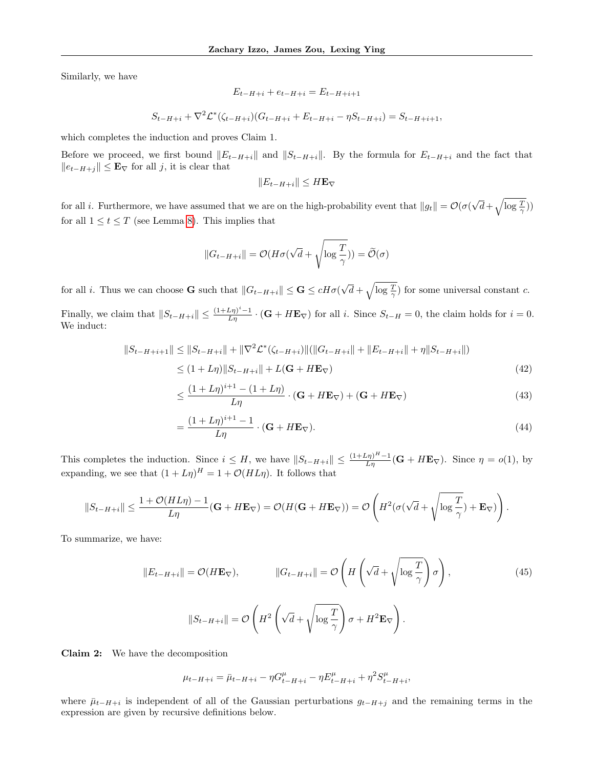Similarly, we have

$$
E_{t-H+i} + e_{t-H+i} = E_{t-H+i+1}
$$

$$
S_{t-H+i} + \nabla^2 \mathcal{L}^*(\zeta_{t-H+i})(G_{t-H+i} + E_{t-H+i} - \eta S_{t-H+i}) = S_{t-H+i+1},
$$

which completes the induction and proves Claim 1.

=

Before we proceed, we first bound  $||E_{t-H+i}||$  and  $||S_{t-H+i}||$ . By the formula for  $E_{t-H+i}$  and the fact that  $||e_{t-H+i}|| \leq \mathbf{E}_{\nabla}$  for all j, it is clear that

$$
||E_{t-H+i}|| \leq H\mathbf{E}_{\nabla}
$$

for all i. Furthermore, we have assumed that we are on the high-probability event that  $||g_t|| = \mathcal{O}(\sigma)$ √  $\overline{d} + \sqrt{\log \frac{T}{\gamma}})$ for all  $1 \le t \le T$  (see Lemma [8\)](#page-11-3). This implies that

$$
||G_{t-H+i}|| = \mathcal{O}(H\sigma(\sqrt{d} + \sqrt{\log \frac{T}{\gamma}})) = \widetilde{\mathcal{O}}(\sigma)
$$

for all *i*. Thus we can choose **G** such that  $||G_{t-H+i}|| \leq G \leq cH\sigma$ √  $\overline{d} + \sqrt{\log \frac{T}{\gamma}}$  for some universal constant c.

Finally, we claim that  $||S_{t-H+i}|| \leq \frac{(1+L\eta)^{i}-1}{L\eta} \cdot (\mathbf{G} + H\mathbf{E}_{\nabla})$  for all i. Since  $S_{t-H} = 0$ , the claim holds for  $i = 0$ . We induct:

$$
||S_{t-H+i+1}|| \le ||S_{t-H+i}|| + ||\nabla^2 \mathcal{L}^*(\zeta_{t-H+i})||(||G_{t-H+i}|| + ||E_{t-H+i}|| + \eta ||S_{t-H+i}||)
$$
  
\n
$$
\le (1+L\eta) ||S_{t-H+i}|| + L(\mathbf{G} + H\mathbf{E}_{\nabla})
$$
\n(42)

$$
\leq \frac{(1+L\eta)^{i+1} - (1+L\eta)}{L\eta} \cdot (\mathbf{G} + H\mathbf{E}_{\nabla}) + (\mathbf{G} + H\mathbf{E}_{\nabla}) \tag{43}
$$

$$
=\frac{(1+L\eta)^{i+1}-1}{L\eta}\cdot(\mathbf{G}+H\mathbf{E}_{\nabla}).
$$
\n(44)

This completes the induction. Since  $i \leq H$ , we have  $||S_{t-H+i}|| \leq \frac{(1+L\eta)^H-1}{L\eta}(\mathbf{G}+H\mathbf{E}_{\nabla})$ . Since  $\eta = o(1)$ , by expanding, we see that  $(1+L\eta)^H = 1 + \mathcal{O}(HL\eta)$ . It follows that

$$
||S_{t-H+i}|| \leq \frac{1+\mathcal{O}(HL\eta)-1}{L\eta}(\mathbf{G}+H\mathbf{E}_{\nabla}) = \mathcal{O}(H(\mathbf{G}+H\mathbf{E}_{\nabla})) = \mathcal{O}\left(H^2(\sigma(\sqrt{d}+\sqrt{\log\frac{T}{\gamma}})+\mathbf{E}_{\nabla})\right).
$$

To summarize, we have:

<span id="page-20-0"></span>
$$
||E_{t-H+i}|| = \mathcal{O}(H\mathbf{E}_{\nabla}), \qquad ||G_{t-H+i}|| = \mathcal{O}\left(H\left(\sqrt{d} + \sqrt{\log\frac{T}{\gamma}}\right)\sigma\right),
$$
\n
$$
||S_{t-H+i}|| = \mathcal{O}\left(H^2\left(\sqrt{d} + \sqrt{\log\frac{T}{\gamma}}\right)\sigma + H^2\mathbf{E}_{\nabla}\right).
$$
\n(45)

Claim 2: We have the decomposition

$$
\mu_{t-H+i} = \bar{\mu}_{t-H+i} - \eta G_{t-H+i}^{\mu} - \eta E_{t-H+i}^{\mu} + \eta^2 S_{t-H+i}^{\mu},
$$

where  $\bar{\mu}_{t-H+i}$  is independent of all of the Gaussian perturbations  $g_{t-H+j}$  and the remaining terms in the expression are given by recursive definitions below.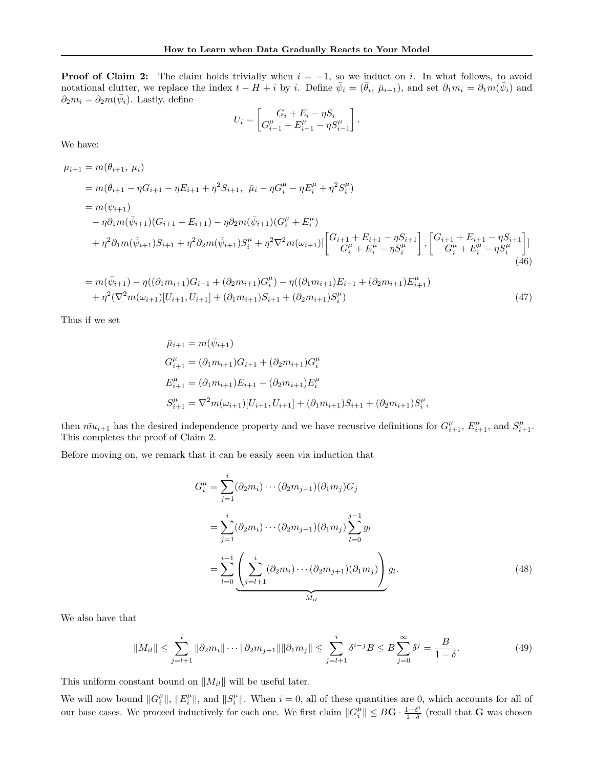**Proof of Claim 2:** The claim holds trivially when  $i = -1$ , so we induct on i. In what follows, to avoid notational clutter, we replace the index  $t - H + i$  by i. Define  $\bar{\psi}_i = (\bar{\theta}_i, \bar{\mu}_{i-1})$ , and set  $\partial_1 m_i = \partial_1 m(\bar{\psi}_i)$  and  $\partial_2 m_i = \partial_2 m(\bar{\psi}_i)$ . Lastly, define

$$
U_i = \begin{bmatrix} G_i + E_i - \eta S_i \\ G_{i-1}^{\mu} + E_{i-1}^{\mu} - \eta S_{i-1}^{\mu} \end{bmatrix}.
$$

We have:

$$
\mu_{i+1} = m(\theta_{i+1}, \mu_i)
$$
\n
$$
= m(\bar{\theta}_{i+1} - \eta G_{i+1} - \eta E_{i+1} + \eta^2 S_{i+1}, \ \bar{\mu}_i - \eta G_i^{\mu} - \eta E_i^{\mu} + \eta^2 S_i^{\mu})
$$
\n
$$
= m(\bar{\psi}_{i+1})
$$
\n
$$
- \eta \partial_1 m(\bar{\psi}_{i+1}) (G_{i+1} + E_{i+1}) - \eta \partial_2 m(\bar{\psi}_{i+1}) (G_i^{\mu} + E_i^{\mu})
$$
\n
$$
+ \eta^2 \partial_1 m(\bar{\psi}_{i+1}) S_{i+1} + \eta^2 \partial_2 m(\bar{\psi}_{i+1}) S_i^{\mu} + \eta^2 \nabla^2 m(\omega_{i+1}) \left[ \begin{bmatrix} G_{i+1} + E_{i+1} - \eta S_{i+1} \\ G_i^{\mu} + E_i^{\mu} - \eta S_i^{\mu} \end{bmatrix}, \begin{bmatrix} G_{i+1} + E_{i+1} - \eta S_{i+1} \\ G_i^{\mu} + E_i^{\mu} - \eta S_i^{\mu} \end{bmatrix} \right]
$$
\n
$$
= m(\bar{\phi}_{i+1}) \cdot n((\partial_i m_i) C_i + (\partial_i m_i) C_i^{\mu}) \cdot n((\partial_i m_i) E_i + (\partial_i m_i) E_i^{\mu})
$$
\n(46)

$$
= m(\bar{\psi}_{i+1}) - \eta((\partial_1 m_{i+1})G_{i+1} + (\partial_2 m_{i+1})G_i^{\mu}) - \eta((\partial_1 m_{i+1})E_{i+1} + (\partial_2 m_{i+1})E_{i+1}^{\mu}) + \eta^2(\nabla^2 m(\omega_{i+1})[U_{i+1}, U_{i+1}] + (\partial_1 m_{i+1})S_{i+1} + (\partial_2 m_{i+1})S_i^{\mu})
$$
\n
$$
(47)
$$

Thus if we set

$$
\bar{\mu}_{i+1} = m(\bar{\psi}_{i+1})
$$
\n
$$
G_{i+1}^{\mu} = (\partial_1 m_{i+1}) G_{i+1} + (\partial_2 m_{i+1}) G_i^{\mu}
$$
\n
$$
E_{i+1}^{\mu} = (\partial_1 m_{i+1}) E_{i+1} + (\partial_2 m_{i+1}) E_i^{\mu}
$$
\n
$$
S_{i+1}^{\mu} = \nabla^2 m(\omega_{i+1}) [U_{i+1}, U_{i+1}] + (\partial_1 m_{i+1}) S_{i+1} + (\partial_2 m_{i+1}) S_i^{\mu},
$$

then  $\bar{mu}_{i+1}$  has the desired independence property and we have recusrive definitions for  $G_{i+1}^{\mu}$ ,  $E_{i+1}^{\mu}$ , and  $S_{i+1}^{\mu}$ . This completes the proof of Claim 2.

Before moving on, we remark that it can be easily seen via induction that

$$
G_i^{\mu} = \sum_{j=1}^i (\partial_2 m_i) \cdots (\partial_2 m_{j+1}) (\partial_1 m_j) G_j
$$
  
= 
$$
\sum_{j=1}^i (\partial_2 m_i) \cdots (\partial_2 m_{j+1}) (\partial_1 m_j) \sum_{l=0}^{j-1} g_l
$$
  
= 
$$
\sum_{l=0}^{i-1} \underbrace{\left( \sum_{j=l+1}^i (\partial_2 m_i) \cdots (\partial_2 m_{j+1}) (\partial_1 m_j) \right)}_{M_{il}} g_l.
$$
 (48)

We also have that

<span id="page-21-0"></span>
$$
||M_{il}|| \leq \sum_{j=l+1}^{i} ||\partial_2 m_i|| \cdots ||\partial_2 m_{j+1}|| ||\partial_1 m_j|| \leq \sum_{j=l+1}^{i} \delta^{i-j} B \leq B \sum_{j=0}^{\infty} \delta^j = \frac{B}{1-\delta}.
$$
 (49)

This uniform constant bound on  $||M_{il}||$  will be useful later.

We will now bound  $||G_i^{\mu}||$ ,  $||E_i^{\mu}||$ , and  $||S_i^{\mu}||$ . When  $i = 0$ , all of these quantities are 0, which accounts for all of our base cases. We proceed inductively for each one. We first claim  $||G_i^{\mu}|| \leq B\mathbf{G} \cdot \frac{1-\delta^i}{1-\delta}$  $\frac{1-\delta^*}{1-\delta}$  (recall that **G** was chosen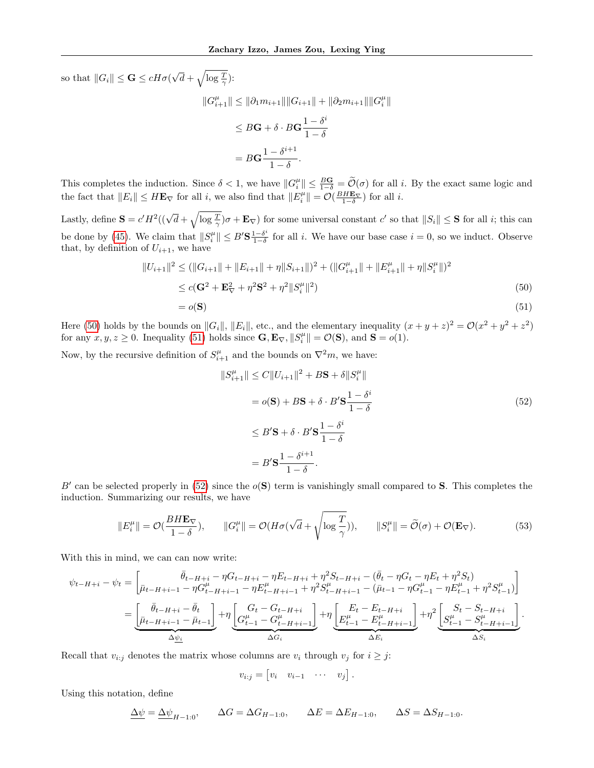so that  $||G_i|| \leq \mathbf{G} \leq cH\sigma$ ( √  $\overline{d} + \sqrt{\log \frac{T}{\gamma}}$ :

$$
||G_{i+1}^{\mu}|| \le ||\partial_1 m_{i+1}|| ||G_{i+1}|| + ||\partial_2 m_{i+1}|| ||G_i^{\mu}||
$$
  
\n
$$
\le B\mathbf{G} + \delta \cdot B\mathbf{G} \frac{1 - \delta^i}{1 - \delta}
$$
  
\n
$$
= B\mathbf{G} \frac{1 - \delta^{i+1}}{1 - \delta}.
$$

This completes the induction. Since  $\delta < 1$ , we have  $||G_i^{\mu}|| \le \frac{B\mathbf{G}}{1-\delta} = \widetilde{\mathcal{O}}(\sigma)$  for all i. By the exact same logic and the fact that  $||E_i|| \leq H \mathbf{E}_{\nabla}$  for all i, we also find that  $||E_i^{\mu}|| = \mathcal{O}(\frac{B H \mathbf{E}_{\nabla}}{1-\delta})$  for all i.

Lastly, define  $S = c'H^2((\sqrt{d} + \sqrt{\log \frac{T}{\gamma}})\sigma + \mathbf{E}_{\nabla})$  for some universal constant  $c'$  so that  $||S_i|| \leq S$  for all i; this can be done by [\(45\)](#page-20-0). We claim that  $||S_i^{\mu}|| \leq B' \mathbf{S} \frac{1-\delta^i}{1-\delta}$  $\frac{1-\delta^*}{1-\delta}$  for all *i*. We have our base case  $i=0$ , so we induct. Observe that, by definition of  $U_{i+1}$ , we have

$$
||U_{i+1}||^2 \le (||G_{i+1}|| + ||E_{i+1}|| + \eta||S_{i+1}||)^2 + (||G_{i+1}^{\mu}|| + ||E_{i+1}^{\mu}|| + \eta||S_i^{\mu}||)^2
$$
  
\n
$$
\le c(\mathbf{G}^2 + \mathbf{E}_{\nabla}^2 + \eta^2 \mathbf{S}^2 + \eta^2||S_i^{\mu}||^2)
$$
  
\n
$$
= o(\mathbf{S})
$$
\n(51)

Here [\(50\)](#page-22-0) holds by the bounds on  $||G_i||$ ,  $||E_i||$ , etc., and the elementary inequality  $(x + y + z)^2 = \mathcal{O}(x^2 + y^2 + z^2)$ for any  $x, y, z \ge 0$ . Inequality [\(51\)](#page-22-1) holds since  $\mathbf{G}, \mathbf{E}_{\nabla}, ||S_i^{\mu}|| = \mathcal{O}(\mathbf{S})$ , and  $\mathbf{S} = o(1)$ .

Now, by the recursive definition of  $S_{i+1}^{\mu}$  and the bounds on  $\nabla^2 m$ , we have:

<span id="page-22-2"></span><span id="page-22-1"></span><span id="page-22-0"></span>
$$
||S_{i+1}^{\mu}|| \le C||U_{i+1}||^2 + B\mathbf{S} + \delta||S_i^{\mu}||
$$
  
=  $o(\mathbf{S}) + B\mathbf{S} + \delta \cdot B' \mathbf{S} \frac{1 - \delta^i}{1 - \delta}$   

$$
\le B' \mathbf{S} + \delta \cdot B' \mathbf{S} \frac{1 - \delta^i}{1 - \delta}
$$
  
=  $B' \mathbf{S} \frac{1 - \delta^{i+1}}{1 - \delta}.$  (52)

B' can be selected properly in [\(52\)](#page-22-2) since the  $o(S)$  term is vanishingly small compared to S. This completes the induction. Summarizing our results, we have

<span id="page-22-3"></span>
$$
||E_i^{\mu}|| = \mathcal{O}(\frac{B H \mathbf{E}_{\nabla}}{1 - \delta}), \qquad ||G_i^{\mu}|| = \mathcal{O}(H\sigma(\sqrt{d} + \sqrt{\log \frac{T}{\gamma}})), \qquad ||S_i^{\mu}|| = \widetilde{\mathcal{O}}(\sigma) + \mathcal{O}(\mathbf{E}_{\nabla}). \tag{53}
$$

With this in mind, we can can now write:

$$
\psi_{t-H+i} - \psi_t = \begin{bmatrix} \bar{\theta}_{t-H+i} - \eta G_{t-H+i} - \eta E_{t-H+i} + \eta^2 S_{t-H+i} - (\bar{\theta}_t - \eta G_t - \eta E_t + \eta^2 S_t) \\ \bar{\mu}_{t-H+i-1} - \eta G_{t-H+i-1}^\mu - \eta E_{t-H+i-1}^\mu + \eta^2 S_{t-H+i-1}^\mu - (\bar{\mu}_{t-1} - \eta G_{t-1}^\mu - \eta E_{t-1}^\mu + \eta^2 S_{t-1}^\mu) \end{bmatrix} \\ = \underbrace{\begin{bmatrix} \bar{\theta}_{t-H+i} - \bar{\theta}_t \\ \bar{\mu}_{t-H+i-1} - \bar{\mu}_{t-1} \end{bmatrix}}_{\Delta \underline{\psi}_i} + \eta \underbrace{\begin{bmatrix} G_t - G_{t-H+i} \\ G_{t-1}^\mu - G_{t-H+i-1}^\mu \end{bmatrix}}_{\Delta G_i} + \eta \underbrace{\begin{bmatrix} E_t - E_{t-H+i} \\ E_{t-1}^\mu - E_{t-H+i-1}^\mu \end{bmatrix}}_{\Delta E_i} + \eta^2 \underbrace{\begin{bmatrix} S_t - S_{t-H+i} \\ S_{t-1}^\mu - S_{t-H+i-1}^\mu \end{bmatrix}}_{\Delta S_i}.
$$

Recall that  $v_{i:j}$  denotes the matrix whose columns are  $v_i$  through  $v_j$  for  $i \geq j$ :

$$
v_{i:j} = \begin{bmatrix} v_i & v_{i-1} & \cdots & v_j \end{bmatrix}.
$$

Using this notation, define

$$
\Delta \psi = \Delta \psi_{H-1:0}, \qquad \Delta G = \Delta G_{H-1:0}, \qquad \Delta E = \Delta E_{H-1:0}, \qquad \Delta S = \Delta S_{H-1:0}.
$$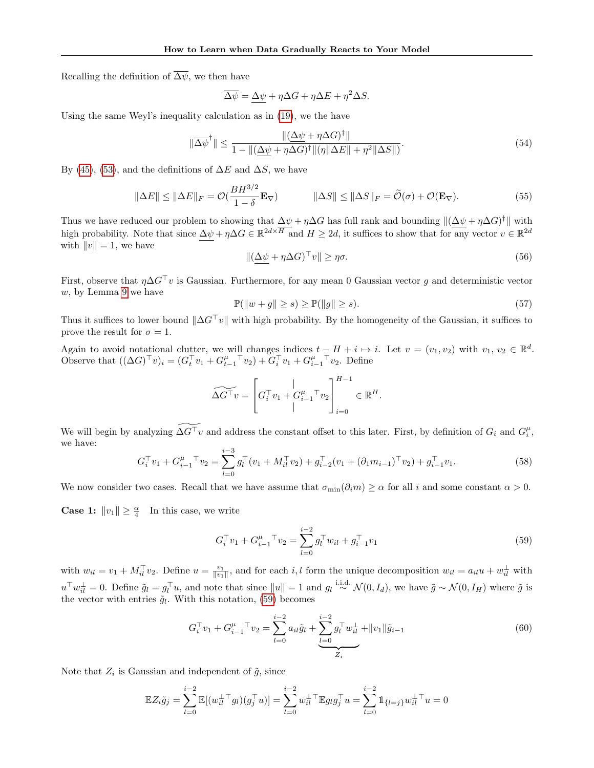Recalling the definition of  $\overline{\Delta \psi}$ , we then have

$$
\overline{\Delta \psi} = \underline{\Delta \psi} + \eta \Delta G + \eta \Delta E + \eta^2 \Delta S.
$$

Using the same Weyl's inequality calculation as in [\(19\)](#page-16-1), we the have

<span id="page-23-4"></span>
$$
\|\overline{\Delta\psi}^{\dagger}\| \le \frac{\|(\underline{\Delta\psi} + \eta \Delta G)^{\dagger}\|}{1 - \|(\underline{\Delta\psi} + \eta \Delta G)^{\dagger}\|(\eta\|\Delta E\| + \eta^2\|\Delta S\|)}.
$$
\n(54)

By [\(45\)](#page-20-0), [\(53\)](#page-22-3), and the definitions of  $\Delta E$  and  $\Delta S$ , we have

$$
\|\Delta E\| \le \|\Delta E\|_F = \mathcal{O}(\frac{BH^{3/2}}{1-\delta}\mathbf{E}_{\nabla}) \qquad \|\Delta S\| \le \|\Delta S\|_F = \widetilde{\mathcal{O}}(\sigma) + \mathcal{O}(\mathbf{E}_{\nabla}). \tag{55}
$$

Thus we have reduced our problem to showing that  $\Delta \psi + \eta \Delta G$  has full rank and bounding  $\|(\Delta \psi + \eta \Delta G)^{\dagger}\|$  with high probability. Note that since  $\Delta \psi + \eta \Delta G \in \mathbb{R}^{2d \times \overline{H}}$  and  $H \geq 2d$ , it suffices to show that for any vector  $v \in \mathbb{R}^{2d}$ with  $||v|| = 1$ , we have

<span id="page-23-3"></span>
$$
\|(\underline{\Delta \psi} + \eta \Delta G)^{\top} v\| \ge \eta \sigma. \tag{56}
$$

First, observe that  $\eta \Delta G^{\top} v$  is Gaussian. Furthermore, for any mean 0 Gaussian vector g and deterministic vector  $w$ , by Lemma [9](#page-11-4) we have

<span id="page-23-2"></span>
$$
\mathbb{P}(\|w+g\| \ge s) \ge \mathbb{P}(\|g\| \ge s). \tag{57}
$$

Thus it suffices to lower bound  $\|\Delta G^{\top}v\|$  with high probability. By the homogeneity of the Gaussian, it suffices to prove the result for  $\sigma = 1$ .

Again to avoid notational clutter, we will changes indices  $t - H + i \mapsto i$ . Let  $v = (v_1, v_2)$  with  $v_1, v_2 \in \mathbb{R}^d$ . Observe that  $((\Delta G)^{\top} v)_i = (G_t^{\top} v_1 + G_{t-1}^{\mu}^{\top} v_2) + G_i^{\top} v_1 + G_{i-1}^{\mu}^{\top} v_2$ . Define

$$
\widetilde{\Delta G^{\top} v} = \left[ G_i^{\top} v_1 + G_{i-1}^{\mu}^{\top} v_2 \right]_{i=0}^{H-1} \in \mathbb{R}^H.
$$

We will begin by analyzing  $\widetilde{\Delta G^{\top}v}$  and address the constant offset to this later. First, by definition of  $G_i$  and  $G_i^{\mu}$ , we have:

$$
G_i^{\top} v_1 + G_{i-1}^{\mu}{}^{\top} v_2 = \sum_{l=0}^{i-3} g_l^{\top} (v_1 + M_{il}^{\top} v_2) + g_{i-2}^{\top} (v_1 + (\partial_1 m_{i-1})^{\top} v_2) + g_{i-1}^{\top} v_1.
$$
 (58)

We now consider two cases. Recall that we have assume that  $\sigma_{\min}(\partial_i m) \geq \alpha$  for all i and some constant  $\alpha > 0$ .

**Case 1:**  $||v_1|| \geq \frac{\alpha}{4}$  In this case, we write

<span id="page-23-1"></span><span id="page-23-0"></span>
$$
G_i^{\top} v_1 + G_{i-1}^{\mu}{}^{\top} v_2 = \sum_{l=0}^{i-2} g_l^{\top} w_{il} + g_{i-1}^{\top} v_1
$$
\n(59)

with  $w_{il} = v_1 + M_{il}^{\top} v_2$ . Define  $u = \frac{v_1}{\|v_1\|}$ , and for each i, l form the unique decomposition  $w_{il} = a_{il}u + w_{il}^{\perp}$  with  $u^{\top}w_{il}^{\perp}=0$ . Define  $\tilde{g}_l=g_l^{\top}u$ , and note that since  $||u||=1$  and  $g_l \stackrel{\text{i.i.d.}}{\sim} \mathcal{N}(0, I_d)$ , we have  $\tilde{g} \sim \mathcal{N}(0, I_H)$  where  $\tilde{g}$  is the vector with entries  $\tilde{g}_l$ . With this notation, [\(59\)](#page-23-0) becomes

$$
G_i^{\top} v_1 + G_{i-1}^{\mu}^{\top} v_2 = \sum_{l=0}^{i-2} a_{il} \tilde{g}_l + \underbrace{\sum_{l=0}^{i-2} g_l^{\top} w_{il}^{\top}}_{Z_i} + ||v_1|| \tilde{g}_{i-1}
$$
(60)

Note that  $Z_i$  is Gaussian and independent of  $\tilde{g}$ , since

$$
\mathbb{E}Z_i\tilde{g}_j = \sum_{l=0}^{i-2} \mathbb{E}[(w_{il}^{\perp \top} g_l)(g_j^{\top} u)] = \sum_{l=0}^{i-2} w_{il}^{\perp \top} \mathbb{E}g_l g_j^{\top} u = \sum_{l=0}^{i-2} 1 \mathbb{1}_{\{l=j\}} w_{il}^{\perp \top} u = 0
$$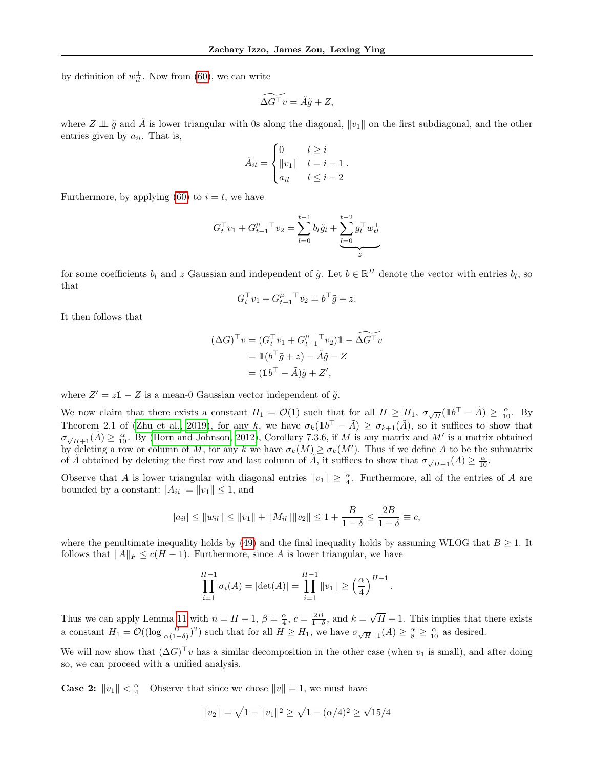by definition of  $w_{il}^{\perp}$ . Now from [\(60\)](#page-23-1), we can write

$$
\widetilde{\Delta G^{\top} v} = \tilde{A}\tilde{g} + Z,
$$

where  $Z \perp \tilde{g}$  and  $\tilde{A}$  is lower triangular with 0s along the diagonal,  $||v_1||$  on the first subdiagonal, and the other entries given by  $a_{il}$ . That is,

$$
\tilde{A}_{il} = \begin{cases}\n0 & l \geq i \\
\|v_1\| & l = i - 1 \\
a_{il} & l \leq i - 2\n\end{cases}
$$

Furthermore, by applying [\(60\)](#page-23-1) to  $i = t$ , we have

$$
G_t^{\top} v_1 + G_{t-1}^{\mu}{}^{\top} v_2 = \sum_{l=0}^{t-1} b_l \tilde{g}_l + \underbrace{\sum_{l=0}^{t-2} g_l^{\top} w_{tl}^{\perp}}_{z}
$$

for some coefficients  $b_l$  and z Gaussian and independent of  $\tilde{g}$ . Let  $b \in \mathbb{R}^H$  denote the vector with entries  $b_l$ , so that

$$
G_t^{\top} v_1 + G_{t-1}^{\mu}^{\top} v_2 = b^{\top} \tilde{g} + z.
$$

It then follows that

$$
(\Delta G)^{\top} v = (G_t^{\top} v_1 + G_{t-1}^{\mu}^{\top} v_2) \mathbb{1} - \widetilde{\Delta G^{\top} v}
$$

$$
= \mathbb{1}(b^{\top} \tilde{g} + z) - \tilde{A}\tilde{g} - Z
$$

$$
= (\mathbb{1}b^{\top} - \tilde{A})\tilde{g} + Z',
$$

where  $Z' = z\mathbb{1} - Z$  is a mean-0 Gaussian vector independent of  $\tilde{g}$ .

We now claim that there exists a constant  $H_1 = \mathcal{O}(1)$  such that for all  $H \geq H_1$ ,  $\sigma_{\sqrt{H}}(1b^{\top} - \tilde{A}) \geq \frac{\alpha}{10}$ . By Theorem 2.1 of [\(Zhu et al., 2019\)](#page-9-17), for any k, we have  $\sigma_k(1b^{\dagger} - \tilde{A}) \geq \sigma_{k+1}(\tilde{A})$ , so it suffices to show that  $\sigma_{\sqrt{H}+1}(\tilde{A}) \ge \frac{\alpha}{10}$ . By [\(Horn and Johnson, 2012\)](#page-8-9), Corollary 7.3.6, if M is any matrix and M' is a matrix obtained by deleting a row or column of M, for any k we have  $\sigma_k(M) \geq \sigma_k(M')$ . Thus if we define A to be the submatrix of  $\tilde{A}$  obtained by deleting the first row and last column of  $\tilde{A}$ , it suffices to show that  $\sigma_{\sqrt{H}+1}(A) \geq \frac{\alpha}{10}$ .

Observe that A is lower triangular with diagonal entries  $||v_1|| \geq \frac{\alpha}{4}$ . Furthermore, all of the entries of A are bounded by a constant:  $|A_{ii}| = ||v_1|| \le 1$ , and

$$
|a_{il}| \le ||w_{il}|| \le ||v_1|| + ||M_{il}|| ||v_2|| \le 1 + \frac{B}{1 - \delta} \le \frac{2B}{1 - \delta} \equiv c,
$$

where the penultimate inequality holds by [\(49\)](#page-21-0) and the final inequality holds by assuming WLOG that  $B \geq 1$ . It follows that  $||A||_F \leq c(H-1)$ . Furthermore, since A is lower triangular, we have

$$
\prod_{i=1}^{H-1} \sigma_i(A) = |\det(A)| = \prod_{i=1}^{H-1} ||v_1|| \ge \left(\frac{\alpha}{4}\right)^{H-1}
$$

.

Thus we can apply Lemma [11](#page-11-5) with  $n = H - 1$ ,  $\beta = \frac{\alpha}{4}$ ,  $c = \frac{2B}{1-\delta}$ , and  $k =$ √  $H + 1$ . This implies that there exists a constant  $H_1 = \mathcal{O}((\log \frac{B}{\alpha(1-\delta)})^2)$  such that for all  $H \ge H_1$ , we have  $\sigma_{\sqrt{H}+1}(A) \ge \frac{\alpha}{8} \ge \frac{\alpha}{10}$  as desired.

We will now show that  $(\Delta G)^{\top}v$  has a similar decomposition in the other case (when  $v_1$  is small), and after doing so, we can proceed with a unified analysis.

**Case 2:**  $||v_1|| < \frac{\alpha}{4}$  Observe that since we chose  $||v|| = 1$ , we must have

$$
||v_2|| = \sqrt{1 - ||v_1||^2} \ge \sqrt{1 - (\alpha/4)^2} \ge \sqrt{15}/4
$$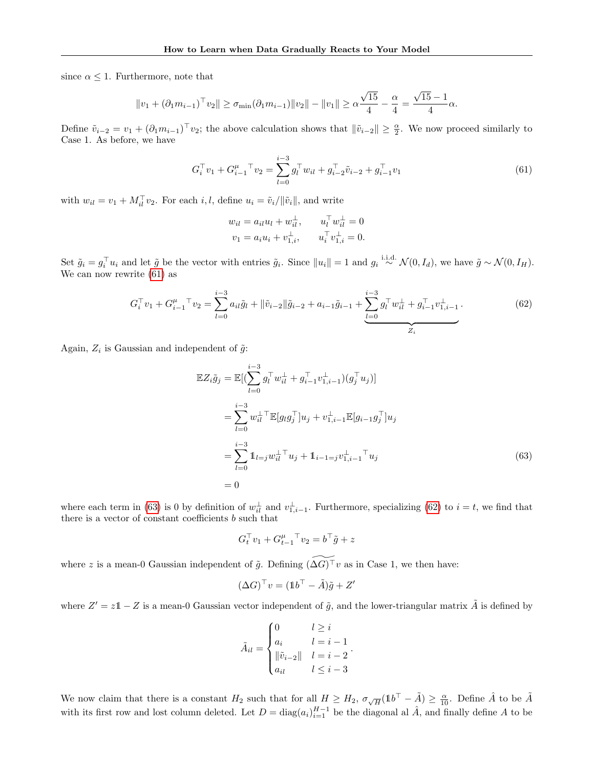since  $\alpha \leq 1$ . Furthermore, note that

$$
||v_1 + (\partial_1 m_{i-1})^\top v_2|| \ge \sigma_{\min}(\partial_1 m_{i-1}) ||v_2|| - ||v_1|| \ge \alpha \frac{\sqrt{15}}{4} - \frac{\alpha}{4} = \frac{\sqrt{15} - 1}{4} \alpha.
$$

Define  $\tilde{v}_{i-2} = v_1 + (\partial_1 m_{i-1})^\top v_2$ ; the above calculation shows that  $\|\tilde{v}_{i-2}\| \geq \frac{\alpha}{2}$ . We now proceed similarly to Case 1. As before, we have

<span id="page-25-0"></span>
$$
G_i^{\top} v_1 + G_{i-1}^{\mu}{}^{\top} v_2 = \sum_{l=0}^{i-3} g_l^{\top} w_{il} + g_{i-2}^{\top} \tilde{v}_{i-2} + g_{i-1}^{\top} v_1
$$
\n(61)

with  $w_{il} = v_1 + M_{il}^{\top} v_2$ . For each  $i, l$ , define  $u_i = \tilde{v}_i / ||\tilde{v}_i||$ , and write

$$
w_{il} = a_{il}u_l + w_{il}^{\perp}, \t u_l^{\top} w_{il}^{\perp} = 0
$$
  

$$
v_1 = a_i u_i + v_{1,i}^{\perp}, \t u_l^{\top} v_{1,i}^{\perp} = 0.
$$

Set  $\tilde{g}_i = g_i^{\top} u_i$  and let  $\tilde{g}$  be the vector with entries  $\tilde{g}_i$ . Since  $||u_i|| = 1$  and  $g_i \stackrel{\text{i.i.d.}}{\sim} \mathcal{N}(0, I_d)$ , we have  $\tilde{g} \sim \mathcal{N}(0, I_H)$ . We can now rewrite [\(61\)](#page-25-0) as

<span id="page-25-2"></span>
$$
G_i^{\top} v_1 + G_{i-1}^{\mu}{}^{\top} v_2 = \sum_{l=0}^{i-3} a_{il} \tilde{g}_l + ||\tilde{v}_{i-2}||\tilde{g}_{i-2} + a_{i-1}\tilde{g}_{i-1} + \underbrace{\sum_{l=0}^{i-3} g_l^{\top} w_{il}^{\perp} + g_{i-1}^{\top} v_{1,i-1}^{\perp}}_{Z_i}.
$$
 (62)

Again,  $Z_i$  is Gaussian and independent of  $\tilde{g}$ :

$$
\mathbb{E}Z_i\tilde{g}_j = \mathbb{E}[(\sum_{l=0}^{i-3} g_l^{\top} w_{il}^{\perp} + g_{i-1}^{\top} v_{1,i-1}^{\perp})(g_j^{\top} u_j)]
$$
  
\n
$$
= \sum_{l=0}^{i-3} w_{il}^{\perp} \mathbb{E}[g_l g_j^{\top}]u_j + v_{1,i-1}^{\perp} \mathbb{E}[g_{i-1} g_j^{\top}]u_j
$$
  
\n
$$
= \sum_{l=0}^{i-3} 1_{l=j} w_{il}^{\perp} \mathbb{E}[u_j + 1_{i-1=j} v_{1,i-1}^{\perp} u_j]
$$
  
\n
$$
= 0
$$
  
\n(63)

where each term in [\(63\)](#page-25-1) is 0 by definition of  $w_{il}^{\perp}$  and  $v_{1,i-1}^{\perp}$ . Furthermore, specializing [\(62\)](#page-25-2) to  $i = t$ , we find that there is a vector of constant coefficients  $b$  such that

<span id="page-25-1"></span>
$$
G_t^\top v_1 + G_{t-1}^\mu{}^\top v_2 = b^\top \tilde{g} + z
$$

where z is a mean-0 Gaussian independent of  $\tilde{g}$ . Defining  $(\widetilde{\Delta G})^T v$  as in Case 1, we then have:

$$
(\Delta G)^{\top} v = (\mathbb{1}b^{\top} - \tilde{A})\tilde{g} + Z'
$$

where  $Z' = z\mathbb{1} - Z$  is a mean-0 Gaussian vector independent of  $\tilde{g}$ , and the lower-triangular matrix  $\tilde{A}$  is defined by

$$
\tilde{A}_{il} = \begin{cases}\n0 & l \geq i \\
a_i & l = i - 1 \\
\|\tilde{v}_{i-2}\| & l = i - 2 \\
a_{il} & l \leq i - 3\n\end{cases}.
$$

We now claim that there is a constant  $H_2$  such that for all  $H \geq H_2$ ,  $\sigma_{\sqrt{H}}(1b^{\top} - \tilde{A}) \geq \frac{\alpha}{10}$ . Define  $\hat{A}$  to be  $\tilde{A}$ with its first row and lost column deleted. Let  $D = \text{diag}(a_i)_{i=1}^{H-1}$  be the diagonal al  $\hat{A}$ , and finally define A to be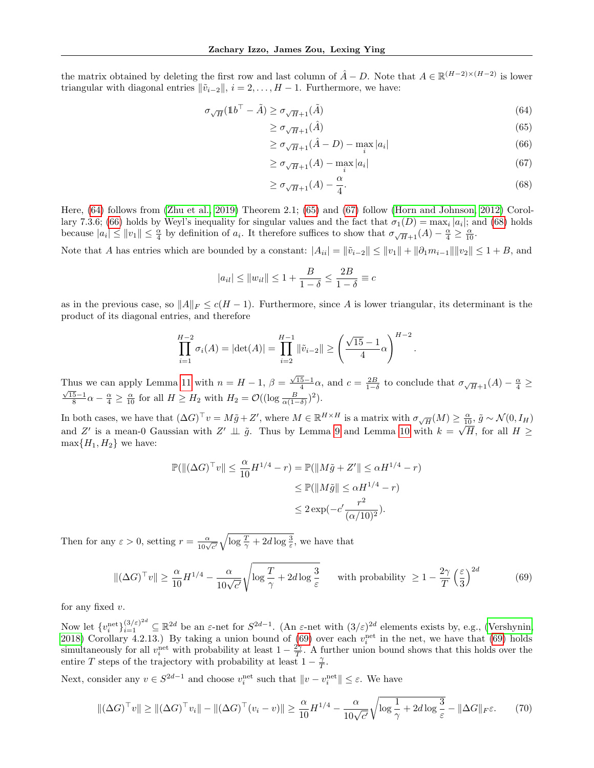the matrix obtained by deleting the first row and last column of  $\hat{A} - D$ . Note that  $A \in \mathbb{R}^{(H-2)\times(H-2)}$  is lower triangular with diagonal entries  $\|\tilde{v}_{i-2}\|$ ,  $i = 2, ..., H - 1$ . Furthermore, we have:

$$
\sigma_{\sqrt{H}}(\mathbb{1}b^{\top} - \tilde{A}) \ge \sigma_{\sqrt{H} + 1}(\tilde{A})\tag{64}
$$

<span id="page-26-1"></span><span id="page-26-0"></span>
$$
\geq \sigma_{\sqrt{H}+1}(\hat{A})\tag{65}
$$

$$
\geq \sigma_{\sqrt{H}+1}(\hat{A}-D) - \max_{i}|a_i| \tag{66}
$$

$$
\geq \sigma_{\sqrt{H}+1}(A) - \max_{i} |a_i| \tag{67}
$$

$$
\geq \sigma_{\sqrt{H}+1}(A) - \frac{\alpha}{4}.\tag{68}
$$

<span id="page-26-4"></span><span id="page-26-3"></span><span id="page-26-2"></span>.

Here, [\(64\)](#page-26-0) follows from [\(Zhu et al., 2019\)](#page-9-17) Theorem 2.1; [\(65\)](#page-26-1) and [\(67\)](#page-26-2) follow [\(Horn and Johnson, 2012\)](#page-8-9) Corol-lary 7.3.6; [\(66\)](#page-26-3) holds by Weyl's inequality for singular values and the fact that  $\sigma_1(D) = \max_i |a_i|$ ; and [\(68\)](#page-26-4) holds because  $|a_i| \leq ||v_1|| \leq \frac{\alpha}{4}$  by definition of  $a_i$ . It therefore suffices to show that  $\sigma_{\sqrt{H}+1}(A) - \frac{\alpha}{4} \geq \frac{\alpha}{10}$ .

Note that A has entries which are bounded by a constant:  $|A_{ii}| = \|\tilde{v}_{i-2}\| \leq \|v_1\| + \|\partial_1 m_{i-1}\| \|v_2\| \leq 1 + B$ , and

$$
|a_{il}| \le ||w_{il}|| \le 1 + \frac{B}{1-\delta} \le \frac{2B}{1-\delta} \equiv c
$$

as in the previous case, so  $||A||_F \leq c(H-1)$ . Furthermore, since A is lower triangular, its determinant is the product of its diagonal entries, and therefore

$$
\prod_{i=1}^{H-2} \sigma_i(A) = |\det(A)| = \prod_{i=2}^{H-1} \|\tilde{v}_{i-2}\| \ge \left(\frac{\sqrt{15}-1}{4}\alpha\right)^{H-2}
$$

Thus we can apply Lemma [11](#page-11-5) with  $n = H - 1$ ,  $\beta = \frac{\sqrt{15}-1}{4}\alpha$ , and  $c = \frac{2B}{1-\delta}$  to conclude that  $\sigma_{\sqrt{H}+1}(A) - \frac{\alpha}{4} \ge \overline{A}$  $\frac{15-1}{8}\alpha - \frac{\alpha}{4} \ge \frac{\alpha}{10}$  for all  $H \ge H_2$  with  $H_2 = \mathcal{O}((\log \frac{B}{\alpha(1-\delta)})^2)$ .

In both cases, we have that  $(\Delta G)^{\top} v = M \tilde{g} + Z'$ , where  $M \in \mathbb{R}^{H \times H}$  is a matrix with  $\sigma_{\sqrt{H}}(M) \ge \frac{\alpha}{10}$ ,  $\tilde{g} \sim \mathcal{N}(0, I_H)$ and Z' is a mean-0 Gaussian with  $Z' \perp \perp \tilde{g}$ . Thus by Lemma [9](#page-11-4) and Lemma [10](#page-11-6) with  $k = \sqrt{H}$ , for all  $H \ge$  $\max\{H_1, H_2\}$  we have:

$$
\mathbb{P}(\|(\Delta G)^{\top} v\| \leq \frac{\alpha}{10} H^{1/4} - r) = \mathbb{P}(\|M\tilde{g} + Z'\| \leq \alpha H^{1/4} - r)
$$
  

$$
\leq \mathbb{P}(\|M\tilde{g}\| \leq \alpha H^{1/4} - r)
$$
  

$$
\leq 2 \exp(-c' \frac{r^2}{(\alpha/10)^2}).
$$

Then for any  $\varepsilon > 0$ , setting  $r = \frac{\alpha}{10\sqrt{c'}} \sqrt{\log \frac{T}{\gamma} + 2d \log \frac{3}{\varepsilon}}$ , we have that

<span id="page-26-5"></span>
$$
\| (\Delta G)^{\top} v \| \ge \frac{\alpha}{10} H^{1/4} - \frac{\alpha}{10\sqrt{c'}} \sqrt{\log \frac{T}{\gamma} + 2d \log \frac{3}{\varepsilon}} \quad \text{with probability } \ge 1 - \frac{2\gamma}{T} \left(\frac{\varepsilon}{3}\right)^{2d} \tag{69}
$$

for any fixed  $v$ .

Now let  $\{v_i^{\text{net}}\}_{i=1}^{(3/\varepsilon)^{2d}} \subseteq \mathbb{R}^{2d}$  be an  $\varepsilon$ -net for  $S^{2d-1}$ . (An  $\varepsilon$ -net with  $(3/\varepsilon)^{2d}$  elements exists by, e.g., [\(Vershynin,](#page-9-15) [2018\)](#page-9-15) Corollary 4.2.13.) By taking a union bound of  $(69)$  over each  $v_i^{\text{net}}$  in the net, we have that  $(69)$  holds simultaneously for all  $v_i^{\text{net}}$  with probability at least  $1 - \frac{2\gamma}{T}$ . A further union bound shows that this holds over the entire T steps of the trajectory with probability at least  $1 - \frac{\gamma}{T}$ .

Next, consider any  $v \in S^{2d-1}$  and choose  $v_i^{\text{net}}$  such that  $||v - v_i^{\text{net}}|| \leq \varepsilon$ . We have

<span id="page-26-6"></span>
$$
\|(\Delta G)^{\top}v\| \ge \|(\Delta G)^{\top}v_i\| - \|(\Delta G)^{\top}(v_i - v)\| \ge \frac{\alpha}{10}H^{1/4} - \frac{\alpha}{10\sqrt{c'}}\sqrt{\log\frac{1}{\gamma} + 2d\log\frac{3}{\varepsilon}} - \|\Delta G\|_F\varepsilon. \tag{70}
$$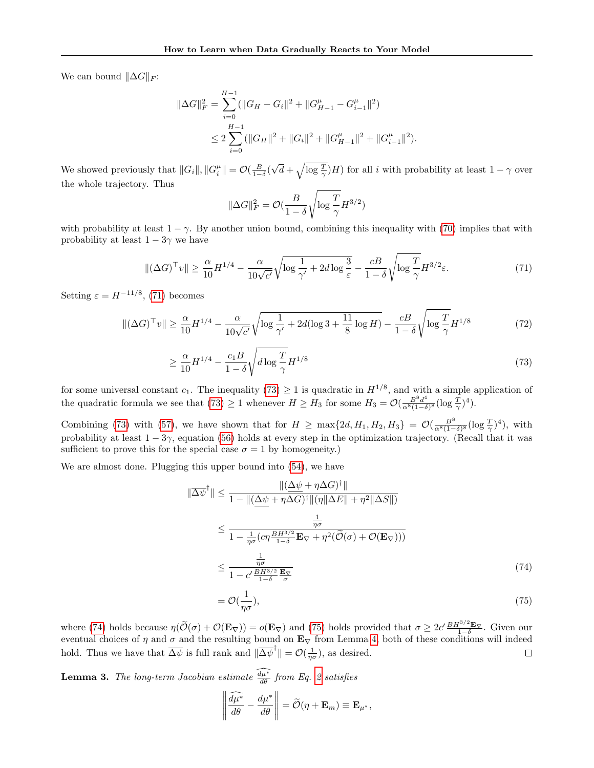We can bound  $\|\Delta G\|_F$ :

$$
\|\Delta G\|_{F}^{2} = \sum_{i=0}^{H-1} (\|G_{H} - G_{i}\|^{2} + \|G_{H-1}^{\mu} - G_{i-1}^{\mu}\|^{2})
$$
  

$$
\leq 2 \sum_{i=0}^{H-1} (\|G_{H}\|^{2} + \|G_{i}\|^{2} + \|G_{H-1}^{\mu}\|^{2} + \|G_{i-1}^{\mu}\|^{2}).
$$

We showed previously that  $||G_i||$ ,  $||G_i^{\mu}|| = \mathcal{O}(\frac{B}{1-\delta})$ √  $\overline{d} + \sqrt{\log \frac{T}{\gamma}} H$ ) for all i with probability at least  $1 - \gamma$  over the whole trajectory. Thus

<span id="page-27-1"></span>
$$
\|\Delta G\|_F^2 = \mathcal{O}(\frac{B}{1-\delta}\sqrt{\log \frac{T}{\gamma}}H^{3/2})
$$

with probability at least  $1 - \gamma$ . By another union bound, combining this inequality with [\(70\)](#page-26-6) implies that with probability at least  $1 - 3\gamma$  we have

<span id="page-27-0"></span>
$$
\|(\Delta G)^\top v\| \ge \frac{\alpha}{10} H^{1/4} - \frac{\alpha}{10\sqrt{c'}} \sqrt{\log\frac{1}{\gamma'} + 2d\log\frac{3}{\varepsilon}} - \frac{c}{1-\delta} \sqrt{\log\frac{T}{\gamma}} H^{3/2}\varepsilon. \tag{71}
$$

Setting  $\varepsilon = H^{-11/8}$ , [\(71\)](#page-27-0) becomes

$$
\| (\Delta G)^{\top} v \| \ge \frac{\alpha}{10} H^{1/4} - \frac{\alpha}{10\sqrt{c'}} \sqrt{\log \frac{1}{\gamma'}} + 2d(\log 3 + \frac{11}{8} \log H) - \frac{c}{1 - \delta} \sqrt{\log \frac{T}{\gamma}} H^{1/8}
$$
(72)

$$
\geq \frac{\alpha}{10} H^{1/4} - \frac{c_1 B}{1 - \delta} \sqrt{d \log \frac{T}{\gamma}} H^{1/8} \tag{73}
$$

for some universal constant  $c_1$ . The inequality  $(73) \geq 1$  $(73) \geq 1$  is quadratic in  $H^{1/8}$ , and with a simple application of the quadratic formula we see that  $(73) \geq 1$  $(73) \geq 1$  whenever  $H \geq H_3$  for some  $H_3 = \mathcal{O}(\frac{B^8 d^4}{\alpha^8 (1-\delta)^2})$  $rac{B^8d^4}{\alpha^8(1-\delta)^8}(\log \frac{T}{\gamma})^4).$ 

Combining [\(73\)](#page-27-1) with [\(57\)](#page-23-2), we have shown that for  $H \ge \max\{2d, H_1, H_2, H_3\} = \mathcal{O}(\frac{B^8}{\alpha^8(1-\delta)^8}(\log \frac{T}{\gamma})^4)$ , with probability at least  $1 - 3\gamma$ , equation [\(56\)](#page-23-3) holds at every step in the optimization trajectory. (Recall that it was sufficient to prove this for the special case  $\sigma = 1$  by homogeneity.)

We are almost done. Plugging this upper bound into [\(54\)](#page-23-4), we have

$$
\|\overline{\Delta\psi}^{\dagger}\| \leq \frac{\|(\underline{\Delta\psi} + \eta \Delta G)^{\dagger}\|}{1 - \|(\underline{\Delta\psi} + \eta \Delta G)^{\dagger}\|(\eta\|\Delta E\| + \eta^2\|\Delta S\|)}
$$
  
\n
$$
\leq \frac{\frac{1}{\eta\sigma}}{1 - \frac{1}{\eta\sigma}(c\eta\frac{BH^{3/2}}{1 - \delta}\mathbf{E}_{\nabla} + \eta^2(\widetilde{\mathcal{O}}(\sigma) + \mathcal{O}(\mathbf{E}_{\nabla})))}
$$
  
\n
$$
\leq \frac{\frac{1}{\eta\sigma}}{1 - c'\frac{BH^{3/2}}{1 - \delta}\frac{\mathbf{E}_{\nabla}}{\sigma}}
$$
 (74)

<span id="page-27-3"></span><span id="page-27-2"></span>
$$
=\mathcal{O}(\frac{1}{\eta\sigma}),\tag{75}
$$

where [\(74\)](#page-27-2) holds because  $\eta(\tilde{\mathcal{O}}(\sigma) + \mathcal{O}(\mathbf{E}_{\nabla})) = o(\mathbf{E}_{\nabla})$  and [\(75\)](#page-27-3) holds provided that  $\sigma \geq 2c' \frac{BH^{3/2} \mathbf{E}_{\nabla}}{1-\delta}$ . Given our eventual choices of  $\eta$  and  $\sigma$  and the resulting bound on  $\mathbf{E}_{\nabla}$  from Lemma [4,](#page-5-4) both of these conditions will indeed hold. Thus we have that  $\overline{\Delta \psi}$  is full rank and  $\|\overline{\Delta \psi}^{\dagger}\| = \mathcal{O}(\frac{1}{\eta \sigma})$ , as desired.  $\Box$ 

**Lemma 3.** The long-term Jacobian estimate  $\frac{d\mu^*}{d\theta}$  from Eq. [2](#page-3-1) satisfies

$$
\left\|\frac{\widehat{d\mu^*}}{d\theta} - \frac{d\mu^*}{d\theta}\right\| = \widetilde{\mathcal{O}}(\eta + \mathbf{E}_m) \equiv \mathbf{E}_{\mu^*},
$$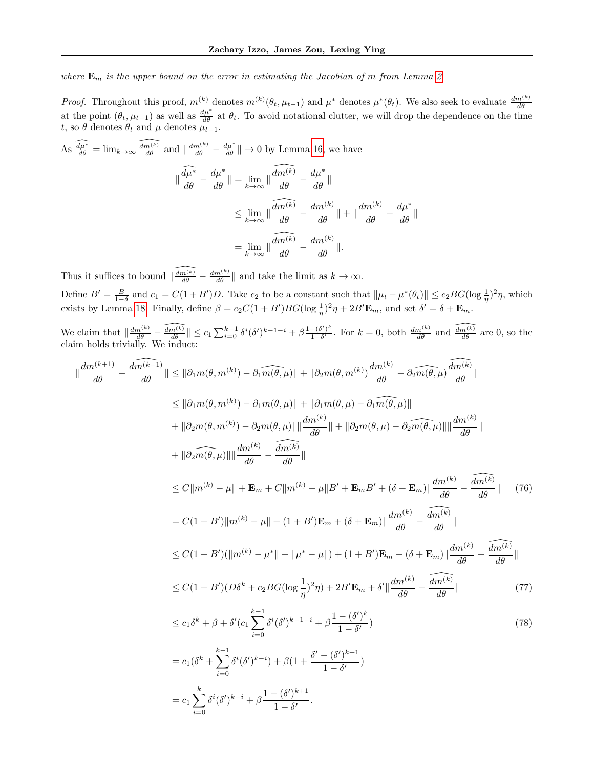where  $\mathbf{E}_m$  is the upper bound on the error in estimating the Jacobian of m from Lemma [2.](#page-5-1)

*Proof.* Throughout this proof,  $m^{(k)}$  denotes  $m^{(k)}(\theta_t, \mu_{t-1})$  and  $\mu^*$  denotes  $\mu^*(\theta_t)$ . We also seek to evaluate  $\frac{dm^{(k)}}{d\theta}$ at the point  $(\theta_t, \mu_{t-1})$  as well as  $\frac{d\mu^*}{d\theta}$  at  $\theta_t$ . To avoid notational clutter, we will drop the dependence on the time t, so  $\theta$  denotes  $\theta_t$  and  $\mu$  denotes  $\mu_{t-1}$ .

As 
$$
\frac{\widehat{d\mu^*}}{d\theta} = \lim_{k \to \infty} \frac{\widehat{d\mu^{(k)}}}{d\theta}
$$
 and  $\|\frac{dm^{(k)}}{d\theta} - \frac{d\mu^*}{d\theta}\| \to 0$  by Lemma 16, we have  

$$
\|\frac{\widehat{d\mu^*}}{d\theta} - \frac{d\mu^*}{d\theta}\| = \lim_{k \to \infty} \|\frac{\widehat{d\mu^{(k)}}}{d\theta} - \frac{d\mu^*}{d\theta}\|
$$

$$
\leq \lim_{k \to \infty} \|\frac{\widehat{d\mu^{(k)}}}{d\theta} - \frac{dm^{(k)}}{d\theta}\| + \|\frac{dm^{(k)}}{d\theta} - \frac{d\mu^*}{d\theta}\|
$$

$$
= \lim_{k \to \infty} \|\frac{\widehat{d\mu^{(k)}}}{d\theta} - \frac{dm^{(k)}}{d\theta}\|.
$$

Thus it suffices to bound  $\|\widehat{\frac{dm(k)}{d\theta}} - \frac{dm^{(k)}}{d\theta}\|$  and take the limit as  $k \to \infty$ . Define  $B' = \frac{B}{1-\delta}$  and  $c_1 = C(1+B')D$ . Take  $c_2$  to be a constant such that  $\|\mu_t - \mu^*(\theta_t)\| \le c_2 BG(\log \frac{1}{\eta})^2\eta$ , which exists by Lemma [18.](#page-14-1) Finally, define  $\beta = c_2 C(1 + B')BG(\log \frac{1}{\eta})^2 \eta + 2B' \mathbf{E}_m$ , and set  $\delta' = \delta + \mathbf{E}_m$ .

We claim that  $\|\frac{dm^{(k)}}{d\theta} - \widehat{\frac{dm^{(k)}}{d\theta}}\| \leq c_1 \sum_{i=0}^{k-1} \delta^i (\delta')^{k-1-i} + \beta \frac{1-(\delta')^k}{1-\delta'}$  $\frac{-(\delta')^k}{1-\delta'}$ . For  $k=0$ , both  $\frac{dm^{(k)}}{d\theta}$  and  $\widehat{\frac{dm^{(k)}}{d\theta}}$  are 0, so the claim holds trivially. We induct:

<span id="page-28-2"></span><span id="page-28-1"></span><span id="page-28-0"></span>
$$
\|\frac{dm^{(k+1)}}{d\theta} - \frac{\widehat{dm^{(k+1)}}}{d\theta}\| \leq \|\partial_1 m(\theta, m^{(k)}) - \partial_1 \widehat{m(\theta, \mu)}\| + \|\partial_2 m(\theta, m^{(k)}) \frac{dm^{(k)}}{d\theta} - \partial_2 \widehat{m(\theta, \mu)} \frac{\widehat{dm^{(k)}}}{d\theta}\| \n\leq \|\partial_1 m(\theta, m^{(k)}) - \partial_1 m(\theta, \mu)\| + \|\partial_1 m(\theta, \mu) - \partial_1 \widehat{m(\theta, \mu)}\| \n+ \|\partial_2 m(\theta, m^{(k)}) - \partial_2 m(\theta, \mu)\| \|\frac{dm^{(k)}}{d\theta} + \|\partial_2 m(\theta, \mu) - \partial_2 \widehat{m(\theta, \mu)}\| \|\frac{dm^{(k)}}{d\theta}\| \n+ \|\partial_2 \widehat{m(\theta, \mu)}\| \|\frac{dm^{(k)}}{d\theta} - \frac{\widehat{dm^{(k)}}}{d\theta}\| \n\leq C\|m^{(k)} - \mu\| + \mathbf{E}_m + C\|m^{(k)} - \mu\|B' + \mathbf{E}_mB' + (\delta + \mathbf{E}_m)\|\frac{dm^{(k)}}{d\theta} - \frac{\widehat{dm^{(k)}}}{d\theta}\| \n= C(1 + B')\|m^{(k)} - \mu\| + (1 + B')\mathbf{E}_m + (\delta + \mathbf{E}_m)\|\frac{dm^{(k)}}{d\theta} - \frac{\widehat{dm^{(k)}}}{d\theta}\| \n\leq C(1 + B')(\|m^{(k)} - \mu^*\| + \|\mu^* - \mu\|) + (1 + B')\mathbf{E}_m + (\delta + \mathbf{E}_m)\|\frac{dm^{(k)}}{d\theta} - \frac{\widehat{dm^{(k)}}}{d\theta}\| \n\leq C(1 + B')\|D\delta^k + c_2BG(\log \frac{1}{\eta})^2\eta) + 2B'\mathbf{E}_m + \delta'\|\frac{dm^{(k)}}{d\theta} - \frac{\widehat{dm^{(k)}}}{d\theta}\| \n\leq c_1\delta^k + \beta + \delta'(c_1 \sum_{i=0}^{k-1} \delta^i(\delta')^{k-1-i} + \beta \frac{1 - (\delta')
$$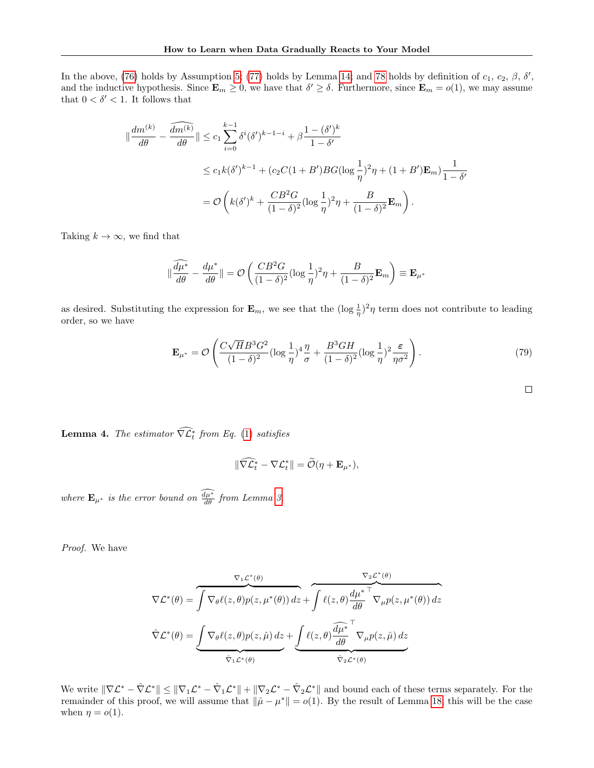In the above, [\(76\)](#page-28-0) holds by Assumption [5;](#page-4-7) [\(77\)](#page-28-1) holds by Lemma [14;](#page-12-4) and [78](#page-28-2) holds by definition of  $c_1, c_2, \beta, \delta',$ and the inductive hypothesis. Since  $\mathbf{E}_m \geq 0$ , we have that  $\delta' \geq \delta$ . Furthermore, since  $\mathbf{E}_m = o(1)$ , we may assume that  $0<\delta'<1.$  It follows that

$$
\|\frac{dm^{(k)}}{d\theta} - \frac{\widehat{dm^{(k)}}}{d\theta}\| \le c_1 \sum_{i=0}^{k-1} \delta^i (\delta')^{k-1-i} + \beta \frac{1 - (\delta')^k}{1 - \delta'}
$$
  

$$
\le c_1 k(\delta')^{k-1} + (c_2 C(1 + B') B G (\log \frac{1}{\eta})^2 \eta + (1 + B') \mathbf{E}_m) \frac{1}{1 - \delta'}
$$
  

$$
= \mathcal{O}\left(k(\delta')^k + \frac{CB^2 G}{(1 - \delta)^2} (\log \frac{1}{\eta})^2 \eta + \frac{B}{(1 - \delta)^2} \mathbf{E}_m\right).
$$

Taking  $k \to \infty$ , we find that

$$
\|\frac{\widehat{d\mu^*}}{d\theta} - \frac{d\mu^*}{d\theta}\| = \mathcal{O}\left(\frac{CB^2G}{(1-\delta)^2}(\log\frac{1}{\eta})^2\eta + \frac{B}{(1-\delta)^2}\mathbf{E}_m\right) \equiv \mathbf{E}_{\mu^*}
$$

as desired. Substituting the expression for  $\mathbf{E}_m$ , we see that the  $(\log \frac{1}{\eta})^2 \eta$  term does not contribute to leading order, so we have

<span id="page-29-0"></span>
$$
\mathbf{E}_{\mu^*} = \mathcal{O}\left(\frac{C\sqrt{H}B^3G^2}{(1-\delta)^2}(\log\frac{1}{\eta})^4\frac{\eta}{\sigma} + \frac{B^3GH}{(1-\delta)^2}(\log\frac{1}{\eta})^2\frac{\varepsilon}{\eta\sigma^2}\right).
$$
(79)

 $\Box$ 

**Lemma 4.** The estimator 
$$
\widehat{\nabla \mathcal{L}_t^*}
$$
 from Eq. (1) satisfies

$$
\|\widehat{\nabla \mathcal{L}}_t^* - \nabla \mathcal{L}_t^*\| = \widetilde{\mathcal{O}}(\eta + \mathbf{E}_{\mu^*}),
$$

where  $\mathbf{E}_{\mu^*}$  is the error bound on  $\frac{d\mu^*}{d\theta}$  from Lemma [3.](#page-5-2)

Proof. We have

$$
\nabla \mathcal{L}^*(\theta) = \overbrace{\int \nabla_{\theta} \ell(z,\theta) p(z,\mu^*(\theta)) dz}^{\nabla_1 \mathcal{L}^*(\theta)} + \overbrace{\int \ell(z,\theta) \frac{d\mu^*}{d\theta}^{\top}}^{\nabla_2 \mathcal{L}^*(\theta)} \nabla_{\mu} p(z,\mu^*(\theta)) dz}^{\nabla_2 \mathcal{L}^*(\theta)} + \overbrace{\int \ell(z,\theta) \frac{d\mu^*}{d\theta}^{\top}}^{\nabla_2 \mathcal{L}^*(\theta)} \nabla_{\mu} p(z,\hat{\mu}) dz}^{\nabla_2 \mathcal{L}^*(\theta)} + \underbrace{\int \ell(z,\theta) \frac{d\mu^*}{d\theta}^{\top}}^{\nabla_2 \mathcal{L}^*(\theta)} \nabla_{\mu} p(z,\hat{\mu}) dz}_{\hat{\nabla}_2 \mathcal{L}^*(\theta)}
$$

We write  $\|\nabla \mathcal{L}^* - \hat{\nabla} \mathcal{L}^*\| \le \|\nabla_1 \mathcal{L}^* - \hat{\nabla}_1 \mathcal{L}^*\| + \|\nabla_2 \mathcal{L}^* - \hat{\nabla}_2 \mathcal{L}^*\|$  and bound each of these terms separately. For the remainder of this proof, we will assume that  $\|\hat{\mu} - \mu^*\| = o(1)$ . By the result of Lemma [18,](#page-14-1) this will be the case when  $\eta = o(1)$ .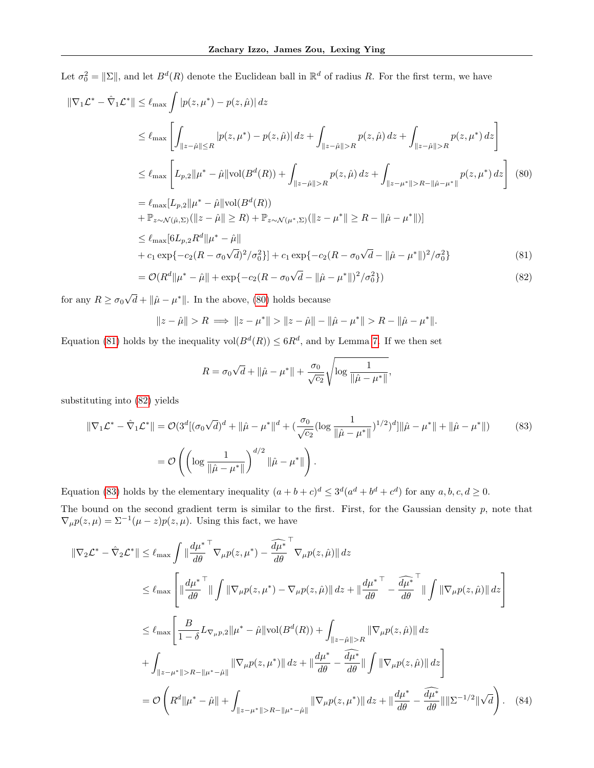Let  $\sigma_0^2 = ||\Sigma||$ , and let  $B^d(R)$  denote the Euclidean ball in  $\mathbb{R}^d$  of radius R. For the first term, we have

$$
\|\nabla_{1}\mathcal{L}^{*} - \hat{\nabla}_{1}\mathcal{L}^{*}\| \leq \ell_{\max} \int |p(z, \mu^{*}) - p(z, \hat{\mu})| dz
$$
  
\n
$$
\leq \ell_{\max} \left[ \int_{\|z - \hat{\mu}\| \leq R} |p(z, \mu^{*}) - p(z, \hat{\mu})| dz + \int_{\|z - \hat{\mu}\| > R} p(z, \hat{\mu}) dz + \int_{\|z - \hat{\mu}\| > R} p(z, \mu^{*}) dz \right]
$$
  
\n
$$
\leq \ell_{\max} \left[ L_{p,2} \|\mu^{*} - \hat{\mu}\| \text{vol}(B^{d}(R)) + \int_{\|z - \hat{\mu}\| > R} p(z, \hat{\mu}) dz + \int_{\|z - \mu^{*}\| > R - \|\hat{\mu} - \mu^{*}\|} p(z, \mu^{*}) dz \right] (80)
$$
  
\n
$$
= \ell_{\max} [L_{p,2} \|\mu^{*} - \hat{\mu}\| \text{vol}(B^{d}(R))
$$
  
\n
$$
+ \mathbb{P}_{z \sim N(\hat{\mu}, \Sigma)} (\|z - \hat{\mu}\| \geq R) + \mathbb{P}_{z \sim N(\mu^{*}, \Sigma)} (\|z - \mu^{*}\| \geq R - \|\hat{\mu} - \mu^{*}\|)]
$$
  
\n
$$
\leq \ell_{\max} [6L_{p,2}R^{d} \|\mu^{*} - \hat{\mu}\|
$$
  
\n
$$
+ c_{1} \exp\{-c_{2}(R - \sigma_{0}\sqrt{d})^{2}/\sigma_{0}^{2}\}] + c_{1} \exp\{-c_{2}(R - \sigma_{0}\sqrt{d} - \|\hat{\mu} - \mu^{*}\|)^{2}/\sigma_{0}^{2}\}
$$
  
\n
$$
= \mathcal{O}(R^{d} \|\mu^{*} - \hat{\mu}\| + \exp\{-c_{2}(R - \sigma_{0}\sqrt{d} - \|\hat{\mu} - \mu^{*}\|)^{2}/\sigma_{0}^{2}\})
$$
  
\n(82)

for any  $R \geq \sigma_0$  $\bar{d} + ||\hat{\mu} - \mu^*||$ . In the above, [\(80\)](#page-30-0) holds because

$$
\|z - \hat{\mu}\| > R \implies \|z - \mu^*\| > \|z - \hat{\mu}\| - \|\hat{\mu} - \mu^*\| > R - \|\hat{\mu} - \mu^*\|.
$$

Equation [\(81\)](#page-30-1) holds by the inequality  $vol(B^d(R)) \leq 6R^d$ , and by Lemma [7.](#page-11-7) If we then set

<span id="page-30-4"></span><span id="page-30-3"></span><span id="page-30-2"></span><span id="page-30-1"></span><span id="page-30-0"></span>
$$
R = \sigma_0 \sqrt{d} + ||\hat{\mu} - \mu^*|| + \frac{\sigma_0}{\sqrt{c_2}} \sqrt{\log \frac{1}{||\hat{\mu} - \mu^*||}},
$$

substituting into [\(82\)](#page-30-2) yields

$$
\|\nabla_1 \mathcal{L}^* - \hat{\nabla}_1 \mathcal{L}^*\| = \mathcal{O}(3^d [(\sigma_0 \sqrt{d})^d + \|\hat{\mu} - \mu^*\|^d + (\frac{\sigma_0}{\sqrt{c_2}} (\log \frac{1}{\|\hat{\mu} - \mu^*\|})^{1/2})^d] \|\hat{\mu} - \mu^*\| + \|\hat{\mu} - \mu^*\|)
$$
(83)  

$$
= \mathcal{O}\left(\left(\log \frac{1}{\|\hat{\mu} - \mu^*\|}\right)^{d/2} \|\hat{\mu} - \mu^*\|\right).
$$

Equation [\(83\)](#page-30-3) holds by the elementary inequality  $(a+b+c)^d \leq 3^d(a^d+b^d+c^d)$  for any  $a, b, c, d \geq 0$ . The bound on the second gradient term is similar to the first. First, for the Gaussian density  $p$ , note that  $\nabla_{\mu} p(z, \mu) = \Sigma^{-1} (\mu - z) p(z, \mu)$ . Using this fact, we have

$$
\|\nabla_{2}\mathcal{L}^{*} - \hat{\nabla}_{2}\mathcal{L}^{*}\| \leq \ell_{\max} \int \|\frac{d\mu^{*}}{d\theta}^{\top} \nabla_{\mu}p(z, \mu^{*}) - \frac{\widehat{d\mu^{*}}^{\top}}{d\theta} \nabla_{\mu}p(z, \hat{\mu})\| dz
$$
  
\n
$$
\leq \ell_{\max} \left[ \|\frac{d\mu^{*}}{d\theta}^{\top} \|\int \|\nabla_{\mu}p(z, \mu^{*}) - \nabla_{\mu}p(z, \hat{\mu})\| dz + \|\frac{d\mu^{*}}{d\theta}^{\top} - \frac{\widehat{d\mu^{*}}^{\top}}{d\theta} \|\int \|\nabla_{\mu}p(z, \hat{\mu})\| dz \right]
$$
  
\n
$$
\leq \ell_{\max} \left[ \frac{B}{1-\delta} L_{\nabla_{\mu}p, 2} \|\mu^{*} - \hat{\mu}\| \text{vol}(B^{d}(R)) + \int_{\|z-\hat{\mu}\|>R} \|\nabla_{\mu}p(z, \hat{\mu})\| dz + \int_{\|z-\mu^{*}\|>R - \|\mu^{*} - \hat{\mu}\|} \|\nabla_{\mu}p(z, \mu^{*})\| dz + \|\frac{d\mu^{*}}{d\theta} - \frac{\widehat{d\mu^{*}}}{d\theta} \|\int \|\nabla_{\mu}p(z, \hat{\mu})\| dz \right]
$$
  
\n
$$
= \mathcal{O}\left(R^{d} \|\mu^{*} - \hat{\mu}\| + \int_{\|z-\mu^{*}\|>R - \|\mu^{*} - \hat{\mu}\|} \|\nabla_{\mu}p(z, \mu^{*})\| dz + \|\frac{d\mu^{*}}{d\theta} - \frac{\widehat{d\mu^{*}}}{d\theta} \|\|\Sigma^{-1/2}\|\sqrt{d}\right). \tag{84}
$$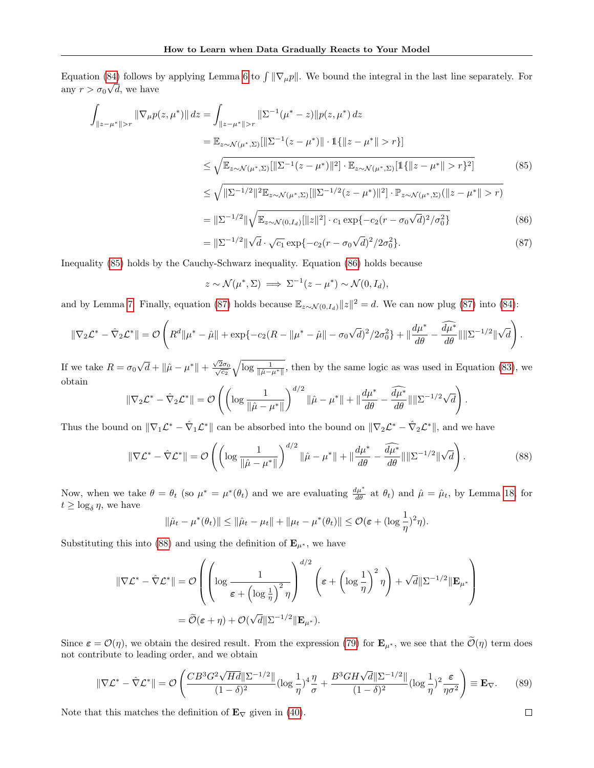Equation [\(84\)](#page-30-4) follows by applying Lemma [6](#page-11-2) to  $\int \|\nabla_{\mu}p\|$ . We bound the integral in the last line separately. For any  $r > \sigma_0 \sqrt{d}$ , we have

$$
\int_{\|z-\mu^*\|>r} \|\nabla_{\mu}p(z,\mu^*)\| \, dz = \int_{\|z-\mu^*\|>r} \|\Sigma^{-1}(\mu^*-z)\|p(z,\mu^*)\, dz
$$
\n
$$
= \mathbb{E}_{z \sim \mathcal{N}(\mu^*,\Sigma)}[\|\Sigma^{-1}(z-\mu^*)\| \cdot \mathbb{1}\{\|z-\mu^*\|>r\}]
$$
\n
$$
\leq \sqrt{\mathbb{E}_{z \sim \mathcal{N}(\mu^*,\Sigma)}[\|\Sigma^{-1}(z-\mu^*)\|^2] \cdot \mathbb{E}_{z \sim \mathcal{N}(\mu^*,\Sigma)}[\mathbb{1}\{\|z-\mu^*\|>r\}^2]}
$$
\n
$$
\leq \sqrt{\|\Sigma^{-1/2}\|^2 \mathbb{E}_{z \sim \mathcal{N}(\mu^*,\Sigma)}[\|\Sigma^{-1/2}(z-\mu^*)\|^2] \cdot \mathbb{P}_{z \sim \mathcal{N}(\mu^*,\Sigma)}(\|z-\mu^*\|>r)}
$$
\n
$$
= \|\Sigma^{-1/2}\|\sqrt{\mathbb{E}_{z \sim \mathcal{N}(0,I_d)}[\|z\|^2] \cdot c_1 \exp\{-c_2(r-\sigma_0\sqrt{d})^2/\sigma_0^2\}}
$$
\n(86)

<span id="page-31-2"></span><span id="page-31-1"></span><span id="page-31-0"></span>
$$
= \|\Sigma^{-1/2}\|\sqrt{d}\cdot\sqrt{c_1}\exp\{-c_2(r-\sigma_0\sqrt{d})^2/2\sigma_0^2\}.\tag{87}
$$

Inequality [\(85\)](#page-31-0) holds by the Cauchy-Schwarz inequality. Equation [\(86\)](#page-31-1) holds because

$$
z \sim \mathcal{N}(\mu^*, \Sigma) \implies \Sigma^{-1}(z - \mu^*) \sim \mathcal{N}(0, I_d),
$$

and by Lemma [7.](#page-11-7) Finally, equation [\(87\)](#page-31-2) holds because  $\mathbb{E}_{z \sim \mathcal{N}(0,I_d)} ||z||^2 = d$ . We can now plug (87) into [\(84\)](#page-30-4):

$$
\|\nabla_2 \mathcal{L}^* - \hat{\nabla}_2 \mathcal{L}^*\| = \mathcal{O}\left(R^d \|\mu^* - \hat{\mu}\| + \exp\{-c_2(R - \|\mu^* - \hat{\mu}\| - \sigma_0\sqrt{d})^2/2\sigma_0^2\} + \|\frac{d\mu^*}{d\theta} - \frac{\widehat{d\mu^*}}{d\theta}\|\|\Sigma^{-1/2}\|\sqrt{d}\right).
$$

If we take  $R = \sigma_0$ √  $\overline{d} + \|\hat{\mu} - \mu^*\| + \frac{\sqrt{2}}{2}$  $\sqrt{2}\sigma_0 \sqrt{\log \frac{1}{\|\hat{\mu} - \mu^*\|}}$ , then by the same logic as was used in Equation [\(83\)](#page-30-3), we obtain

$$
\|\nabla_2 \mathcal{L}^* - \hat{\nabla}_2 \mathcal{L}^*\| = \mathcal{O}\left( \left( \log \frac{1}{\|\hat{\mu} - \mu^*\|} \right)^{d/2} \|\hat{\mu} - \mu^*\| + \|\frac{d\mu^*}{d\theta} - \frac{\widehat{d\mu^*}}{d\theta}\| \|\Sigma^{-1/2} \sqrt{d} \right).
$$

Thus the bound on  $\|\nabla_1 \mathcal{L}^* - \hat{\nabla}_1 \mathcal{L}^*\|$  can be absorbed into the bound on  $\|\nabla_2 \mathcal{L}^* - \hat{\nabla}_2 \mathcal{L}^*\|$ , and we have

<span id="page-31-3"></span>
$$
\|\nabla \mathcal{L}^* - \hat{\nabla} \mathcal{L}^*\| = \mathcal{O}\left(\left(\log \frac{1}{\|\hat{\mu} - \mu^*\|}\right)^{d/2} \|\hat{\mu} - \mu^*\| + \|\frac{d\mu^*}{d\theta} - \frac{\widehat{d\mu^*}}{d\theta}\|\|\Sigma^{-1/2}\|\sqrt{d}\right). \tag{88}
$$

Now, when we take  $\theta = \theta_t$  (so  $\mu^* = \mu^*(\theta_t)$  and we are evaluating  $\frac{d\mu^*}{d\theta}$  at  $\theta_t$ ) and  $\hat{\mu} = \hat{\mu}_t$ , by Lemma [18,](#page-14-1) for  $t \geq \log_{\delta} \eta$ , we have

$$
\|\hat{\mu}_t-\mu^*(\theta_t)\| \le \|\hat{\mu}_t-\mu_t\|+\|\mu_t-\mu^*(\theta_t)\| \le \mathcal{O}(\varepsilon+(\log\frac{1}{\eta})^2\eta).
$$

Substituting this into [\(88\)](#page-31-3) and using the definition of  $\mathbf{E}_{\mu^*}$ , we have

$$
\begin{aligned} \|\nabla \mathcal{L}^* - \hat{\nabla} \mathcal{L}^*\| &= \mathcal{O}\left( \left( \log \frac{1}{\varepsilon + \left( \log \frac{1}{\eta} \right)^2 \eta} \right)^{d/2} \left( \varepsilon + \left( \log \frac{1}{\eta} \right)^2 \eta \right) + \sqrt{d} \|\Sigma^{-1/2}\| \mathbf{E}_{\mu^*} \right) \\ &= \widetilde{\mathcal{O}}(\varepsilon + \eta) + \mathcal{O}(\sqrt{d} \|\Sigma^{-1/2}\| \mathbf{E}_{\mu^*}). \end{aligned}
$$

Since  $\epsilon = \mathcal{O}(\eta)$ , we obtain the desired result. From the expression [\(79\)](#page-29-0) for  $\mathbf{E}_{\mu^*}$ , we see that the  $\tilde{\mathcal{O}}(\eta)$  term does not contribute to leading order, and we obtain

$$
\|\nabla \mathcal{L}^* - \hat{\nabla} \mathcal{L}^*\| = \mathcal{O}\left(\frac{CB^3 G^2 \sqrt{Hd} \|\Sigma^{-1/2}\|}{(1-\delta)^2} (\log \frac{1}{\eta})^4 \frac{\eta}{\sigma} + \frac{B^3 GH\sqrt{d} \|\Sigma^{-1/2}\|}{(1-\delta)^2} (\log \frac{1}{\eta})^2 \frac{\varepsilon}{\eta \sigma^2}\right) \equiv \mathbf{E}_{\nabla}.
$$
 (89)

Note that this matches the definition of  $\mathbf{E}_{\nabla}$  given in [\(40\)](#page-19-2).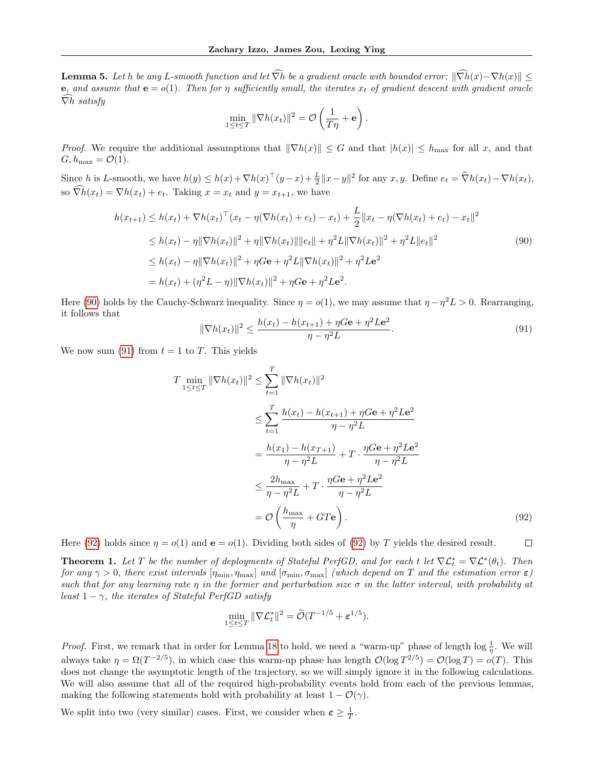**Lemma 5.** Let h be any L-smooth function and let  $\widehat{\nabla}h$  be a gradient oracle with bounded error:  $\|\widehat{\nabla}h(x)-\nabla h(x)\|$ e, and assume that  $e = o(1)$ . Then for  $\eta$  sufficiently small, the iterates  $x_t$  of gradient descent with gradient oracle  $\widehat{\nabla}h$  satisfy

<span id="page-32-0"></span>
$$
\min_{1 \le t \le T} \|\nabla h(x_t)\|^2 = \mathcal{O}\left(\frac{1}{T\eta} + \mathbf{e}\right).
$$

*Proof.* We require the additional assumptions that  $\|\nabla h(x)\| \leq G$  and that  $|h(x)| \leq h_{\text{max}}$  for all x, and that  $G, h_{\text{max}} = \mathcal{O}(1).$ 

Since h is L-smooth, we have  $h(y) \leq h(x) + \nabla h(x)^\top (y-x) + \frac{L}{2} ||x-y||^2$  for any  $x, y$ . Define  $e_t = \widehat{\nabla}h(x_t) - \nabla h(x_t)$ , so  $\widehat{\nabla h}(x_t) = \nabla h(x_t) + e_t$ . Taking  $x = x_t$  and  $y = x_{t+1}$ , we have

$$
h(x_{t+1}) \leq h(x_t) + \nabla h(x_t)^\top (x_t - \eta(\nabla h(x_t) + e_t) - x_t) + \frac{L}{2} ||x_t - \eta(\nabla h(x_t) + e_t) - x_t||^2
$$
  
\n
$$
\leq h(x_t) - \eta ||\nabla h(x_t)||^2 + \eta ||\nabla h(x_t)|| ||e_t|| + \eta^2 L ||\nabla h(x_t)||^2 + \eta^2 L ||e_t||^2
$$
  
\n
$$
\leq h(x_t) - \eta ||\nabla h(x_t)||^2 + \eta G \mathbf{e} + \eta^2 L ||\nabla h(x_t)||^2 + \eta^2 L \mathbf{e}^2
$$
  
\n
$$
= h(x_t) + (\eta^2 L - \eta) ||\nabla h(x_t)||^2 + \eta G \mathbf{e} + \eta^2 L \mathbf{e}^2.
$$
\n(90)

Here [\(90\)](#page-32-0) holds by the Cauchy-Schwarz inequality. Since  $\eta = o(1)$ , we may assume that  $\eta - \eta^2 L > 0$ . Rearranging, it follows that

<span id="page-32-1"></span>
$$
\|\nabla h(x_t)\|^2 \le \frac{h(x_t) - h(x_{t+1}) + \eta G \mathbf{e} + \eta^2 L \mathbf{e}^2}{\eta - \eta^2 L}.
$$
\n(91)

We now sum [\(91\)](#page-32-1) from  $t = 1$  to T. This yields

$$
T \min_{1 \le t \le T} \|\nabla h(x_t)\|^2 \le \sum_{t=1}^T \|\nabla h(x_t)\|^2
$$
  
\n
$$
\le \sum_{t=1}^T \frac{h(x_t) - h(x_{t+1}) + \eta G \mathbf{e} + \eta^2 L \mathbf{e}^2}{\eta - \eta^2 L}
$$
  
\n
$$
= \frac{h(x_1) - h(x_{T+1})}{\eta - \eta^2 L} + T \cdot \frac{\eta G \mathbf{e} + \eta^2 L \mathbf{e}^2}{\eta - \eta^2 L}
$$
  
\n
$$
\le \frac{2h_{\text{max}}}{\eta - \eta^2 L} + T \cdot \frac{\eta G \mathbf{e} + \eta^2 L \mathbf{e}^2}{\eta - \eta^2 L}
$$
  
\n
$$
= \mathcal{O}\left(\frac{h_{\text{max}}}{\eta} + GT \mathbf{e}\right).
$$
 (92)

Here [\(92\)](#page-32-2) holds since  $\eta = o(1)$  and  $\mathbf{e} = o(1)$ . Dividing both sides of (92) by T yields the desired result.  $\Box$ 

**Theorem 1.** Let T be the number of deployments of Stateful PerfGD, and for each t let  $\nabla \mathcal{L}_t^* = \nabla \mathcal{L}^*(\theta_t)$ . Then for any  $\gamma > 0$ , there exist intervals  $[\eta_{\min}, \eta_{\max}]$  and  $[\sigma_{\min}, \sigma_{\max}]$  (which depend on T and the estimation error  $\varepsilon$ ) such that for any learning rate  $\eta$  in the former and perturbation size  $\sigma$  in the latter interval, with probability at least  $1 - \gamma$ , the iterates of Stateful PerfGD satisfy

<span id="page-32-2"></span>
$$
\min_{1 \leq t \leq T} \|\nabla \mathcal{L}_t^*\|^2 = \widetilde{\mathcal{O}}(T^{-1/5} + \varepsilon^{1/5}).
$$

*Proof.* First, we remark that in order for Lemma [18](#page-14-1) to hold, we need a "warm-up" phase of length  $\log \frac{1}{\eta}$ . We will always take  $\eta = \Omega(T^{-2/5})$ , in which case this warm-up phase has length  $\mathcal{O}(\log T^{2/5}) = \mathcal{O}(\log T) = o(T)$ . This does not change the asymptotic length of the trajectory, so we will simply ignore it in the following calculations. We will also assume that all of the required high-probability events hold from each of the previous lemmas, making the following statements hold with probability at least  $1 - \mathcal{O}(\gamma)$ .

We split into two (very similar) cases. First, we consider when  $\varepsilon \geq \frac{1}{T}$ .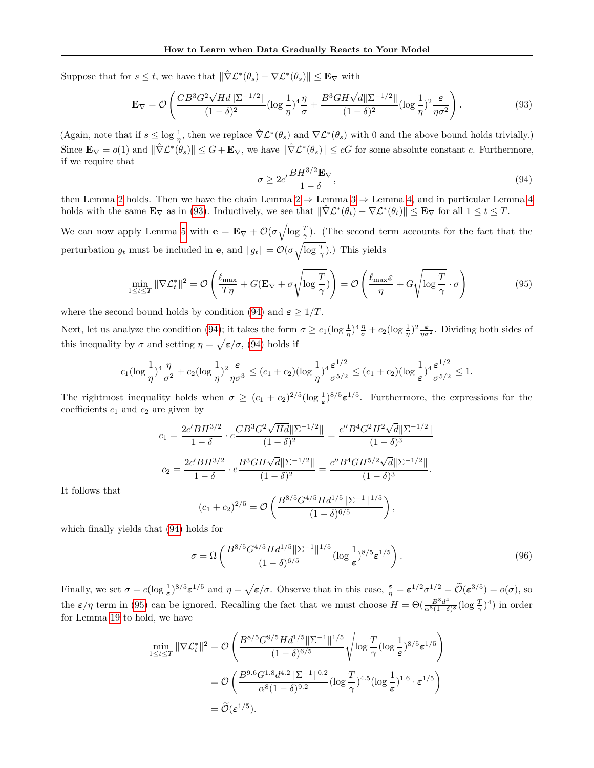Suppose that for  $s \leq t$ , we have that  $\|\hat{\nabla} \mathcal{L}^*(\theta_s) - \nabla \mathcal{L}^*(\theta_s)\| \leq \mathbf{E}_{\nabla}$  with

<span id="page-33-0"></span>
$$
\mathbf{E}_{\nabla} = \mathcal{O}\left(\frac{CB^3 G^2 \sqrt{Hd} \|\Sigma^{-1/2}\|}{(1-\delta)^2} (\log \frac{1}{\eta})^4 \frac{\eta}{\sigma} + \frac{B^3 GH\sqrt{d} \|\Sigma^{-1/2}\|}{(1-\delta)^2} (\log \frac{1}{\eta})^2 \frac{\varepsilon}{\eta \sigma^2}\right).
$$
(93)

(Again, note that if  $s \leq \log \frac{1}{\eta}$ , then we replace  $\hat{\nabla} \mathcal{L}^*(\theta_s)$  and  $\nabla \mathcal{L}^*(\theta_s)$  with 0 and the above bound holds trivially.) Since  $\mathbf{E}_{\nabla} = o(1)$  and  $\|\nabla \mathcal{L}^*(\theta_s)\| \leq G + \mathbf{E}_{\nabla}$ , we have  $\|\nabla \mathcal{L}^*(\theta_s)\| \leq cG$  for some absolute constant c. Furthermore, if we require that

<span id="page-33-1"></span>
$$
\sigma \ge 2c' \frac{BH^{3/2} \mathbf{E}_{\nabla}}{1 - \delta},\tag{94}
$$

then Lemma [2](#page-5-1) holds. Then we have the chain Lemma 2  $\Rightarrow$  Lemma [3](#page-5-2)  $\Rightarrow$  Lemma [4,](#page-5-4) and in particular Lemma [4](#page-5-4) holds with the same  $\mathbf{E}_{\nabla}$  as in [\(93\)](#page-33-0). Inductively, we see that  $\|\hat{\nabla} \mathcal{L}^*(\theta_t) - \nabla \mathcal{L}^*(\theta_t)\| \leq \mathbf{E}_{\nabla}$  for all  $1 \leq t \leq T$ .

We can now apply Lemma [5](#page-5-3) with  $\mathbf{e} = \mathbf{E}_{\nabla} + \mathcal{O}(\sigma \sqrt{\log \frac{T}{\gamma}})$ . (The second term accounts for the fact that the perturbation  $g_t$  must be included in **e**, and  $||g_t|| = \mathcal{O}(\sigma \sqrt{\log \frac{T}{\gamma}})$ .) This yields

<span id="page-33-2"></span>
$$
\min_{1 \le t \le T} \|\nabla \mathcal{L}_t^*\|^2 = \mathcal{O}\left(\frac{\ell_{\max}}{T\eta} + G(\mathbf{E}_{\nabla} + \sigma \sqrt{\log \frac{T}{\gamma}})\right) = \mathcal{O}\left(\frac{\ell_{\max}\varepsilon}{\eta} + G\sqrt{\log \frac{T}{\gamma}} \cdot \sigma\right)
$$
(95)

where the second bound holds by condition [\(94\)](#page-33-1) and  $\varepsilon \geq 1/T$ .

Next, let us analyze the condition [\(94\)](#page-33-1); it takes the form  $\sigma \ge c_1(\log \frac{1}{\eta})^4 \frac{\eta}{\sigma} + c_2(\log \frac{1}{\eta})^2 \frac{\epsilon}{\eta \sigma^2}$ . Dividing both sides of this inequality by  $\sigma$  and setting  $\eta = \sqrt{\epsilon/\sigma}$ , [\(94\)](#page-33-1) holds if

$$
c_1(\log\frac{1}{\eta})^4\frac{\eta}{\sigma^2} + c_2(\log\frac{1}{\eta})^2\frac{\varepsilon}{\eta\sigma^3} \le (c_1+c_2)(\log\frac{1}{\eta})^4\frac{\varepsilon^{1/2}}{\sigma^{5/2}} \le (c_1+c_2)(\log\frac{1}{\varepsilon})^4\frac{\varepsilon^{1/2}}{\sigma^{5/2}} \le 1.
$$

The rightmost inequality holds when  $\sigma \ge (c_1 + c_2)^{2/5} (\log \frac{1}{\epsilon})^{8/5} \epsilon^{1/5}$ . Furthermore, the expressions for the coefficients  $c_1$  and  $c_2$  are given by

$$
c_1 = \frac{2c'BH^{3/2}}{1-\delta} \cdot c \frac{CB^3G^2\sqrt{Hd}\|\Sigma^{-1/2}\|}{(1-\delta)^2} = \frac{c''B^4G^2H^2\sqrt{d}\|\Sigma^{-1/2}\|}{(1-\delta)^3}
$$

$$
c_2 = \frac{2c'BH^{3/2}}{1-\delta} \cdot c \frac{B^3GH\sqrt{d}\|\Sigma^{-1/2}\|}{(1-\delta)^2} = \frac{c''B^4GH^{5/2}\sqrt{d}\|\Sigma^{-1/2}\|}{(1-\delta)^3}.
$$

It follows that

$$
(c_1 + c_2)^{2/5} = \mathcal{O}\left(\frac{B^{8/5}G^{4/5}Hd^{1/5}||\Sigma^{-1}||^{1/5}}{(1-\delta)^{6/5}}\right),\,
$$

which finally yields that [\(94\)](#page-33-1) holds for

$$
\sigma = \Omega \left( \frac{B^{8/5} G^{4/5} H d^{1/5} ||\Sigma^{-1}||^{1/5}}{(1-\delta)^{6/5}} (\log \frac{1}{\varepsilon})^{8/5} \varepsilon^{1/5} \right). \tag{96}
$$

Finally, we set  $\sigma = c(\log \frac{1}{\epsilon})^{8/5} \epsilon^{1/5}$  and  $\eta = \sqrt{\epsilon/\sigma}$ . Observe that in this case,  $\frac{\epsilon}{\eta} = \epsilon^{1/2} \sigma^{1/2} = \widetilde{\mathcal{O}}(\epsilon^{3/5}) = o(\sigma)$ , so the  $\varepsilon/\eta$  term in [\(95\)](#page-33-2) can be ignored. Recalling the fact that we must choose  $H = \Theta(\frac{B^8 d^4}{\alpha^8 (1-\delta)^2})$  $\frac{B^8 d^4}{\alpha^8 (1-\delta)^8} (\log \frac{T}{\gamma})^4)$  in order for Lemma [19](#page-19-0) to hold, we have

$$
\min_{1 \le t \le T} \|\nabla \mathcal{L}_t^*\|^2 = \mathcal{O}\left(\frac{B^{8/5} G^{9/5} H d^{1/5} \|\Sigma^{-1}\|^{1/5}}{(1-\delta)^{6/5}} \sqrt{\log \frac{T}{\gamma}} (\log \frac{1}{\varepsilon})^{8/5} \varepsilon^{1/5}\right)
$$
  
=  $\mathcal{O}\left(\frac{B^{9.6} G^{1.8} d^{4.2} \|\Sigma^{-1}\|^{0.2}}{\alpha^8 (1-\delta)^{9.2}} (\log \frac{T}{\gamma})^{4.5} (\log \frac{1}{\varepsilon})^{1.6} \cdot \varepsilon^{1/5}\right)$   
=  $\widetilde{\mathcal{O}}(\varepsilon^{1/5}).$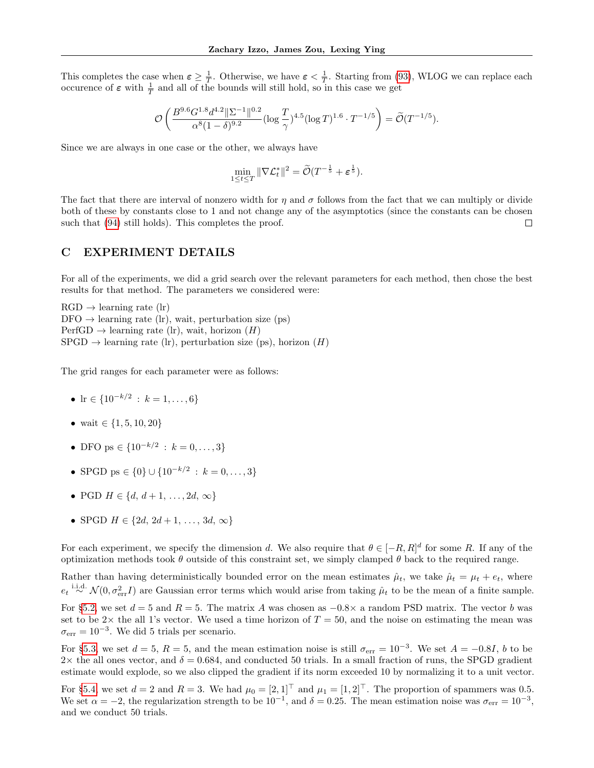This completes the case when  $\varepsilon \geq \frac{1}{T}$ . Otherwise, we have  $\varepsilon < \frac{1}{T}$ . Starting from [\(93\)](#page-33-0), WLOG we can replace each occurence of  $\varepsilon$  with  $\frac{1}{T}$  and all of the bounds will still hold, so in this case we get

$$
\mathcal{O}\left(\frac{B^{9.6}G^{1.8}d^{4.2}\|\Sigma^{-1}\|^{0.2}}{\alpha^8(1-\delta)^{9.2}}(\log\frac{T}{\gamma})^{4.5}(\log T)^{1.6}\cdot T^{-1/5}\right)=\widetilde{\mathcal{O}}(T^{-1/5}).
$$

Since we are always in one case or the other, we always have

$$
\min_{1 \leq t \leq T} \|\nabla \mathcal{L}_t^*\|^2 = \widetilde{\mathcal{O}}(T^{-\frac{1}{5}} + \varepsilon^{\frac{1}{5}}).
$$

The fact that there are interval of nonzero width for  $\eta$  and  $\sigma$  follows from the fact that we can multiply or divide both of these by constants close to 1 and not change any of the asymptotics (since the constants can be chosen such that [\(94\)](#page-33-1) still holds). This completes the proof.  $\Box$ 

### <span id="page-34-0"></span>C EXPERIMENT DETAILS

For all of the experiments, we did a grid search over the relevant parameters for each method, then chose the best results for that method. The parameters we considered were:

 $RGD \rightarrow$  learning rate (lr)  $DFO \rightarrow$  learning rate (lr), wait, perturbation size (ps)  $PerfGD \rightarrow learning$  rate (lr), wait, horizon (H)  $SPGD \rightarrow$  learning rate (lr), perturbation size (ps), horizon (H)

The grid ranges for each parameter were as follows:

- lr  $\in \{10^{-k/2} : k = 1, \ldots, 6\}$
- wait  $\in \{1, 5, 10, 20\}$
- DFO ps  $\in \{10^{-k/2} : k = 0, \ldots, 3\}$
- SPGD ps  $\in \{0\} \cup \{10^{-k/2} : k = 0, \ldots, 3\}$
- PGD  $H \in \{d, d+1, \ldots, 2d, \infty\}$
- SPGD  $H \in \{2d, 2d + 1, \ldots, 3d, \infty\}$

For each experiment, we specify the dimension d. We also require that  $\theta \in [-R, R]^d$  for some R. If any of the optimization methods took  $\theta$  outside of this constraint set, we simply clamped  $\theta$  back to the required range.

Rather than having deterministically bounded error on the mean estimates  $\hat{\mu}_t$ , we take  $\hat{\mu}_t = \mu_t + e_t$ , where  $e_t \stackrel{\text{i.i.d.}}{\sim} \mathcal{N}(0, \sigma_{\text{err}}^2 I)$  are Gaussian error terms which would arise from taking  $\hat{\mu}_t$  to be the mean of a finite sample. For §[5.2,](#page-6-1) we set  $d = 5$  and  $R = 5$ . The matrix A was chosen as  $-0.8\times$  a random PSD matrix. The vector b was set to be  $2\times$  the all 1's vector. We used a time horizon of  $T = 50$ , and the noise on estimating the mean was  $\sigma_{\text{err}} = 10^{-3}$ . We did 5 trials per scenario.

For §[5.3,](#page-6-2) we set  $d = 5$ ,  $R = 5$ , and the mean estimation noise is still  $\sigma_{err} = 10^{-3}$ . We set  $A = -0.8I$ , b to be  $2\times$  the all ones vector, and  $\delta = 0.684$ , and conducted 50 trials. In a small fraction of runs, the SPGD gradient estimate would explode, so we also clipped the gradient if its norm exceeded 10 by normalizing it to a unit vector.

For §[5.4,](#page-7-2) we set  $d = 2$  and  $R = 3$ . We had  $\mu_0 = [2, 1]^{\top}$  and  $\mu_1 = [1, 2]^{\top}$ . The proportion of spammers was 0.5. We set  $\alpha = -2$ , the regularization strength to be  $10^{-1}$ , and  $\delta = 0.25$ . The mean estimation noise was  $\sigma_{err} = 10^{-3}$ , and we conduct 50 trials.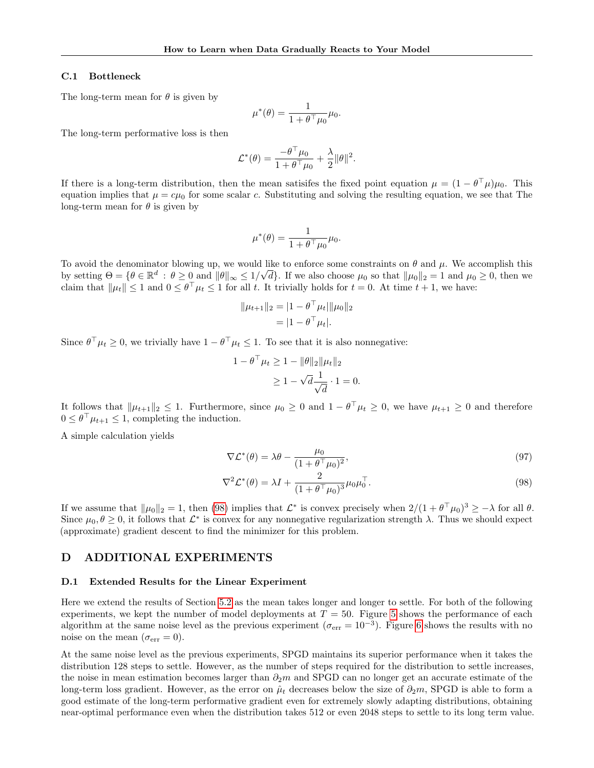### C.1 Bottleneck

The long-term mean for  $\theta$  is given by

$$
\mu^*(\theta) = \frac{1}{1 + \theta^\top \mu_0} \mu_0.
$$

The long-term performative loss is then

$$
\mathcal{L}^*(\theta) = \frac{-\theta^\top \mu_0}{1 + \theta^\top \mu_0} + \frac{\lambda}{2} ||\theta||^2.
$$

If there is a long-term distribution, then the mean satisifes the fixed point equation  $\mu = (1 - \theta^{\top} \mu)\mu_0$ . This equation implies that  $\mu = c\mu_0$  for some scalar c. Substituting and solving the resulting equation, we see that The long-term mean for  $\theta$  is given by

$$
\mu^*(\theta) = \frac{1}{1 + \theta^\top \mu_0} \mu_0.
$$

To avoid the denominator blowing up, we would like to enforce some constraints on  $\theta$  and  $\mu$ . We accomplish this by setting  $\Theta = \{ \theta \in \mathbb{R}^d : \theta \ge 0 \text{ and } ||\theta||_{\infty} \le 1/\sqrt{d} \}.$  If we also choose  $\mu_0$  so that  $||\mu_0||_2 = 1$  and  $\mu_0 \ge 0$ , then we claim that  $\|\mu_t\| \leq 1$  and  $0 \leq \theta^{\top} \mu_t \leq 1$  for all t. It trivially holds for  $t = 0$ . At time  $t + 1$ , we have:

$$
||\mu_{t+1}||_2 = |1 - \theta^\top \mu_t| ||\mu_0||_2
$$
  
= |1 - \theta^\top \mu\_t|.

Since  $\theta^{\top} \mu_t \geq 0$ , we trivially have  $1 - \theta^{\top} \mu_t \leq 1$ . To see that it is also nonnegative:

$$
1 - \theta^{\top} \mu_t \ge 1 - \|\theta\|_2 \|\mu_t\|_2
$$
  
\n
$$
\ge 1 - \sqrt{d} \frac{1}{\sqrt{d}} \cdot 1 = 0.
$$

It follows that  $\|\mu_{t+1}\|_2 \leq 1$ . Furthermore, since  $\mu_0 \geq 0$  and  $1 - \theta^{\top} \mu_t \geq 0$ , we have  $\mu_{t+1} \geq 0$  and therefore  $0 \leq \theta^{\top} \mu_{t+1} \leq 1$ , completing the induction.

A simple calculation yields

<span id="page-35-0"></span>
$$
\nabla \mathcal{L}^*(\theta) = \lambda \theta - \frac{\mu_0}{(1 + \theta^\top \mu_0)^2},\tag{97}
$$

$$
\nabla^2 \mathcal{L}^*(\theta) = \lambda I + \frac{2}{(1 + \theta^\top \mu_0)^3} \mu_0 \mu_0^\top. \tag{98}
$$

If we assume that  $\|\mu_0\|_2 = 1$ , then [\(98\)](#page-35-0) implies that  $\mathcal{L}^*$  is convex precisely when  $2/(1 + \theta^{\top} \mu_0)^3 \geq -\lambda$  for all  $\theta$ . Since  $\mu_0, \theta \ge 0$ , it follows that  $\mathcal{L}^*$  is convex for any nonnegative regularization strength  $\lambda$ . Thus we should expect (approximate) gradient descent to find the minimizer for this problem.

## D ADDITIONAL EXPERIMENTS

#### D.1 Extended Results for the Linear Experiment

Here we extend the results of Section [5.2](#page-6-1) as the mean takes longer and longer to settle. For both of the following experiments, we kept the number of model deployments at  $T = 50$  $T = 50$  $T = 50$ . Figure 5 shows the performance of each algorithm at the same noise level as the previous experiment ( $\sigma_{\rm err} = 10^{-3}$ ). Figure [6](#page-36-1) shows the results with no noise on the mean  $(\sigma_{err} = 0)$ .

At the same noise level as the previous experiments, SPGD maintains its superior performance when it takes the distribution 128 steps to settle. However, as the number of steps required for the distribution to settle increases, the noise in mean estimation becomes larger than  $\partial_2m$  and SPGD can no longer get an accurate estimate of the long-term loss gradient. However, as the error on  $\hat{\mu}_t$  decreases below the size of  $\partial_2 m$ , SPGD is able to form a good estimate of the long-term performative gradient even for extremely slowly adapting distributions, obtaining near-optimal performance even when the distribution takes 512 or even 2048 steps to settle to its long term value.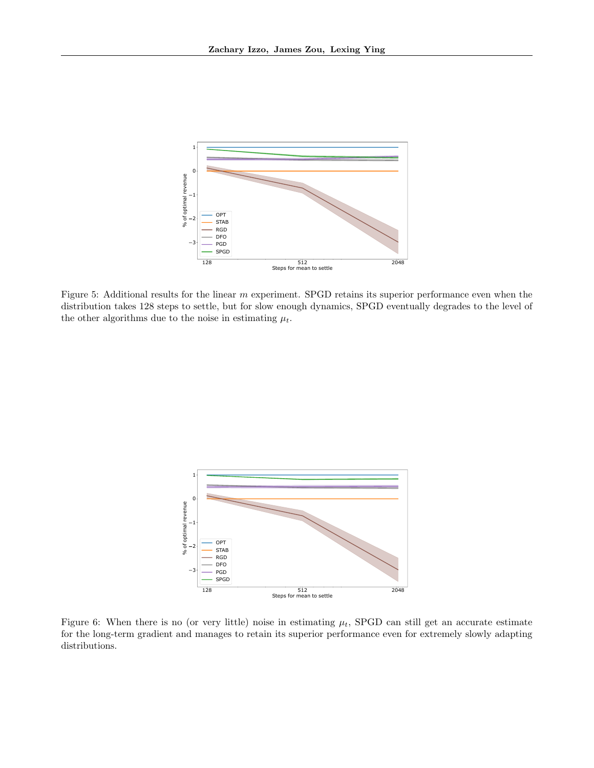<span id="page-36-0"></span>

Figure 5: Additional results for the linear m experiment. SPGD retains its superior performance even when the distribution takes 128 steps to settle, but for slow enough dynamics, SPGD eventually degrades to the level of the other algorithms due to the noise in estimating  $\mu_t$ .

<span id="page-36-1"></span>

Figure 6: When there is no (or very little) noise in estimating  $\mu_t$ , SPGD can still get an accurate estimate for the long-term gradient and manages to retain its superior performance even for extremely slowly adapting distributions.